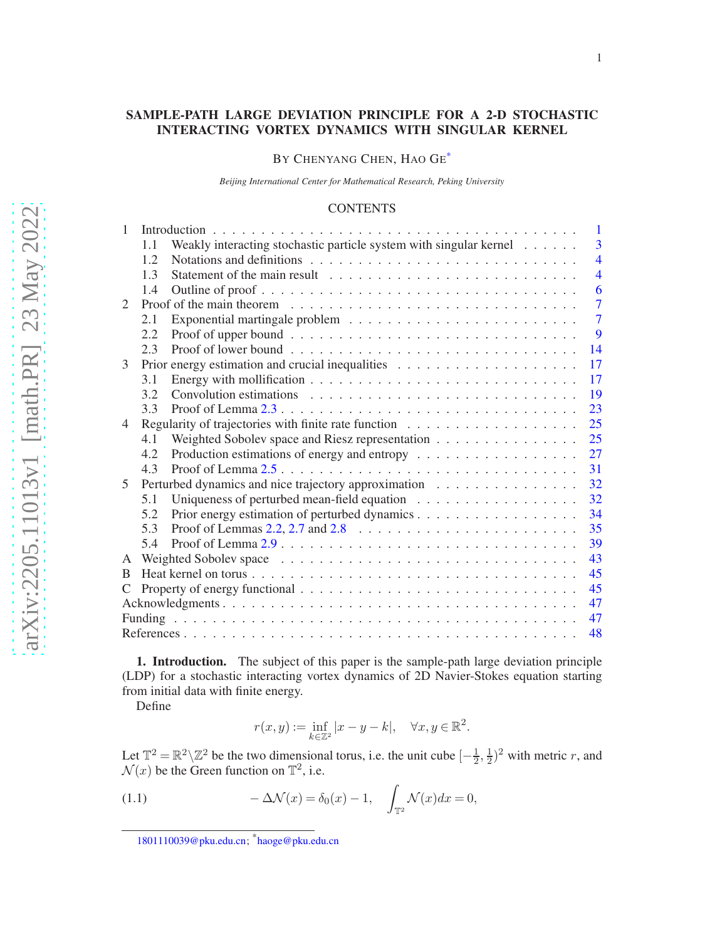# SAMPLE-PATH LARGE DEVIATION PRINCIPLE FOR A 2-D STOCHASTIC INTERACTING VORTEX DYNAMICS WITH SINGULAR KERNEL

BY CHENYANG CHEN, HAO GE<sup>[\\*](#page-0-0)</sup>

*Beijing International Center for Mathematical Research, Peking University*

### **CONTENTS**

| 1                           |                                                                                                           | $\mathbf{1}$            |
|-----------------------------|-----------------------------------------------------------------------------------------------------------|-------------------------|
|                             | Weakly interacting stochastic particle system with singular kernel<br>1.1                                 | $\overline{3}$          |
|                             | 12                                                                                                        | $\overline{\mathbf{4}}$ |
|                             | 1.3                                                                                                       | $\overline{4}$          |
|                             | 1.4                                                                                                       | 6                       |
| $\mathcal{D}_{\mathcal{L}}$ | Proof of the main theorem $\dots \dots \dots \dots \dots \dots \dots \dots \dots \dots \dots \dots \dots$ | $\overline{7}$          |
|                             | 2.1                                                                                                       | $\overline{7}$          |
|                             | 2.2                                                                                                       | 9                       |
|                             | 2.3                                                                                                       | 14                      |
| 3                           |                                                                                                           | 17                      |
|                             | 3.1                                                                                                       | 17                      |
|                             | 3.2                                                                                                       | 19                      |
|                             | 3.3                                                                                                       | 23                      |
| 4                           |                                                                                                           | 25                      |
|                             | Weighted Sobolev space and Riesz representation<br>4.1                                                    | 25                      |
|                             | 4.2                                                                                                       | 27                      |
|                             | Proof of Lemma $2.5 \ldots \ldots \ldots \ldots \ldots \ldots \ldots \ldots \ldots \ldots \ldots$<br>4.3  | 31                      |
| 5                           | Perturbed dynamics and nice trajectory approximation                                                      | 32                      |
|                             | 5.1                                                                                                       | 32                      |
|                             | 5.2                                                                                                       | 34                      |
|                             | Proof of Lemmas 2.2, 2.7 and 2.8 $\ldots \ldots \ldots \ldots \ldots \ldots \ldots \ldots$<br>5.3         | 35                      |
|                             | 54                                                                                                        | 39                      |
| A                           |                                                                                                           | 43                      |
| B                           |                                                                                                           | 45                      |
| C                           |                                                                                                           | 45                      |
|                             |                                                                                                           | 47                      |
|                             |                                                                                                           | 47                      |
|                             |                                                                                                           | 48                      |

<span id="page-0-1"></span>1. Introduction. The subject of this paper is the sample-path large deviation principle (LDP) for a stochastic interacting vortex dynamics of 2D Navier-Stokes equation starting from initial data with finite energy.

Define

<span id="page-0-2"></span>
$$
r(x,y) := \inf_{k \in \mathbb{Z}^2} |x - y - k|, \quad \forall x, y \in \mathbb{R}^2.
$$

Let  $\mathbb{T}^2 = \mathbb{R}^2 \setminus \mathbb{Z}^2$  be the two dimensional torus, i.e. the unit cube  $[-\frac{1}{2}]$  $\frac{1}{2}, \frac{1}{2}$  $(\frac{1}{2})^2$  with metric r, and  $\mathcal{N}(x)$  be the Green function on  $\mathbb{T}^2$ , i.e.

(1.1) 
$$
-\Delta \mathcal{N}(x) = \delta_0(x) - 1, \quad \int_{\mathbb{T}^2} \mathcal{N}(x) dx = 0,
$$

<span id="page-0-0"></span>[<sup>1801110039@</sup>pku.edu.cn;](mailto:1801110039@pku.edu.cn) \* [haoge@pku.edu.cn](mailto:haoge@pku.edu.cn)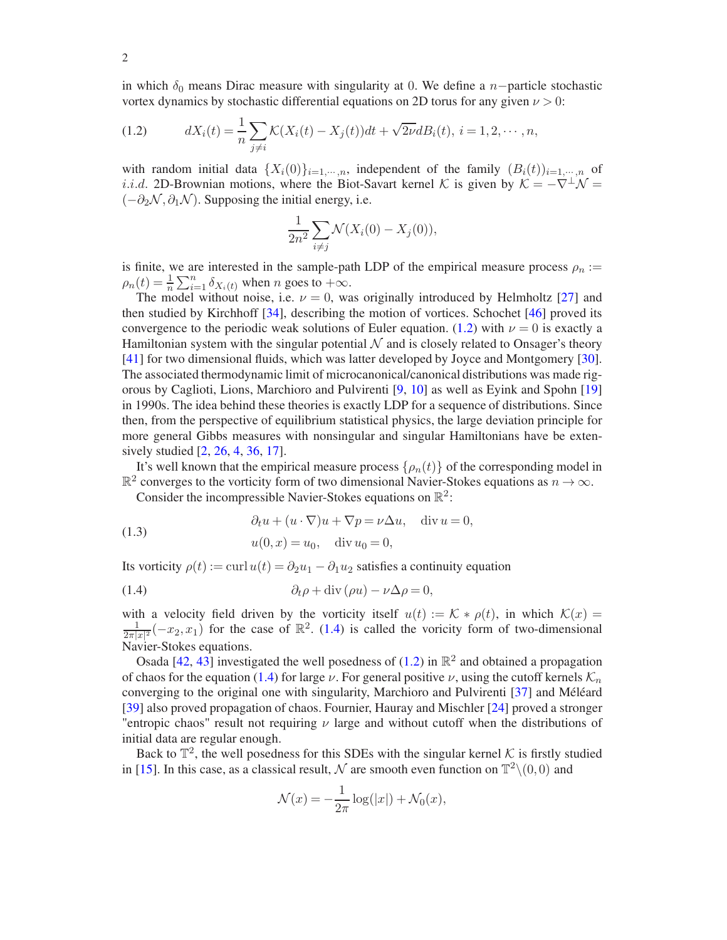in which  $\delta_0$  means Dirac measure with singularity at 0. We define a n−particle stochastic vortex dynamics by stochastic differential equations on 2D torus for any given  $\nu > 0$ :

<span id="page-1-0"></span>(1.2) 
$$
dX_i(t) = \frac{1}{n} \sum_{j \neq i} \mathcal{K}(X_i(t) - X_j(t))dt + \sqrt{2\nu}dB_i(t), i = 1, 2, \cdots, n,
$$

with random initial data  $\{X_i(0)\}_{i=1,\dots,n}$ , independent of the family  $(B_i(t))_{i=1,\dots,n}$  of *i.i.d.* 2D-Brownian motions, where the Biot-Savart kernel K is given by  $K = -\nabla^{\perp} \mathcal{N} =$  $(-\partial_2 \mathcal{N}, \partial_1 \mathcal{N})$ . Supposing the initial energy, i.e.

$$
\frac{1}{2n^2} \sum_{i \neq j} \mathcal{N}(X_i(0) - X_j(0)),
$$

is finite, we are interested in the sample-path LDP of the empirical measure process  $\rho_n$  :=  $\rho_n(t) = \frac{1}{n} \sum_{i=1}^n \delta_{X_i(t)}$  when *n* goes to  $+\infty$ .

The model without noise, i.e.  $\nu = 0$ , was originally introduced by Helmholtz [\[27\]](#page-48-0) and then studied by Kirchhoff [\[34](#page-48-1)], describing the motion of vortices. Schochet [\[46\]](#page-48-2) proved its convergence to the periodic weak solutions of Euler equation. [\(1.2\)](#page-1-0) with  $\nu = 0$  is exactly a Hamiltonian system with the singular potential  $\mathcal N$  and is closely related to Onsager's theory [\[41](#page-48-3)] for two dimensional fluids, which was latter developed by Joyce and Montgomery [\[30](#page-48-4)]. The associated thermodynamic limit of microcanonical/canonical distributions was made rigorous by Caglioti, Lions, Marchioro and Pulvirenti [\[9,](#page-47-1) [10\]](#page-47-2) as well as Eyink and Spohn [\[19\]](#page-47-3) in 1990s. The idea behind these theories is exactly LDP for a sequence of distributions. Since then, from the perspective of equilibrium statistical physics, the large deviation principle for more general Gibbs measures with nonsingular and singular Hamiltonians have be extensively studied [\[2,](#page-47-4) [26](#page-47-5), [4](#page-47-6), [36,](#page-48-5) [17](#page-47-7)].

It's well known that the empirical measure process  $\{\rho_n(t)\}\$  of the corresponding model in  $\mathbb{R}^2$  converges to the vorticity form of two dimensional Navier-Stokes equations as  $n \to \infty$ .

<span id="page-1-2"></span>Consider the incompressible Navier-Stokes equations on  $\mathbb{R}^2$ :

(1.3) 
$$
\begin{aligned}\n\partial_t u + (u \cdot \nabla)u + \nabla p &= \nu \Delta u, \quad \text{div } u = 0, \\
u(0, x) &= u_0, \quad \text{div } u_0 = 0,\n\end{aligned}
$$

Its vorticity  $\rho(t) := \text{curl } u(t) = \partial_2 u_1 - \partial_1 u_2$  satisfies a continuity equation

<span id="page-1-1"></span>(1.4) 
$$
\partial_t \rho + \text{div}(\rho u) - \nu \Delta \rho = 0,
$$

with a velocity field driven by the vorticity itself  $u(t) := \mathcal{K} * \rho(t)$ , in which  $\mathcal{K}(x) =$ 1  $\frac{1}{2\pi|x|^2}(-x_2, x_1)$  for the case of  $\mathbb{R}^2$ . [\(1.4\)](#page-1-1) is called the voricity form of two-dimensional Navier-Stokes equations.

Osada [\[42,](#page-48-6) [43\]](#page-48-7) investigated the well posedness of [\(1.2\)](#page-1-0) in  $\mathbb{R}^2$  and obtained a propagation of chaos for the equation [\(1.4\)](#page-1-1) for large  $\nu$ . For general positive  $\nu$ , using the cutoff kernels  $\mathcal{K}_n$ converging to the original one with singularity, Marchioro and Pulvirenti [\[37\]](#page-48-8) and Méléard [\[39](#page-48-9)] also proved propagation of chaos. Fournier, Hauray and Mischler [\[24](#page-47-8)] proved a stronger "entropic chaos" result not requiring  $\nu$  large and without cutoff when the distributions of initial data are regular enough.

Back to  $\mathbb{T}^2$ , the well posedness for this SDEs with the singular kernel  $\mathcal{K}$  is firstly studied in [\[15\]](#page-47-9). In this case, as a classical result,  $\mathcal N$  are smooth even function on  $\mathbb T^2\setminus(0,0)$  and

$$
\mathcal{N}(x) = -\frac{1}{2\pi} \log(|x|) + \mathcal{N}_0(x),
$$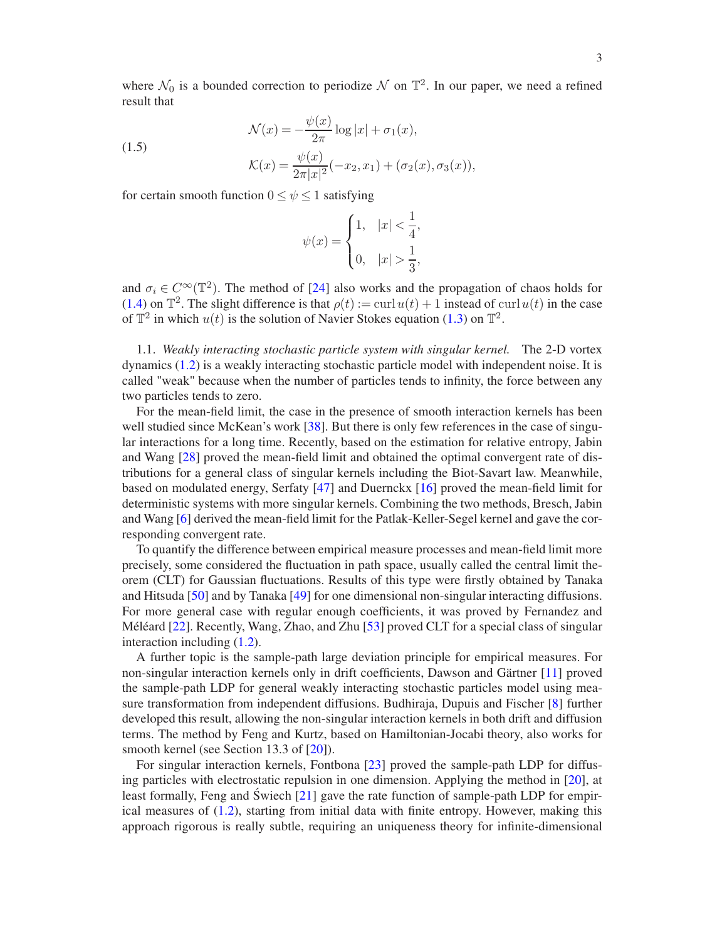where  $\mathcal{N}_0$  is a bounded correction to periodize  $\mathcal N$  on  $\mathbb T^2$ . In our paper, we need a refined result that

(1.5)  
\n
$$
\mathcal{N}(x) = -\frac{\psi(x)}{2\pi} \log|x| + \sigma_1(x),
$$
\n
$$
\mathcal{K}(x) = \frac{\psi(x)}{2\pi|x|^2} (-x_2, x_1) + (\sigma_2(x), \sigma_3(x)),
$$

for certain smooth function  $0 \leq \psi \leq 1$  satisfying

<span id="page-2-1"></span>
$$
\psi(x) = \begin{cases} 1, & |x| < \frac{1}{4}, \\ 0, & |x| > \frac{1}{3}, \end{cases}
$$

and  $\sigma_i \in C^{\infty}(\mathbb{T}^2)$ . The method of [\[24](#page-47-8)] also works and the propagation of chaos holds for [\(1.4\)](#page-1-1) on  $\mathbb{T}^2$ . The slight difference is that  $\rho(t) := \text{curl } u(t) + 1$  instead of  $\text{curl } u(t)$  in the case of  $\mathbb{T}^2$  in which  $u(t)$  is the solution of Navier Stokes equation [\(1.3\)](#page-1-2) on  $\mathbb{T}^2$ .

<span id="page-2-0"></span>1.1. *Weakly interacting stochastic particle system with singular kernel.* The 2-D vortex dynamics [\(1.2\)](#page-1-0) is a weakly interacting stochastic particle model with independent noise. It is called "weak" because when the number of particles tends to infinity, the force between any two particles tends to zero.

For the mean-field limit, the case in the presence of smooth interaction kernels has been well studied since McKean's work [\[38](#page-48-10)]. But there is only few references in the case of singular interactions for a long time. Recently, based on the estimation for relative entropy, Jabin and Wang [\[28\]](#page-48-11) proved the mean-field limit and obtained the optimal convergent rate of distributions for a general class of singular kernels including the Biot-Savart law. Meanwhile, based on modulated energy, Serfaty [\[47](#page-48-12)] and Duernckx [\[16\]](#page-47-10) proved the mean-field limit for deterministic systems with more singular kernels. Combining the two methods, Bresch, Jabin and Wang [\[6\]](#page-47-11) derived the mean-field limit for the Patlak-Keller-Segel kernel and gave the corresponding convergent rate.

To quantify the difference between empirical measure processes and mean-field limit more precisely, some considered the fluctuation in path space, usually called the central limit theorem (CLT) for Gaussian fluctuations. Results of this type were firstly obtained by Tanaka and Hitsuda [\[50](#page-48-13)] and by Tanaka [\[49](#page-48-14)] for one dimensional non-singular interacting diffusions. For more general case with regular enough coefficients, it was proved by Fernandez and Méléard [\[22](#page-47-12)]. Recently, Wang, Zhao, and Zhu [\[53](#page-48-15)] proved CLT for a special class of singular interaction including [\(1.2\)](#page-1-0).

A further topic is the sample-path large deviation principle for empirical measures. For non-singular interaction kernels only in drift coefficients, Dawson and Gärtner [\[11](#page-47-13)] proved the sample-path LDP for general weakly interacting stochastic particles model using measure transformation from independent diffusions. Budhiraja, Dupuis and Fischer [\[8\]](#page-47-14) further developed this result, allowing the non-singular interaction kernels in both drift and diffusion terms. The method by Feng and Kurtz, based on Hamiltonian-Jocabi theory, also works for smooth kernel (see Section 13.3 of [\[20](#page-47-15)]).

For singular interaction kernels, Fontbona [\[23](#page-47-16)] proved the sample-path LDP for diffusing particles with electrostatic repulsion in one dimension. Applying the method in [\[20\]](#page-47-15), at least formally, Feng and Świech  $[21]$  $[21]$  $[21]$  gave the rate function of sample-path LDP for empirical measures of  $(1.2)$ , starting from initial data with finite entropy. However, making this approach rigorous is really subtle, requiring an uniqueness theory for infinite-dimensional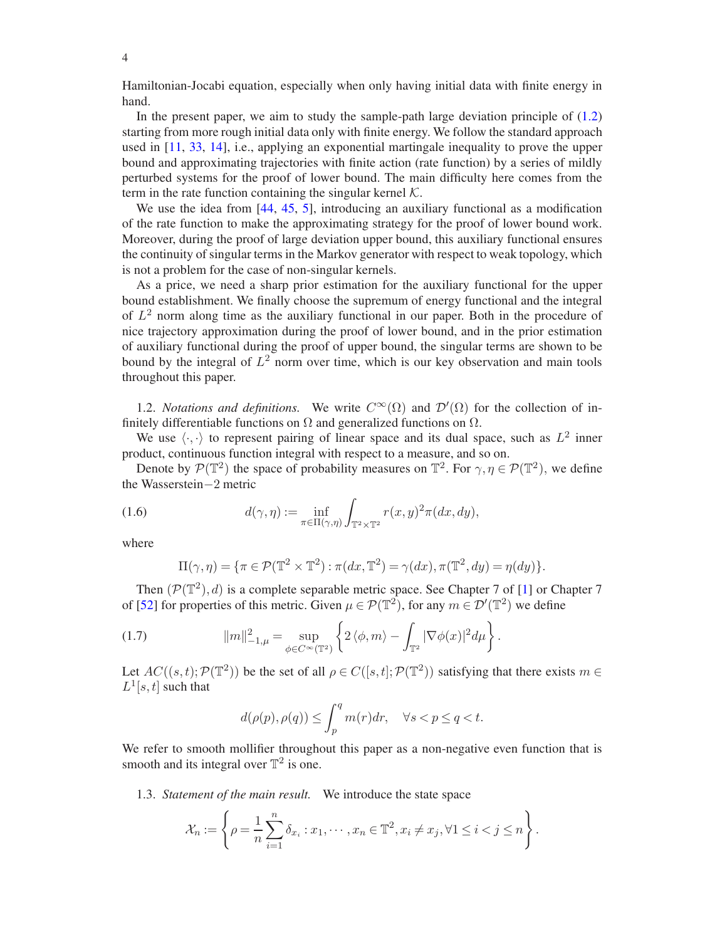Hamiltonian-Jocabi equation, especially when only having initial data with finite energy in hand.

In the present paper, we aim to study the sample-path large deviation principle of [\(1.2\)](#page-1-0) starting from more rough initial data only with finite energy. We follow the standard approach used in [\[11](#page-47-13), [33,](#page-48-16) [14\]](#page-47-18), i.e., applying an exponential martingale inequality to prove the upper bound and approximating trajectories with finite action (rate function) by a series of mildly perturbed systems for the proof of lower bound. The main difficulty here comes from the term in the rate function containing the singular kernel  $K$ .

We use the idea from [\[44,](#page-48-17) [45](#page-48-18), [5](#page-47-19)], introducing an auxiliary functional as a modification of the rate function to make the approximating strategy for the proof of lower bound work. Moreover, during the proof of large deviation upper bound, this auxiliary functional ensures the continuity of singular terms in the Markov generator with respect to weak topology, which is not a problem for the case of non-singular kernels.

As a price, we need a sharp prior estimation for the auxiliary functional for the upper bound establishment. We finally choose the supremum of energy functional and the integral of  $L^2$  norm along time as the auxiliary functional in our paper. Both in the procedure of nice trajectory approximation during the proof of lower bound, and in the prior estimation of auxiliary functional during the proof of upper bound, the singular terms are shown to be bound by the integral of  $L^2$  norm over time, which is our key observation and main tools throughout this paper.

<span id="page-3-0"></span>1.2. *Notations and definitions.* We write  $C^{\infty}(\Omega)$  and  $\mathcal{D}'(\Omega)$  for the collection of infinitely differentiable functions on  $\Omega$  and generalized functions on  $\Omega$ .

We use  $\langle \cdot, \cdot \rangle$  to represent pairing of linear space and its dual space, such as  $L^2$  inner product, continuous function integral with respect to a measure, and so on.

Denote by  $\mathcal{P}(\mathbb{T}^2)$  the space of probability measures on  $\mathbb{T}^2$ . For  $\gamma, \eta \in \mathcal{P}(\mathbb{T}^2)$ , we define the Wasserstein−2 metric

(1.6) 
$$
d(\gamma, \eta) := \inf_{\pi \in \Pi(\gamma, \eta)} \int_{\mathbb{T}^2 \times \mathbb{T}^2} r(x, y)^2 \pi(dx, dy),
$$

where

$$
\Pi(\gamma,\eta) = \{ \pi \in \mathcal{P}(\mathbb{T}^2 \times \mathbb{T}^2) : \pi(dx,\mathbb{T}^2) = \gamma(dx), \pi(\mathbb{T}^2, dy) = \eta(dy) \}.
$$

Then  $(\mathcal{P}(\mathbb{T}^2), d)$  is a complete separable metric space. See Chapter 7 of [\[1](#page-47-20)] or Chapter 7 of [\[52](#page-48-19)] for properties of this metric. Given  $\mu \in \mathcal{P}(\mathbb{T}^2)$ , for any  $m \in \mathcal{D}'(\mathbb{T}^2)$  we define

(1.7) 
$$
||m||_{-1,\mu}^2 = \sup_{\phi \in C^\infty(\mathbb{T}^2)} \left\{ 2 \langle \phi, m \rangle - \int_{\mathbb{T}^2} |\nabla \phi(x)|^2 d\mu \right\}.
$$

Let  $AC((s,t); \mathcal{P}(\mathbb{T}^2))$  be the set of all  $\rho \in C([s,t]; \mathcal{P}(\mathbb{T}^2))$  satisfying that there exists  $m \in \mathbb{Z}$  $L^1[s,t]$  such that

$$
d(\rho(p), \rho(q)) \le \int_p^q m(r) dr, \quad \forall s < p \le q < t.
$$

We refer to smooth mollifier throughout this paper as a non-negative even function that is smooth and its integral over  $\mathbb{T}^2$  is one.

<span id="page-3-1"></span>1.3. *Statement of the main result.* We introduce the state space

$$
\mathcal{X}_n := \left\{ \rho = \frac{1}{n} \sum_{i=1}^n \delta_{x_i} : x_1, \cdots, x_n \in \mathbb{T}^2, x_i \neq x_j, \forall 1 \leq i < j \leq n \right\}.
$$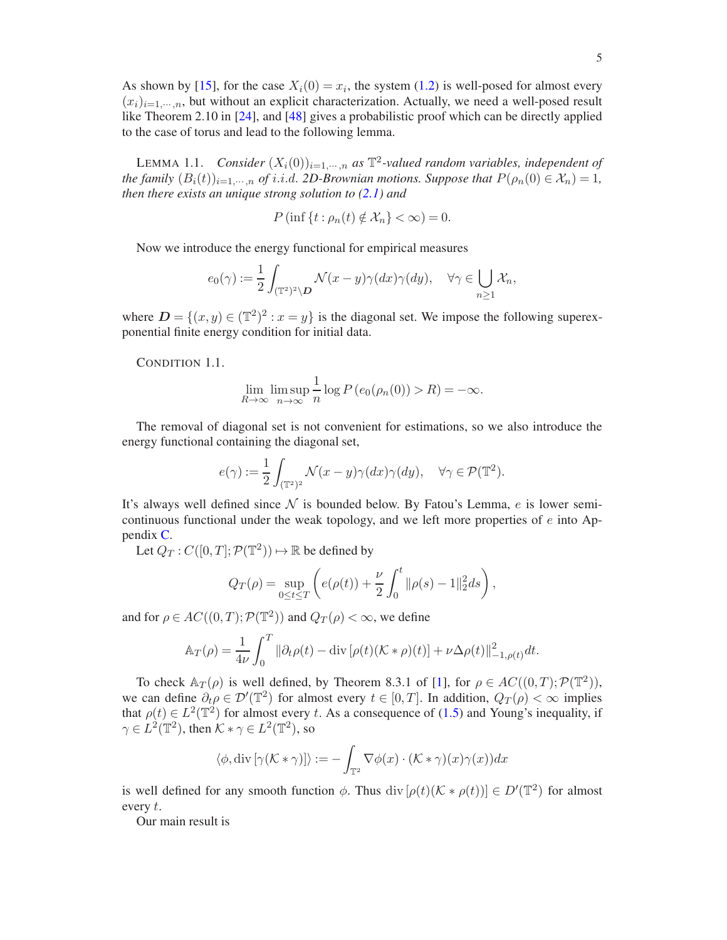As shown by [\[15\]](#page-47-9), for the case  $X_i(0) = x_i$ , the system [\(1.2\)](#page-1-0) is well-posed for almost every  $(x_i)_{i=1,\dots,n}$ , but without an explicit characterization. Actually, we need a well-posed result like Theorem 2.10 in [\[24](#page-47-8)], and [\[48\]](#page-48-20) gives a probabilistic proof which can be directly applied to the case of torus and lead to the following lemma.

<span id="page-4-0"></span>LEMMA 1.1. *Consider*  $(X_i(0))_{i=1,\dots,n}$  *as*  $\mathbb{T}^2$ -valued random variables, independent of *the family*  $(B_i(t))_{i=1,\dots,n}$  *of i.i.d. 2D-Brownian motions. Suppose that*  $P(\rho_n(0) \in \mathcal{X}_n) = 1$ *, then there exists an unique strong solution to [\(2.1\)](#page-6-2) and*

$$
P(\inf\{t:\rho_n(t)\notin\mathcal{X}_n\}<\infty)=0.
$$

Now we introduce the energy functional for empirical measures

$$
e_0(\gamma) := \frac{1}{2} \int_{(\mathbb{T}^2)^2 \setminus \mathcal{D}} \mathcal{N}(x - y) \gamma(dx) \gamma(dy), \quad \forall \gamma \in \bigcup_{n \ge 1} \mathcal{X}_n,
$$

where  $D = \{(x, y) \in (\mathbb{T}^2)^2 : x = y\}$  is the diagonal set. We impose the following superexponential finite energy condition for initial data.

<span id="page-4-1"></span>CONDITION 1.1.

$$
\lim_{R \to \infty} \limsup_{n \to \infty} \frac{1}{n} \log P(e_0(\rho_n(0)) > R) = -\infty.
$$

The removal of diagonal set is not convenient for estimations, so we also introduce the energy functional containing the diagonal set,

$$
e(\gamma) := \frac{1}{2} \int_{(\mathbb{T}^2)^2} \mathcal{N}(x - y) \gamma(dx) \gamma(dy), \quad \forall \gamma \in \mathcal{P}(\mathbb{T}^2).
$$

It's always well defined since  $\mathcal N$  is bounded below. By Fatou's Lemma, e is lower semicontinuous functional under the weak topology, and we left more properties of  $e$  into Appendix [C.](#page-44-1)

Let  $Q_T: C([0,T]; \mathcal{P}(\mathbb{T}^2)) \mapsto \mathbb{R}$  be defined by

$$
Q_T(\rho) = \sup_{0 \le t \le T} \left( e(\rho(t)) + \frac{\nu}{2} \int_0^t ||\rho(s) - 1||_2^2 ds \right),
$$

and for  $\rho \in AC((0, T); \mathcal{P}(\mathbb{T}^2))$  and  $Q_T(\rho) < \infty$ , we define

$$
\mathbb{A}_T(\rho) = \frac{1}{4\nu} \int_0^T \|\partial_t \rho(t) - \text{div} \left[ \rho(t) (\mathcal{K} * \rho)(t) \right] + \nu \Delta \rho(t) \|^2_{-1, \rho(t)} dt.
$$

To check  $\mathbb{A}_T(\rho)$  is well defined, by Theorem 8.3.1 of [\[1](#page-47-20)], for  $\rho \in AC((0,T); \mathcal{P}(\mathbb{T}^2))$ , we can define  $\partial_t \rho \in \mathcal{D}'(\mathbb{T}^2)$  for almost every  $t \in [0,T]$ . In addition,  $Q_T(\rho) < \infty$  implies that  $\rho(t) \in L^2(\mathbb{T}^2)$  for almost every t. As a consequence of [\(1.5\)](#page-2-1) and Young's inequality, if  $\gamma \in L^2(\mathbb{T}^2)$ , then  $\mathcal{K} * \gamma \in L^2(\mathbb{T}^2)$ , so

$$
\langle \phi, \operatorname{div} [\gamma(\mathcal{K} * \gamma)] \rangle := - \int_{\mathbb{T}^2} \nabla \phi(x) \cdot (\mathcal{K} * \gamma)(x) \gamma(x) dx
$$

is well defined for any smooth function  $\phi$ . Thus div  $[\rho(t)(K * \rho(t))] \in D'(\mathbb{T}^2)$  for almost every t.

Our main result is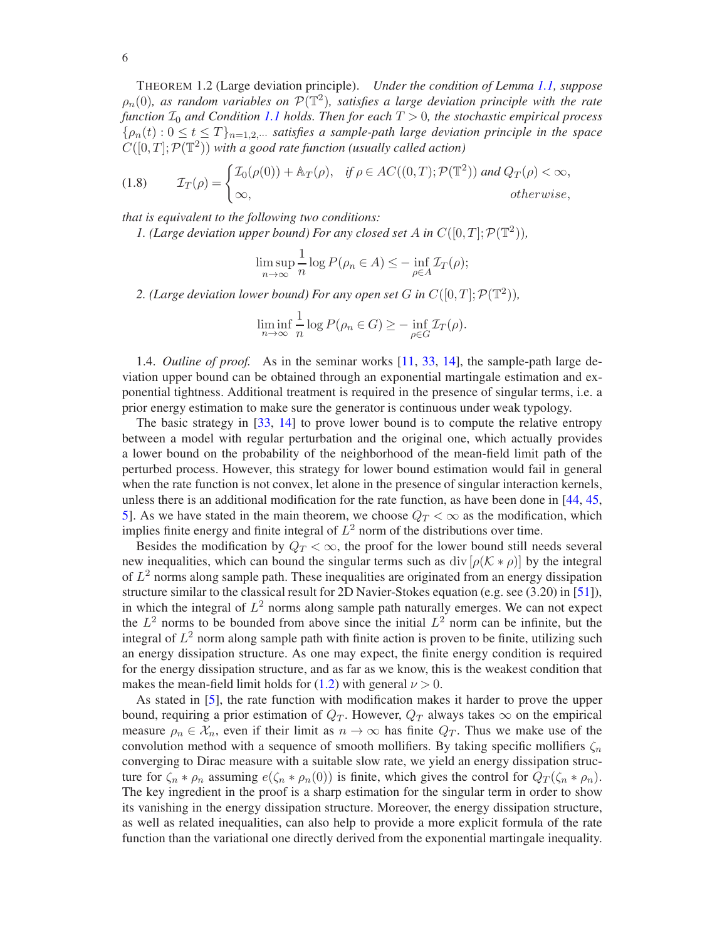<span id="page-5-2"></span>THEOREM 1.2 (Large deviation principle). *Under the condition of Lemma [1.1,](#page-4-0) suppose*  $\rho_n(0)$ , as random variables on  $\mathcal{P}(\mathbb{T}^2)$ , satisfies a large deviation principle with the rate *function*  $\mathcal{I}_0$  *and Condition [1.1](#page-4-1) holds. Then for each*  $T > 0$ *, the stochastic empirical process*  ${\rho_n(t): 0 \le t \le T}_{n=1,2,\dots}$  *satisfies a sample-path large deviation principle in the space*  $C([0,T]; \mathcal{P}(\mathbb{T}^2))$  with a good rate function (usually called action)

<span id="page-5-1"></span>(1.8) 
$$
\mathcal{I}_T(\rho) = \begin{cases} \mathcal{I}_0(\rho(0)) + \mathbb{A}_T(\rho), & \text{if } \rho \in AC((0,T); \mathcal{P}(\mathbb{T}^2)) \text{ and } Q_T(\rho) < \infty, \\ \infty, & \text{otherwise,} \end{cases}
$$

*that is equivalent to the following two conditions:*

*1.* (Large deviation upper bound) For any closed set A in  $C([0,T]; \mathcal{P}(\mathbb{T}^2))$ ,

$$
\limsup_{n \to \infty} \frac{1}{n} \log P(\rho_n \in A) \leq - \inf_{\rho \in A} \mathcal{I}_T(\rho);
$$

2. (Large deviation lower bound) For any open set G in  $C([0,T]; \mathcal{P}(\mathbb{T}^2))$ ,

$$
\liminf_{n \to \infty} \frac{1}{n} \log P(\rho_n \in G) \ge - \inf_{\rho \in G} \mathcal{I}_T(\rho).
$$

<span id="page-5-0"></span>1.4. *Outline of proof.* As in the seminar works [\[11](#page-47-13), [33,](#page-48-16) [14\]](#page-47-18), the sample-path large deviation upper bound can be obtained through an exponential martingale estimation and exponential tightness. Additional treatment is required in the presence of singular terms, i.e. a prior energy estimation to make sure the generator is continuous under weak typology.

The basic strategy in [\[33](#page-48-16), [14\]](#page-47-18) to prove lower bound is to compute the relative entropy between a model with regular perturbation and the original one, which actually provides a lower bound on the probability of the neighborhood of the mean-field limit path of the perturbed process. However, this strategy for lower bound estimation would fail in general when the rate function is not convex, let alone in the presence of singular interaction kernels, unless there is an additional modification for the rate function, as have been done in [\[44](#page-48-17), [45,](#page-48-18) [5](#page-47-19)]. As we have stated in the main theorem, we choose  $Q_T < \infty$  as the modification, which implies finite energy and finite integral of  $L^2$  norm of the distributions over time.

Besides the modification by  $Q_T < \infty$ , the proof for the lower bound still needs several new inequalities, which can bound the singular terms such as div  $[\rho(K * \rho)]$  by the integral of  $L^2$  norms along sample path. These inequalities are originated from an energy dissipation structure similar to the classical result for 2D Navier-Stokes equation (e.g. see (3.20) in [\[51](#page-48-21)]), in which the integral of  $L^2$  norms along sample path naturally emerges. We can not expect the  $L^2$  norms to be bounded from above since the initial  $L^2$  norm can be infinite, but the integral of  $L^2$  norm along sample path with finite action is proven to be finite, utilizing such an energy dissipation structure. As one may expect, the finite energy condition is required for the energy dissipation structure, and as far as we know, this is the weakest condition that makes the mean-field limit holds for [\(1.2\)](#page-1-0) with general  $\nu > 0$ .

As stated in [\[5](#page-47-19)], the rate function with modification makes it harder to prove the upper bound, requiring a prior estimation of  $Q_T$ . However,  $Q_T$  always takes  $\infty$  on the empirical measure  $\rho_n \in \mathcal{X}_n$ , even if their limit as  $n \to \infty$  has finite  $Q_T$ . Thus we make use of the convolution method with a sequence of smooth mollifiers. By taking specific mollifiers  $\zeta_n$ converging to Dirac measure with a suitable slow rate, we yield an energy dissipation structure for  $\zeta_n * \rho_n$  assuming  $e(\zeta_n * \rho_n(0))$  is finite, which gives the control for  $Q_T(\zeta_n * \rho_n)$ . The key ingredient in the proof is a sharp estimation for the singular term in order to show its vanishing in the energy dissipation structure. Moreover, the energy dissipation structure, as well as related inequalities, can also help to provide a more explicit formula of the rate function than the variational one directly derived from the exponential martingale inequality.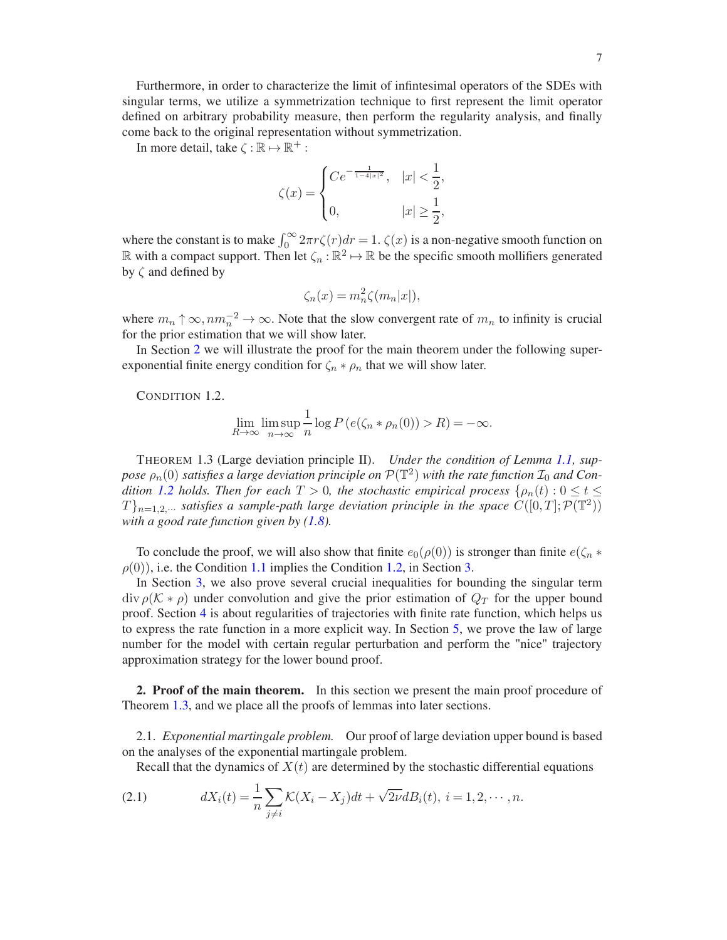Furthermore, in order to characterize the limit of infintesimal operators of the SDEs with singular terms, we utilize a symmetrization technique to first represent the limit operator defined on arbitrary probability measure, then perform the regularity analysis, and finally come back to the original representation without symmetrization.

In more detail, take  $\zeta : \mathbb{R} \mapsto \mathbb{R}^+$ :

$$
\zeta(x) = \begin{cases}\nCe^{-\frac{1}{1-4|x|^2}}, & |x| < \frac{1}{2}, \\
0, & |x| \ge \frac{1}{2},\n\end{cases}
$$

where the constant is to make  $\int_0^\infty 2\pi r \zeta(r) dr = 1$ .  $\zeta(x)$  is a non-negative smooth function on R with a compact support. Then let  $\zeta_n : \mathbb{R}^2 \to \mathbb{R}$  be the specific smooth mollifiers generated by  $\zeta$  and defined by

$$
\zeta_n(x) = m_n^2 \zeta(m_n|x|),
$$

where  $m_n \uparrow \infty$ ,  $nm_n^{-2} \to \infty$ . Note that the slow convergent rate of  $m_n$  to infinity is crucial for the prior estimation that we will show later.

In Section [2](#page-6-0) we will illustrate the proof for the main theorem under the following superexponential finite energy condition for  $\zeta_n * \rho_n$  that we will show later.

<span id="page-6-3"></span>CONDITION 1.2.

$$
\lim_{R \to \infty} \limsup_{n \to \infty} \frac{1}{n} \log P(e(\zeta_n * \rho_n(0)) > R) = -\infty.
$$

<span id="page-6-4"></span>THEOREM 1.3 (Large deviation principle II). *Under the condition of Lemma [1.1,](#page-4-0) sup*pose  $\rho_n(0)$  satisfies a large deviation principle on  $\mathcal{P}(\mathbb{T}^2)$  with the rate function  $\mathcal{I}_0$  and Con*dition* [1.2](#page-6-3) *holds. Then for each*  $T > 0$ *, the stochastic empirical process* { $\rho_n(t)$  :  $0 \le t \le$  $T\}_{n=1,2,\cdots}$  *satisfies a sample-path large deviation principle in the space*  $C([0,T]; \mathcal{P}(\mathbb{T}^2))$ *with a good rate function given by [\(1.8\)](#page-5-1).*

To conclude the proof, we will also show that finite  $e_0(\rho(0))$  is stronger than finite  $e(\zeta_n *$  $\rho(0)$ , i.e. the Condition [1.1](#page-4-1) implies the Condition [1.2,](#page-6-3) in Section [3.](#page-16-0)

In Section [3,](#page-16-0) we also prove several crucial inequalities for bounding the singular term  $\text{div } \rho(\mathcal{K} * \rho)$  under convolution and give the prior estimation of  $Q_T$  for the upper bound proof. Section [4](#page-24-0) is about regularities of trajectories with finite rate function, which helps us to express the rate function in a more explicit way. In Section [5,](#page-31-0) we prove the law of large number for the model with certain regular perturbation and perform the "nice" trajectory approximation strategy for the lower bound proof.

<span id="page-6-0"></span>2. Proof of the main theorem. In this section we present the main proof procedure of Theorem [1.3,](#page-6-4) and we place all the proofs of lemmas into later sections.

<span id="page-6-1"></span>2.1. *Exponential martingale problem.* Our proof of large deviation upper bound is based on the analyses of the exponential martingale problem.

<span id="page-6-2"></span>Recall that the dynamics of  $X(t)$  are determined by the stochastic differential equations

(2.1) 
$$
dX_i(t) = \frac{1}{n} \sum_{j \neq i} K(X_i - X_j) dt + \sqrt{2\nu} dB_i(t), i = 1, 2, \cdots, n.
$$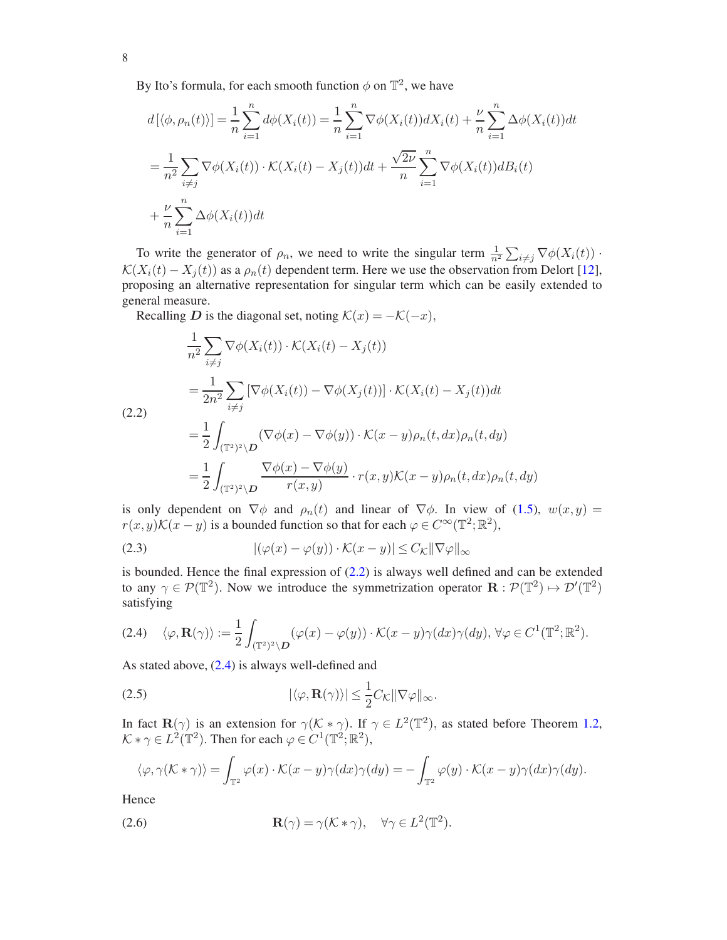By Ito's formula, for each smooth function  $\phi$  on  $\mathbb{T}^2$ , we have

$$
d\left[\langle \phi, \rho_n(t) \rangle\right] = \frac{1}{n} \sum_{i=1}^n d\phi(X_i(t)) = \frac{1}{n} \sum_{i=1}^n \nabla \phi(X_i(t)) dX_i(t) + \frac{\nu}{n} \sum_{i=1}^n \Delta \phi(X_i(t)) dt
$$
  

$$
= \frac{1}{n^2} \sum_{i \neq j} \nabla \phi(X_i(t)) \cdot \mathcal{K}(X_i(t) - X_j(t)) dt + \frac{\sqrt{2\nu}}{n} \sum_{i=1}^n \nabla \phi(X_i(t)) dB_i(t)
$$
  

$$
+ \frac{\nu}{n} \sum_{i=1}^n \Delta \phi(X_i(t)) dt
$$

To write the generator of  $\rho_n$ , we need to write the singular term  $\frac{1}{n^2} \sum_{i \neq j} \nabla \phi(X_i(t))$ .  $\mathcal{K}(X_i(t) - X_i(t))$  as a  $\rho_n(t)$  dependent term. Here we use the observation from Delort [\[12](#page-47-21)], proposing an alternative representation for singular term which can be easily extended to general measure.

Recalling D is the diagonal set, noting  $\mathcal{K}(x) = -\mathcal{K}(-x)$ ,

<span id="page-7-0"></span>
$$
\frac{1}{n^2} \sum_{i \neq j} \nabla \phi(X_i(t)) \cdot \mathcal{K}(X_i(t) - X_j(t))
$$
\n
$$
= \frac{1}{2n^2} \sum_{i \neq j} \left[ \nabla \phi(X_i(t)) - \nabla \phi(X_j(t)) \right] \cdot \mathcal{K}(X_i(t) - X_j(t)) dt
$$
\n(2.2)\n
$$
= \frac{1}{2} \int_{(\mathbb{T}^2)^2 \backslash D} (\nabla \phi(x) - \nabla \phi(y)) \cdot \mathcal{K}(x - y) \rho_n(t, dx) \rho_n(t, dy)
$$
\n
$$
= \frac{1}{2} \int_{(\mathbb{T}^2)^2 \backslash D} \frac{\nabla \phi(x) - \nabla \phi(y)}{r(x, y)} \cdot r(x, y) \mathcal{K}(x - y) \rho_n(t, dx) \rho_n(t, dy)
$$

is only dependent on  $\nabla \phi$  and  $\rho_n(t)$  and linear of  $\nabla \phi$ . In view of [\(1.5\)](#page-2-1),  $w(x, y) =$  $r(x, y) \mathcal{K}(x - y)$  is a bounded function so that for each  $\varphi \in C^{\infty}(\mathbb{T}^2; \mathbb{R}^2)$ ,

(2.3) 
$$
|(\varphi(x) - \varphi(y)) \cdot \mathcal{K}(x - y)| \leq C_{\mathcal{K}} ||\nabla \varphi||_{\infty}
$$

is bounded. Hence the final expression of [\(2.2\)](#page-7-0) is always well defined and can be extended to any  $\gamma \in \mathcal{P}(\mathbb{T}^2)$ . Now we introduce the symmetrization operator  $\mathbf{R} : \mathcal{P}(\mathbb{T}^2) \mapsto \mathcal{D}'(\mathbb{T}^2)$ satisfying

<span id="page-7-1"></span>
$$
(2.4) \quad \langle \varphi, \mathbf{R}(\gamma) \rangle := \frac{1}{2} \int_{(\mathbb{T}^2)^2 \setminus \mathcal{D}} (\varphi(x) - \varphi(y)) \cdot \mathcal{K}(x - y) \gamma(dx) \gamma(dy), \, \forall \varphi \in C^1(\mathbb{T}^2; \mathbb{R}^2).
$$

As stated above, [\(2.4\)](#page-7-1) is always well-defined and

<span id="page-7-2"></span>(2.5) 
$$
|\langle \varphi, \mathbf{R}(\gamma) \rangle| \leq \frac{1}{2} C_{\mathcal{K}} ||\nabla \varphi||_{\infty}.
$$

In fact  $\mathbf{R}(\gamma)$  is an extension for  $\gamma(K \ast \gamma)$ . If  $\gamma \in L^2(\mathbb{T}^2)$ , as stated before Theorem [1.2,](#page-5-2)  $\mathcal{K} * \gamma \in L^2(\mathbb{T}^2)$ . Then for each  $\varphi \in C^1(\mathbb{T}^2; \mathbb{R}^2)$ ,

<span id="page-7-3"></span>
$$
\langle \varphi, \gamma(\mathcal{K} * \gamma) \rangle = \int_{\mathbb{T}^2} \varphi(x) \cdot \mathcal{K}(x - y) \gamma(dx) \gamma(dy) = - \int_{\mathbb{T}^2} \varphi(y) \cdot \mathcal{K}(x - y) \gamma(dx) \gamma(dy).
$$

Hence

(2.6) 
$$
\mathbf{R}(\gamma) = \gamma(\mathcal{K} * \gamma), \quad \forall \gamma \in L^{2}(\mathbb{T}^{2}).
$$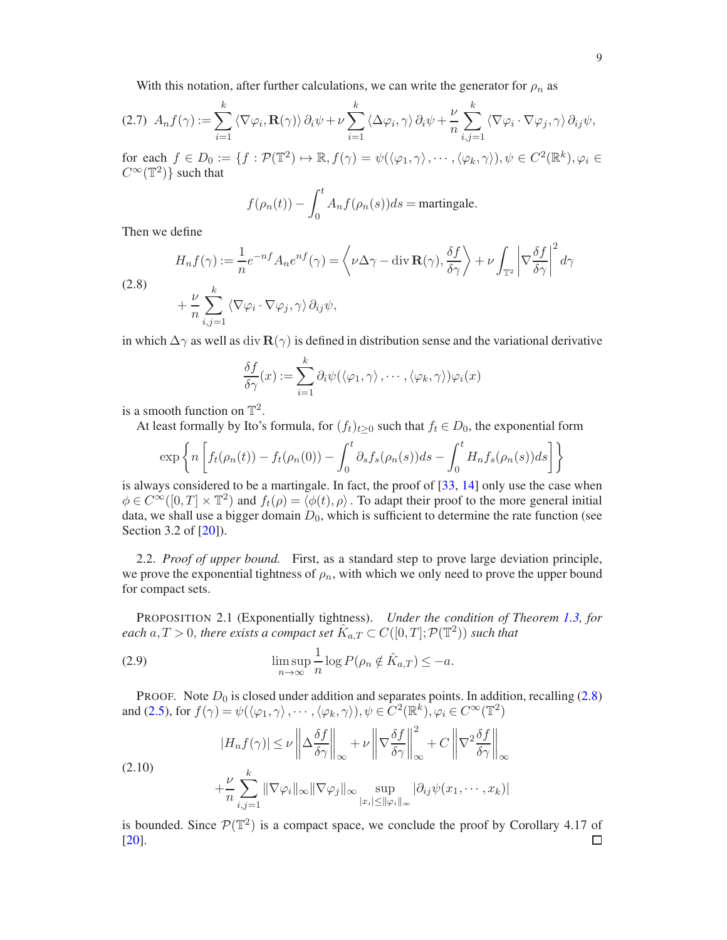With this notation, after further calculations, we can write the generator for  $\rho_n$  as

$$
(2.7) \ A_n f(\gamma) := \sum_{i=1}^k \langle \nabla \varphi_i, \mathbf{R}(\gamma) \rangle \partial_i \psi + \nu \sum_{i=1}^k \langle \Delta \varphi_i, \gamma \rangle \partial_i \psi + \frac{\nu}{n} \sum_{i,j=1}^k \langle \nabla \varphi_i \cdot \nabla \varphi_j, \gamma \rangle \partial_{ij} \psi,
$$

for each  $f \in D_0 := \{ f : \mathcal{P}(\mathbb{T}^2) \mapsto \mathbb{R}, f(\gamma) = \psi(\langle \varphi_1, \gamma \rangle, \cdots, \langle \varphi_k, \gamma \rangle), \psi \in C^2(\mathbb{R}^k), \varphi_i \in C^2(\mathbb{R}^k) \}$  $C^{\infty}(\mathbb{T}^2)$  such that

$$
f(\rho_n(t)) - \int_0^t A_n f(\rho_n(s)) ds = \text{martingale}.
$$

Then we define

 $(2)$ 

<span id="page-8-1"></span>
$$
H_n f(\gamma) := \frac{1}{n} e^{-nf} A_n e^{nf}(\gamma) = \left\langle \nu \Delta \gamma - \text{div } \mathbf{R}(\gamma), \frac{\delta f}{\delta \gamma} \right\rangle + \nu \int_{\mathbb{T}^2} \left| \nabla \frac{\delta f}{\delta \gamma} \right|^2 d\gamma
$$
  
.8)  

$$
+ \frac{\nu}{n} \sum_{i,j=1}^k \left\langle \nabla \varphi_i \cdot \nabla \varphi_j, \gamma \right\rangle \partial_{ij} \psi,
$$

in which  $\Delta\gamma$  as well as div  $\mathbf{R}(\gamma)$  is defined in distribution sense and the variational derivative

$$
\frac{\delta f}{\delta \gamma}(x) := \sum_{i=1}^{k} \partial_i \psi(\langle \varphi_1, \gamma \rangle, \cdots, \langle \varphi_k, \gamma \rangle) \varphi_i(x)
$$

is a smooth function on  $\mathbb{T}^2$ .

At least formally by Ito's formula, for  $(f_t)_{t\geq0}$  such that  $f_t \in D_0$ , the exponential form

$$
\exp\left\{n\left[f_t(\rho_n(t))-f_t(\rho_n(0))-\int_0^t\partial_sf_s(\rho_n(s))ds-\int_0^tH_nf_s(\rho_n(s))ds\right]\right\}
$$

is always considered to be a martingale. In fact, the proof of  $[33, 14]$  $[33, 14]$  $[33, 14]$  only use the case when  $\phi \in C^{\infty}([0,T] \times \mathbb{T}^2)$  and  $f_t(\rho) = \langle \phi(t), \rho \rangle$ . To adapt their proof to the more general initial data, we shall use a bigger domain  $D_0$ , which is sufficient to determine the rate function (see Section 3.2 of [\[20](#page-47-15)]).

<span id="page-8-0"></span>2.2. *Proof of upper bound.* First, as a standard step to prove large deviation principle, we prove the exponential tightness of  $\rho_n$ , with which we only need to prove the upper bound for compact sets.

<span id="page-8-2"></span>PROPOSITION 2.1 (Exponentially tightness). *Under the condition of Theorem [1.3,](#page-6-4) for*  $\emph{each}~a,T>0,$  there exists a compact set  $\hat{K}_{a,T}\subset C([0,T];\mathcal{P}(\mathbb{T}^2))$  such that

<span id="page-8-3"></span>(2.9) 
$$
\limsup_{n \to \infty} \frac{1}{n} \log P(\rho_n \notin \hat{K}_{a,T}) \leq -a.
$$

PROOF. Note  $D_0$  is closed under addition and separates points. In addition, recalling [\(2.8\)](#page-8-1) and [\(2.5\)](#page-7-2), for  $f(\gamma) = \psi(\langle \varphi_1, \gamma \rangle, \dots, \langle \varphi_k, \gamma \rangle), \psi \in C^2(\mathbb{R}^k)$ ,  $\varphi_i \in C^\infty(\mathbb{T}^2)$ 

(2.10)  

$$
|H_n f(\gamma)| \leq \nu \left\| \Delta \frac{\delta f}{\delta \gamma} \right\|_{\infty} + \nu \left\| \nabla \frac{\delta f}{\delta \gamma} \right\|_{\infty}^2 + C \left\| \nabla^2 \frac{\delta f}{\delta \gamma} \right\|_{\infty}
$$

$$
+ \frac{\nu}{n} \sum_{i,j=1}^k \|\nabla \varphi_i\|_{\infty} \|\nabla \varphi_j\|_{\infty} \sup_{|x_i| \leq \|\varphi_i\|_{\infty}} |\partial_{ij} \psi(x_1, \dots, x_k)|
$$

is bounded. Since  $\mathcal{P}(\mathbb{T}^2)$  is a compact space, we conclude the proof by Corollary 4.17 of [\[20](#page-47-15)]. $\Box$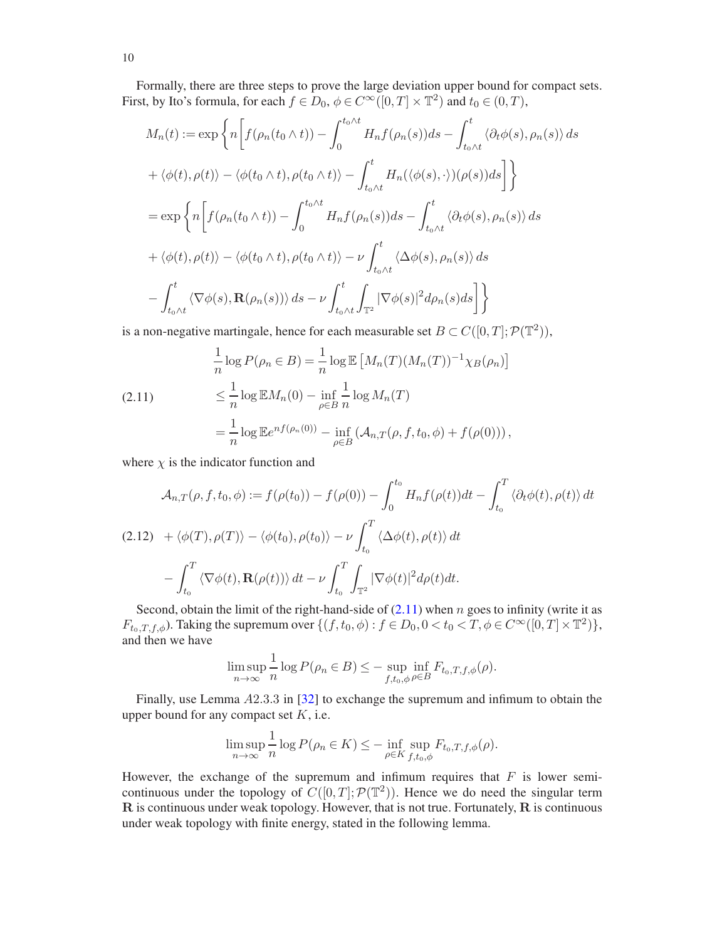Formally, there are three steps to prove the large deviation upper bound for compact sets. First, by Ito's formula, for each  $f \in D_0$ ,  $\phi \in C^\infty([0, T] \times \mathbb{T}^2)$  and  $t_0 \in (0, T)$ ,

$$
M_n(t) := \exp\left\{n\left[f(\rho_n(t_0\wedge t)) - \int_0^{t_0\wedge t} H_nf(\rho_n(s))ds - \int_{t_0\wedge t}^t \langle\partial_t\phi(s), \rho_n(s)\rangle ds\right.\right\}
$$
  
+  $\langle\phi(t), \rho(t)\rangle - \langle\phi(t_0\wedge t), \rho(t_0\wedge t)\rangle - \int_{t_0\wedge t}^t H_n(\langle\phi(s), \cdot\rangle)(\rho(s))ds\right\}$   
=  $\exp\left\{n\left[f(\rho_n(t_0\wedge t)) - \int_0^{t_0\wedge t} H_nf(\rho_n(s))ds - \int_{t_0\wedge t}^t \langle\partial_t\phi(s), \rho_n(s)\rangle ds\right.\right\}$   
+  $\langle\phi(t), \rho(t)\rangle - \langle\phi(t_0\wedge t), \rho(t_0\wedge t)\rangle - \nu\int_{t_0\wedge t}^t \langle\Delta\phi(s), \rho_n(s)\rangle ds$   
-  $\int_{t_0\wedge t}^t \langle\nabla\phi(s), \mathbf{R}(\rho_n(s))\rangle ds - \nu\int_{t_0\wedge t}^t \int_{\mathbb{T}^2} |\nabla\phi(s)|^2 d\rho_n(s)ds\right]$ 

is a non-negative martingale, hence for each measurable set  $B \subset C([0, T]; \mathcal{P}(\mathbb{T}^2))$ ,

<span id="page-9-0"></span>(2.11) 
$$
\frac{1}{n}\log P(\rho_n \in B) = \frac{1}{n}\log \mathbb{E}\left[M_n(T)(M_n(T))^{-1}\chi_B(\rho_n)\right] \le \frac{1}{n}\log \mathbb{E}M_n(0) - \inf_{\rho \in B} \frac{1}{n}\log M_n(T) \n= \frac{1}{n}\log \mathbb{E}e^{nf(\rho_n(0))} - \inf_{\rho \in B} (\mathcal{A}_{n,T}(\rho, f, t_0, \phi) + f(\rho(0))),
$$

where  $\chi$  is the indicator function and

$$
\mathcal{A}_{n,T}(\rho, f, t_0, \phi) := f(\rho(t_0)) - f(\rho(0)) - \int_0^{t_0} H_n f(\rho(t)) dt - \int_{t_0}^T \langle \partial_t \phi(t), \rho(t) \rangle dt
$$
  
(2.12) 
$$
+ \langle \phi(T), \rho(T) \rangle - \langle \phi(t_0), \rho(t_0) \rangle - \nu \int_{t_0}^T \langle \Delta \phi(t), \rho(t) \rangle dt
$$

$$
- \int_{t_0}^T \langle \nabla \phi(t), \mathbf{R}(\rho(t)) \rangle dt - \nu \int_{t_0}^T \int_{\mathbb{T}^2} |\nabla \phi(t)|^2 d\rho(t) dt.
$$

Second, obtain the limit of the right-hand-side of  $(2.11)$  when n goes to infinity (write it as  $F_{t_0,T,f,\phi}$ ). Taking the supremum over  $\{(f, t_0, \phi) : f \in D_0, 0 < t_0 < T, \phi \in C^{\infty}([0,T] \times \mathbb{T}^2)\},$ and then we have

$$
\limsup_{n \to \infty} \frac{1}{n} \log P(\rho_n \in B) \leq - \sup_{f, t_0, \phi \in B} \inf_{F_{t_0, T, f, \phi}(\rho).
$$

Finally, use Lemma A2.3.3 in [\[32\]](#page-48-22) to exchange the supremum and infimum to obtain the upper bound for any compact set  $K$ , i.e.

$$
\limsup_{n \to \infty} \frac{1}{n} \log P(\rho_n \in K) \leq - \inf_{\rho \in K} \sup_{f, t_0, \phi} F_{t_0, T, f, \phi}(\rho).
$$

However, the exchange of the supremum and infimum requires that  $F$  is lower semicontinuous under the topology of  $C([0, T]; \mathcal{P}(\mathbb{T}^2))$ . Hence we do need the singular term R is continuous under weak topology. However, that is not true. Fortunately, R is continuous under weak topology with finite energy, stated in the following lemma.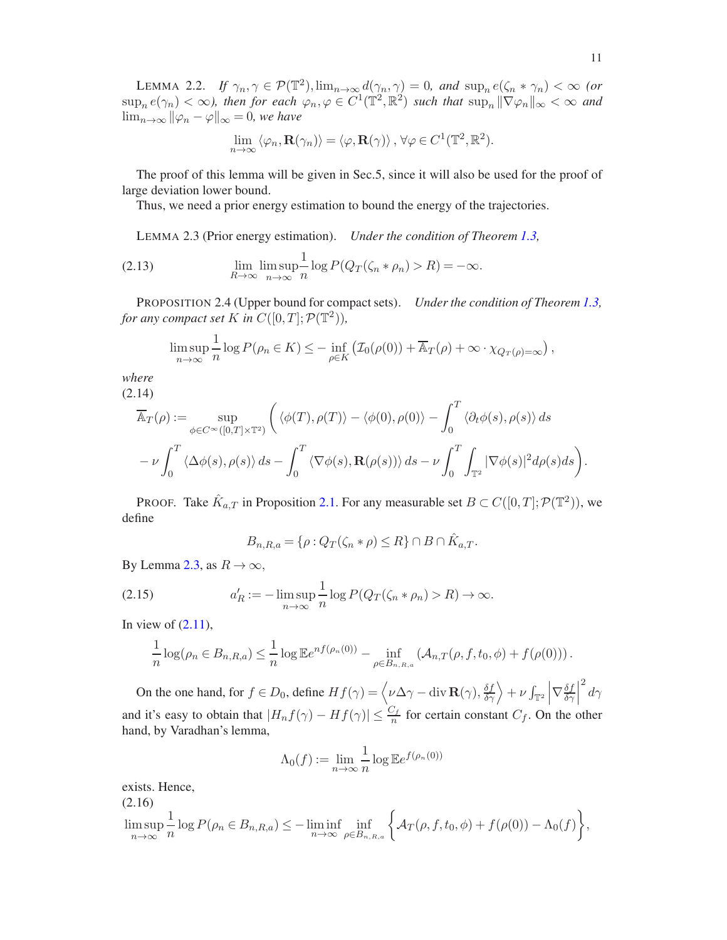<span id="page-10-1"></span>LEMMA 2.2. *If*  $\gamma_n, \gamma \in \mathcal{P}(\mathbb{T}^2), \lim_{n \to \infty} d(\gamma_n, \gamma) = 0$ , and  $\sup_n e(\zeta_n * \gamma_n) < \infty$  (or  $\sup_n e(\gamma_n) < \infty$ ), then for each  $\varphi_n, \varphi \in C^1(\mathbb{T}^2, \mathbb{R}^2)$  such that  $\sup_n \|\nabla \varphi_n\|_{\infty} < \infty$  and  $\lim_{n\to\infty} ||\varphi_n - \varphi||_{\infty} = 0$ , we have

$$
\lim_{n\to\infty} \langle \varphi_n, \mathbf{R}(\gamma_n) \rangle = \langle \varphi, \mathbf{R}(\gamma) \rangle, \forall \varphi \in C^1(\mathbb{T}^2, \mathbb{R}^2).
$$

The proof of this lemma will be given in Sec.5, since it will also be used for the proof of large deviation lower bound.

Thus, we need a prior energy estimation to bound the energy of the trajectories.

<span id="page-10-0"></span>LEMMA 2.3 (Prior energy estimation). *Under the condition of Theorem [1.3,](#page-6-4)*

(2.13) 
$$
\lim_{R \to \infty} \lim_{n \to \infty} \frac{1}{n} \log P(Q_T(\zeta_n * \rho_n) > R) = -\infty.
$$

<span id="page-10-4"></span>PROPOSITION 2.4 (Upper bound for compact sets). *Under the condition of Theorem [1.3,](#page-6-4) for any compact set*  $K$  *in*  $C([0, T]; \mathcal{P}(\mathbb{T}^2))$ *,* 

$$
\limsup_{n\to\infty}\frac{1}{n}\log P(\rho_n\in K)\leq -\inf_{\rho\in K}\left(\mathcal{I}_0(\rho(0))+\overline{\mathbb{A}}_T(\rho)+\infty\cdot\chi_{Q_T(\rho)=\infty}\right),
$$

*where* (2.14)

$$
\overline{\mathbb{A}}_T(\rho) := \sup_{\phi \in C^{\infty}([0,T] \times \mathbb{T}^2)} \left( \langle \phi(T), \rho(T) \rangle - \langle \phi(0), \rho(0) \rangle - \int_0^T \langle \partial_t \phi(s), \rho(s) \rangle ds - \nu \int_0^T \langle \Delta \phi(s), \rho(s) \rangle ds - \nu \int_0^T \int_{\mathbb{T}^2} |\nabla \phi(s)|^2 d\rho(s) ds \right).
$$

PROOF. Take  $\hat{K}_{a,T}$  in Proposition [2.1.](#page-8-2) For any measurable set  $B \subset C([0,T]; \mathcal{P}(\mathbb{T}^2))$ , we define

<span id="page-10-3"></span>
$$
B_{n,R,a} = \{ \rho : Q_T(\zeta_n * \rho) \le R \} \cap B \cap \hat{K}_{a,T}.
$$

By Lemma [2.3,](#page-10-0) as  $R \to \infty$ ,

(2.15) 
$$
a'_R := -\limsup_{n \to \infty} \frac{1}{n} \log P(Q_T(\zeta_n * \rho_n) > R) \to \infty.
$$

In view of  $(2.11)$ ,

$$
\frac{1}{n}\log(\rho_n \in B_{n,R,a}) \leq \frac{1}{n}\log \mathbb{E}e^{nf(\rho_n(0))} - \inf_{\rho \in B_{n,R,a}} (\mathcal{A}_{n,T}(\rho,f,t_0,\phi) + f(\rho(0))).
$$

On the one hand, for  $f \in D_0$ , define  $Hf(\gamma) = \langle \nu \Delta \gamma - \text{div } \mathbf{R}(\gamma), \frac{\delta f}{\delta \gamma} \rangle + \nu \int_{\mathbb{T}^2} \left| \nabla \frac{\delta f}{\delta \gamma} \right|$  $\frac{\delta f}{\delta \gamma}$  $\frac{2}{d\gamma}$ and it's easy to obtain that  $|H_nf(\gamma) - Hf(\gamma)| \leq \frac{C_f}{n}$  for certain constant  $C_f$ . On the other hand, by Varadhan's lemma,

$$
\Lambda_0(f) := \lim_{n \to \infty} \frac{1}{n} \log \mathbb{E} e^{f(\rho_n(0))}
$$

<span id="page-10-2"></span>exists. Hence, (2.16) lim sup  $n\rightarrow\infty$ 1  $\frac{1}{n}\log P(\rho_n \in B_{n,R,a}) \leq -\liminf_{n\to\infty}$  $\inf_{\rho \in B_{n,R,a}} \left\{ A_T(\rho, f, t_0, \phi) + f(\rho(0)) - \Lambda_0(f) \right\},$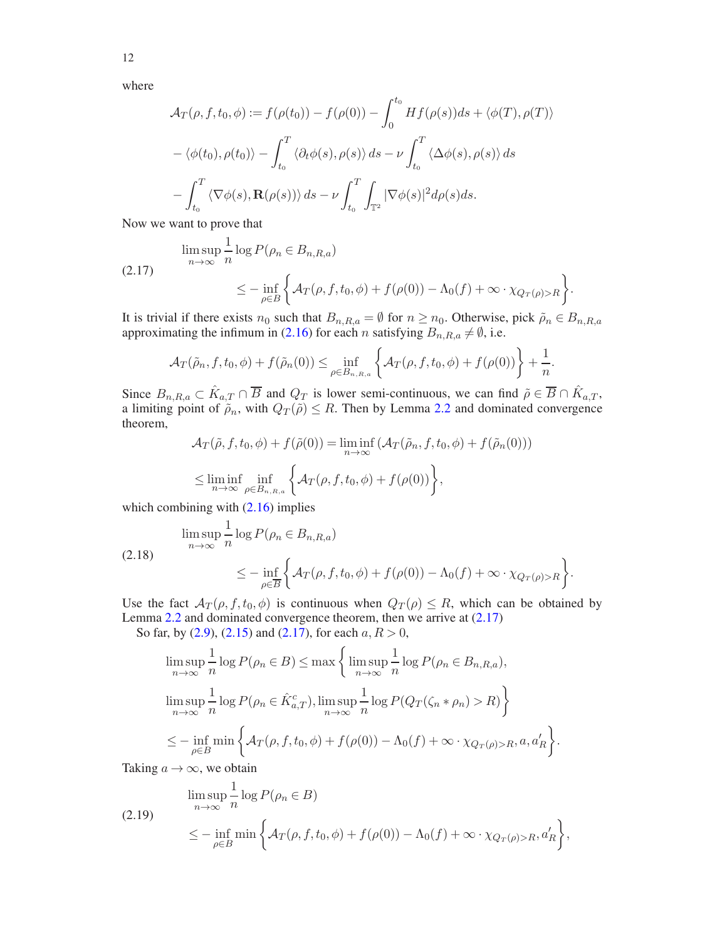12

where

$$
\mathcal{A}_T(\rho, f, t_0, \phi) := f(\rho(t_0)) - f(\rho(0)) - \int_0^{t_0} Hf(\rho(s))ds + \langle \phi(T), \rho(T) \rangle
$$

$$
-\langle \phi(t_0), \rho(t_0) \rangle - \int_{t_0}^T \langle \partial_t \phi(s), \rho(s) \rangle ds - \nu \int_{t_0}^T \langle \Delta \phi(s), \rho(s) \rangle ds
$$

$$
-\int_{t_0}^T \langle \nabla \phi(s), \mathbf{R}(\rho(s)) \rangle ds - \nu \int_{t_0}^T \int_{\mathbb{T}^2} |\nabla \phi(s)|^2 d\rho(s) ds.
$$

Now we want to prove that

<span id="page-11-0"></span>
$$
\limsup_{n \to \infty} \frac{1}{n} \log P(\rho_n \in B_{n,R,a})
$$
\n
$$
\leq - \inf_{\rho \in B} \left\{ \mathcal{A}_T(\rho, f, t_0, \phi) + f(\rho(0)) - \Lambda_0(f) + \infty \cdot \chi_{Q_T(\rho) > R} \right\}.
$$

It is trivial if there exists  $n_0$  such that  $B_{n,R,a} = \emptyset$  for  $n \ge n_0$ . Otherwise, pick  $\tilde{\rho}_n \in B_{n,R,a}$ approximating the infimum in [\(2.16\)](#page-10-2) for each n satisfying  $B_{n,R,a} \neq \emptyset$ , i.e.

$$
\mathcal{A}_T(\tilde{\rho}_n, f, t_0, \phi) + f(\tilde{\rho}_n(0)) \le \inf_{\rho \in B_{n, R, a}} \left\{ \mathcal{A}_T(\rho, f, t_0, \phi) + f(\rho(0)) \right\} + \frac{1}{n}.
$$

Since  $B_{n,R,a} \subset \hat{K}_{a,T} \cap \overline{B}$  and  $Q_T$  is lower semi-continuous, we can find  $\tilde{\rho} \in \overline{B} \cap \hat{K}_{a,T}$ , a limiting point of  $\tilde{\rho}_n$ , with  $Q_T(\tilde{\rho}) \leq R$ . Then by Lemma [2.2](#page-10-1) and dominated convergence theorem,

$$
\mathcal{A}_T(\tilde{\rho}, f, t_0, \phi) + f(\tilde{\rho}(0)) = \liminf_{n \to \infty} (\mathcal{A}_T(\tilde{\rho}_n, f, t_0, \phi) + f(\tilde{\rho}_n(0)))
$$
  
\n
$$
\leq \liminf_{n \to \infty} \inf_{\rho \in B_{n, R, a}} \left\{ \mathcal{A}_T(\rho, f, t_0, \phi) + f(\rho(0)) \right\},
$$

which combining with  $(2.16)$  implies

$$
\limsup_{n \to \infty} \frac{1}{n} \log P(\rho_n \in B_{n,R,a})
$$
\n
$$
\leq - \inf_{\rho \in \overline{B}} \left\{ \mathcal{A}_T(\rho, f, t_0, \phi) + f(\rho(0)) - \Lambda_0(f) + \infty \cdot \chi_{Q_T(\rho) > R} \right\}.
$$

Use the fact  $\mathcal{A}_T(\rho, f, t_0, \phi)$  is continuous when  $Q_T(\rho) \leq R$ , which can be obtained by Lemma [2.2](#page-10-1) and dominated convergence theorem, then we arrive at [\(2.17\)](#page-11-0)

So far, by  $(2.9)$ ,  $(2.15)$  and  $(2.17)$ , for each  $a, R > 0$ ,

$$
\limsup_{n \to \infty} \frac{1}{n} \log P(\rho_n \in B) \le \max \left\{ \limsup_{n \to \infty} \frac{1}{n} \log P(\rho_n \in B_{n,R,a}),
$$
  

$$
\limsup_{n \to \infty} \frac{1}{n} \log P(\rho_n \in \hat{K}_{a,T}^c), \limsup_{n \to \infty} \frac{1}{n} \log P(Q_T(\zeta_n * \rho_n) > R) \right\}
$$
  

$$
\le - \inf_{\rho \in B} \min \left\{ \mathcal{A}_T(\rho, f, t_0, \phi) + f(\rho(0)) - \Lambda_0(f) + \infty \cdot \chi_{Q_T(\rho) > R}, a, a'_R \right\}.
$$

Taking  $a \rightarrow \infty$ , we obtain

<span id="page-11-1"></span>
$$
\limsup_{n \to \infty} \frac{1}{n} \log P(\rho_n \in B)
$$
\n
$$
\leq - \inf_{\rho \in B} \min \left\{ \mathcal{A}_T(\rho, f, t_0, \phi) + f(\rho(0)) - \Lambda_0(f) + \infty \cdot \chi_{Q_T(\rho) > R}, a'_R \right\},\
$$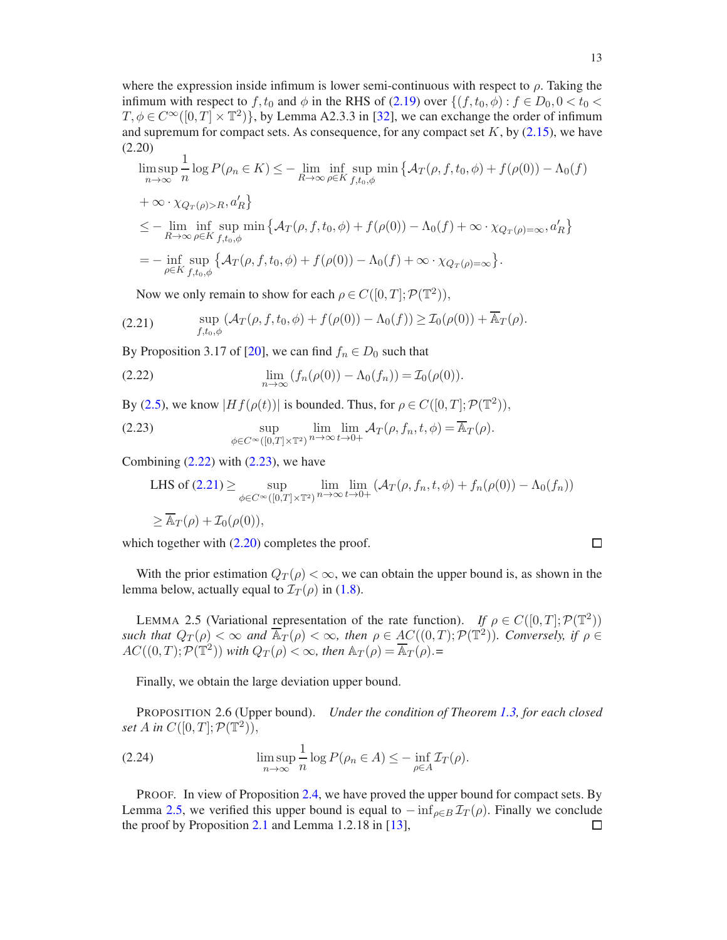where the expression inside infimum is lower semi-continuous with respect to  $\rho$ . Taking the infimum with respect to f,  $t_0$  and  $\phi$  in the RHS of [\(2.19\)](#page-11-1) over  $\{(f, t_0, \phi) : f \in D_0, 0 < t_0 <$  $T, \phi \in C^{\infty}([0, T] \times \mathbb{T}^2)$ , by Lemma A2.3.3 in [\[32\]](#page-48-22), we can exchange the order of infimum and supremum for compact sets. As consequence, for any compact set  $K$ , by [\(2.15\)](#page-10-3), we have (2.20)

<span id="page-12-4"></span>
$$
\limsup_{n \to \infty} \frac{1}{n} \log P(\rho_n \in K) \leq - \lim_{R \to \infty} \inf_{\rho \in K} \sup_{f, t_0, \phi} \min \{ \mathcal{A}_T(\rho, f, t_0, \phi) + f(\rho(0)) - \Lambda_0(f) \}
$$
  
+  $\infty \cdot \chi_{Q_T(\rho) > R}, a'_R \}$   

$$
\leq - \lim_{R \to \infty} \inf_{\rho \in K} \sup_{f, t_0, \phi} \min \{ \mathcal{A}_T(\rho, f, t_0, \phi) + f(\rho(0)) - \Lambda_0(f) + \infty \cdot \chi_{Q_T(\rho) = \infty}, a'_R \}
$$
  
=  $- \inf_{\rho \in K} \sup_{f, t_0, \phi} \{ \mathcal{A}_T(\rho, f, t_0, \phi) + f(\rho(0)) - \Lambda_0(f) + \infty \cdot \chi_{Q_T(\rho) = \infty} \}.$ 

<span id="page-12-3"></span>Now we only remain to show for each  $\rho \in C([0, T]; \mathcal{P}(\mathbb{T}^2)),$ 

(2.21) 
$$
\sup_{f,t_0,\phi} \left( \mathcal{A}_T(\rho,f,t_0,\phi) + f(\rho(0)) - \Lambda_0(f) \right) \geq \mathcal{I}_0(\rho(0)) + \overline{\mathbb{A}}_T(\rho).
$$

By Proposition 3.17 of [\[20](#page-47-15)], we can find  $f_n \in D_0$  such that

<span id="page-12-1"></span>(2.22) 
$$
\lim_{n \to \infty} (f_n(\rho(0)) - \Lambda_0(f_n)) = \mathcal{I}_0(\rho(0)).
$$

By [\(2.5\)](#page-7-2), we know  $|Hf(\rho(t))|$  is bounded. Thus, for  $\rho \in C([0, T]; \mathcal{P}(\mathbb{T}^2))$ ,

(2.23) 
$$
\sup_{\phi \in C^{\infty}([0,T]\times\mathbb{T}^2)} \lim_{n \to \infty} \lim_{t \to 0+} \mathcal{A}_T(\rho, f_n, t, \phi) = \overline{\mathbb{A}}_T(\rho).
$$

Combining  $(2.22)$  with  $(2.23)$ , we have

<span id="page-12-2"></span>LHS of (2.21) 
$$
\geq \sup_{\phi \in C^{\infty}([0,T] \times \mathbb{T}^2)} \lim_{n \to \infty} \lim_{t \to 0+} (\mathcal{A}_T(\rho, f_n, t, \phi) + f_n(\rho(0)) - \Lambda_0(f_n))
$$
  
 $\geq \overline{\mathbb{A}}_T(\rho) + \mathcal{I}_0(\rho(0)),$ 

which together with  $(2.20)$  completes the proof.

With the prior estimation  $Q_T(\rho) < \infty$ , we can obtain the upper bound is, as shown in the lemma below, actually equal to  $\mathcal{I}_T(\rho)$  in [\(1.8\)](#page-5-1).

<span id="page-12-0"></span>LEMMA 2.5 (Variational representation of the rate function). *If*  $\rho \in C([0, T]; \mathcal{P}(\mathbb{T}^2))$ *such that*  $Q_T(\rho) < \infty$  *and*  $\overline{A}_T(\rho) < \infty$ *, then*  $\rho \in \underline{AC}((0,T); \mathcal{P}(\mathbb{T}^2))$ *. Conversely, if*  $\rho \in$  $AC((0, T); \mathcal{P}(\mathbb{T}^2))$  *with*  $Q_T(\rho) < \infty$ *, then*  $\mathbb{A}_T(\rho) = \overline{\mathbb{A}_T(\rho)}$ *.*=

Finally, we obtain the large deviation upper bound.

PROPOSITION 2.6 (Upper bound). *Under the condition of Theorem [1.3,](#page-6-4) for each closed set A* in  $C([0,T]; \mathcal{P}(\mathbb{T}^2)),$ 

(2.24) 
$$
\limsup_{n \to \infty} \frac{1}{n} \log P(\rho_n \in A) \leq -\inf_{\rho \in A} \mathcal{I}_T(\rho).
$$

PROOF. In view of Proposition [2.4,](#page-10-4) we have proved the upper bound for compact sets. By Lemma [2.5,](#page-12-0) we verified this upper bound is equal to  $-\inf_{\rho \in B} \mathcal{I}_T(\rho)$ . Finally we conclude the proof by Proposition 2.1 and Lemma 1.2.18 in [13]. the proof by Proposition [2.1](#page-8-2) and Lemma 1.2.18 in [\[13\]](#page-47-22),

 $\Box$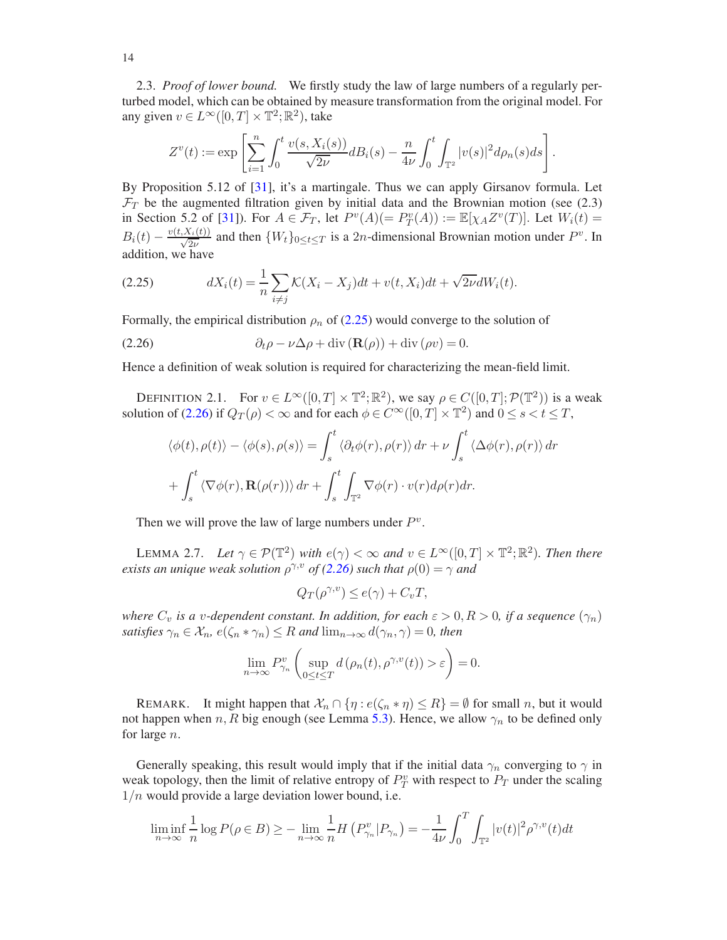<span id="page-13-0"></span>2.3. *Proof of lower bound.* We firstly study the law of large numbers of a regularly perturbed model, which can be obtained by measure transformation from the original model. For any given  $v \in L^{\infty}([0, T] \times \mathbb{T}^2; \mathbb{R}^2)$ , take

$$
Z^{v}(t) := \exp \left[ \sum_{i=1}^{n} \int_{0}^{t} \frac{v(s, X_{i}(s))}{\sqrt{2\nu}} d B_{i}(s) - \frac{n}{4\nu} \int_{0}^{t} \int_{\mathbb{T}^{2}} |v(s)|^{2} d \rho_{n}(s) ds \right].
$$

By Proposition 5.12 of [\[31\]](#page-48-23), it's a martingale. Thus we can apply Girsanov formula. Let  $\mathcal{F}_T$  be the augmented filtration given by initial data and the Brownian motion (see (2.3) in Section 5.2 of [\[31](#page-48-23)]). For  $A \in \mathcal{F}_T$ , let  $P^v(A) (= P_T^v(A)) := \mathbb{E}[\chi_A Z^v(T)]$ . Let  $W_i(t) =$  $B_i(t) - \frac{v(t, X_i(t))}{\sqrt{2\nu}}$  and then  $\{W_t\}_{0 \le t \le T}$  is a 2*n*-dimensional Brownian motion under  $P^v$ . In addition, we have

<span id="page-13-2"></span>(2.25) 
$$
dX_i(t) = \frac{1}{n} \sum_{i \neq j} \mathcal{K}(X_i - X_j) dt + v(t, X_i) dt + \sqrt{2\nu} dW_i(t).
$$

Formally, the empirical distribution  $\rho_n$  of [\(2.25\)](#page-13-2) would converge to the solution of

(2.26) 
$$
\partial_t \rho - \nu \Delta \rho + \text{div} (\mathbf{R}(\rho)) + \text{div} (\rho v) = 0.
$$

Hence a definition of weak solution is required for characterizing the mean-field limit.

<span id="page-13-4"></span>DEFINITION 2.1. For  $v \in L^{\infty}([0,T] \times \mathbb{T}^2; \mathbb{R}^2)$ , we say  $\rho \in C([0,T]; \mathcal{P}(\mathbb{T}^2))$  is a weak solution of [\(2.26\)](#page-13-3) if  $Q_T(\rho) < \infty$  and for each  $\phi \in C^{\infty}([0, T] \times \mathbb{T}^2)$  and  $0 \le s < t \le T$ ,

<span id="page-13-3"></span>
$$
\langle \phi(t), \rho(t) \rangle - \langle \phi(s), \rho(s) \rangle = \int_s^t \langle \partial_t \phi(r), \rho(r) \rangle dr + \nu \int_s^t \langle \Delta \phi(r), \rho(r) \rangle dr
$$

$$
+ \int_s^t \langle \nabla \phi(r), \mathbf{R}(\rho(r)) \rangle dr + \int_s^t \int_{\mathbb{T}^2} \nabla \phi(r) \cdot v(r) d\rho(r) dr.
$$

Then we will prove the law of large numbers under  $P^v$ .

<span id="page-13-1"></span>LEMMA 2.7. Let  $\gamma \in \mathcal{P}(\mathbb{T}^2)$  *with*  $e(\gamma) < \infty$  and  $v \in L^{\infty}([0, T] \times \mathbb{T}^2; \mathbb{R}^2)$ *. Then there exists an unique weak solution*  $\rho^{\gamma,v}$  *of* [\(2.26\)](#page-13-3) *such that*  $\rho(0) = \gamma$  *and* 

$$
Q_T(\rho^{\gamma,v}) \le e(\gamma) + C_v T,
$$

*where*  $C_v$  *is a v*-dependent constant. In addition, for each  $\varepsilon > 0, R > 0$ , *if a sequence*  $(\gamma_n)$ *satisfies*  $\gamma_n \in \mathcal{X}_n$ ,  $e(\zeta_n * \gamma_n) \leq R$  *and*  $\lim_{n \to \infty} d(\gamma_n, \gamma) = 0$ *, then* 

$$
\lim_{n \to \infty} P_{\gamma_n}^v \left( \sup_{0 \le t \le T} d(\rho_n(t), \rho^{\gamma, v}(t)) > \varepsilon \right) = 0.
$$

REMARK. It might happen that  $\mathcal{X}_n \cap \{\eta : e(\zeta_n * \eta) \leq R\} = \emptyset$  for small n, but it would not happen when n, R big enough (see Lemma [5.3\)](#page-34-1). Hence, we allow  $\gamma_n$  to be defined only for large n.

Generally speaking, this result would imply that if the initial data  $\gamma_n$  converging to  $\gamma$  in weak topology, then the limit of relative entropy of  $P_T^v$  with respect to  $P_T$  under the scaling  $1/n$  would provide a large deviation lower bound, i.e.

$$
\liminf_{n \to \infty} \frac{1}{n} \log P(\rho \in B) \ge -\lim_{n \to \infty} \frac{1}{n} H\left(P_{\gamma_n}^v | P_{\gamma_n}\right) = -\frac{1}{4\nu} \int_0^T \int_{\mathbb{T}^2} |v(t)|^2 \rho^{\gamma, v}(t) dt
$$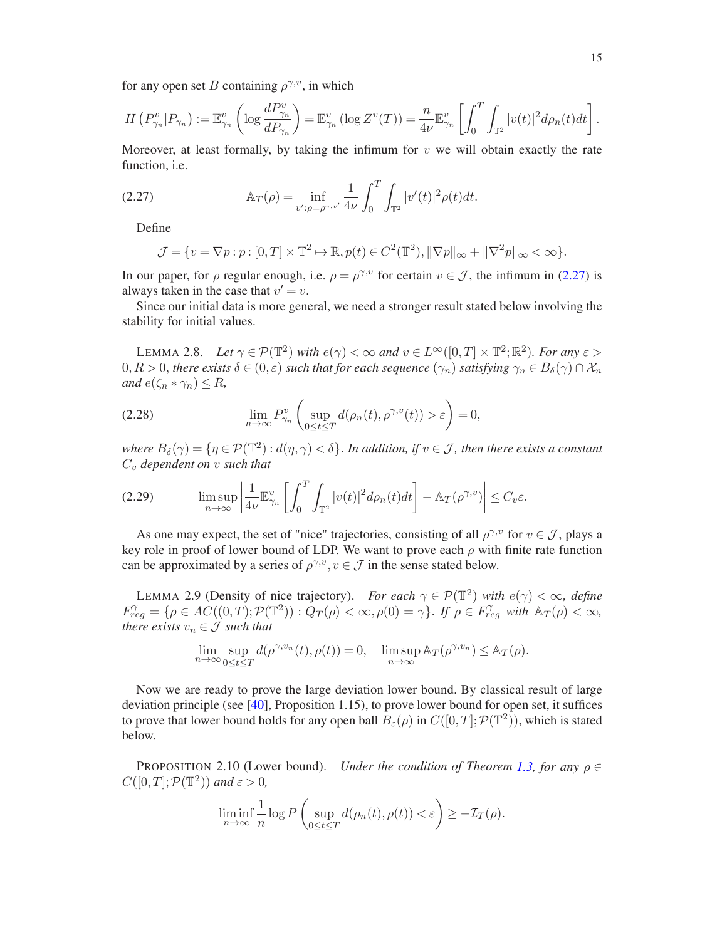for any open set B containing  $\rho^{\gamma,v}$ , in which

$$
H(P_{\gamma_n}^v|P_{\gamma_n}) := \mathbb{E}_{\gamma_n}^v\left(\log \frac{dP_{\gamma_n}^v}{dP_{\gamma_n}}\right) = \mathbb{E}_{\gamma_n}^v(\log Z^v(T)) = \frac{n}{4\nu} \mathbb{E}_{\gamma_n}^v\left[\int_0^T \int_{\mathbb{T}^2} |v(t)|^2 d\rho_n(t) dt\right].
$$

Moreover, at least formally, by taking the infimum for  $v$  we will obtain exactly the rate function, i.e.

(2.27) 
$$
\mathbb{A}_T(\rho) = \inf_{v': \rho = \rho^{\gamma, v'}} \frac{1}{4\nu} \int_0^T \int_{\mathbb{T}^2} |v'(t)|^2 \rho(t) dt.
$$

Define

<span id="page-14-2"></span>
$$
\mathcal{J} = \{ v = \nabla p : p : [0, T] \times \mathbb{T}^2 \mapsto \mathbb{R}, p(t) \in C^2(\mathbb{T}^2), ||\nabla p||_{\infty} + ||\nabla^2 p||_{\infty} < \infty \}.
$$

In our paper, for  $\rho$  regular enough, i.e.  $\rho = \rho^{\gamma, v}$  for certain  $v \in \mathcal{J}$ , the infimum in [\(2.27\)](#page-14-2) is always taken in the case that  $v' = v$ .

Since our initial data is more general, we need a stronger result stated below involving the stability for initial values.

<span id="page-14-0"></span>LEMMA 2.8. *Let*  $\gamma \in \mathcal{P}(\mathbb{T}^2)$  *with*  $e(\gamma) < \infty$  *and*  $v \in L^{\infty}([0, T] \times \mathbb{T}^2; \mathbb{R}^2)$ *. For any*  $\varepsilon >$  $0, R > 0$ , *there exists*  $\delta \in (0, \varepsilon)$  *such that for each sequence*  $(\gamma_n)$  *satisfying*  $\gamma_n \in B_\delta(\gamma) \cap \mathcal{X}_n$ *and*  $e(\zeta_n * \gamma_n) \leq R$ ,

<span id="page-14-3"></span>(2.28) 
$$
\lim_{n \to \infty} P_{\gamma_n}^v \left( \sup_{0 \le t \le T} d(\rho_n(t), \rho^{\gamma, v}(t)) > \varepsilon \right) = 0,
$$

where  $B_\delta(\gamma) = \{\eta \in \mathcal{P}(\mathbb{T}^2): d(\eta, \gamma) < \delta\}$ . *In addition, if*  $v \in \mathcal{J}$ *, then there exists a constant*  $C_v$  *dependent on* v *such that* 

<span id="page-14-4"></span>
$$
(2.29) \qquad \limsup_{n\to\infty}\left|\frac{1}{4\nu}\mathbb{E}_{\gamma_n}^v\left[\int_0^T\int_{\mathbb{T}^2}|v(t)|^2d\rho_n(t)dt\right]-\mathbb{A}_T(\rho^{\gamma,v})\right|\leq C_v\varepsilon.
$$

As one may expect, the set of "nice" trajectories, consisting of all  $\rho^{\gamma, v}$  for  $v \in \mathcal{J}$ , plays a key role in proof of lower bound of LDP. We want to prove each  $\rho$  with finite rate function can be approximated by a series of  $\rho^{\gamma,v}$ ,  $v \in \mathcal{J}$  in the sense stated below.

<span id="page-14-1"></span>LEMMA 2.9 (Density of nice trajectory). *For each*  $\gamma \in \mathcal{P}(\mathbb{T}^2)$  *with*  $e(\gamma) < \infty$ *, define*  $F_{reg}^{\gamma} = \{ \rho \in AC((0, T); \mathcal{P}(\mathbb{T}^2)) : Q_T(\rho) < \infty, \rho(0) = \gamma \}.$  If  $\rho \in F_{reg}^{\gamma}$  with  $\mathbb{A}_T(\rho) < \infty$ , *there exists*  $v_n \in \mathcal{J}$  *such that* 

$$
\lim_{n \to \infty} \sup_{0 \le t \le T} d(\rho^{\gamma, v_n}(t), \rho(t)) = 0, \quad \limsup_{n \to \infty} \mathbb{A}_T(\rho^{\gamma, v_n}) \le \mathbb{A}_T(\rho).
$$

Now we are ready to prove the large deviation lower bound. By classical result of large deviation principle (see [\[40](#page-48-24)], Proposition 1.15), to prove lower bound for open set, it suffices to prove that lower bound holds for any open ball  $\hat{B}_{\varepsilon}(\rho)$  in  $C([0,T]; \mathcal{P}(\mathbb{T}^2))$ , which is stated below.

**PROPOSITION 2.10 (Lower bound).** *Under the condition of Theorem [1.3,](#page-6-4) for any*  $\rho \in$  $C([0,T]; \mathcal{P}(\mathbb{T}^2))$  and  $\varepsilon > 0$ ,

$$
\liminf_{n \to \infty} \frac{1}{n} \log P\left(\sup_{0 \le t \le T} d(\rho_n(t), \rho(t)) < \varepsilon\right) \ge -\mathcal{I}_T(\rho).
$$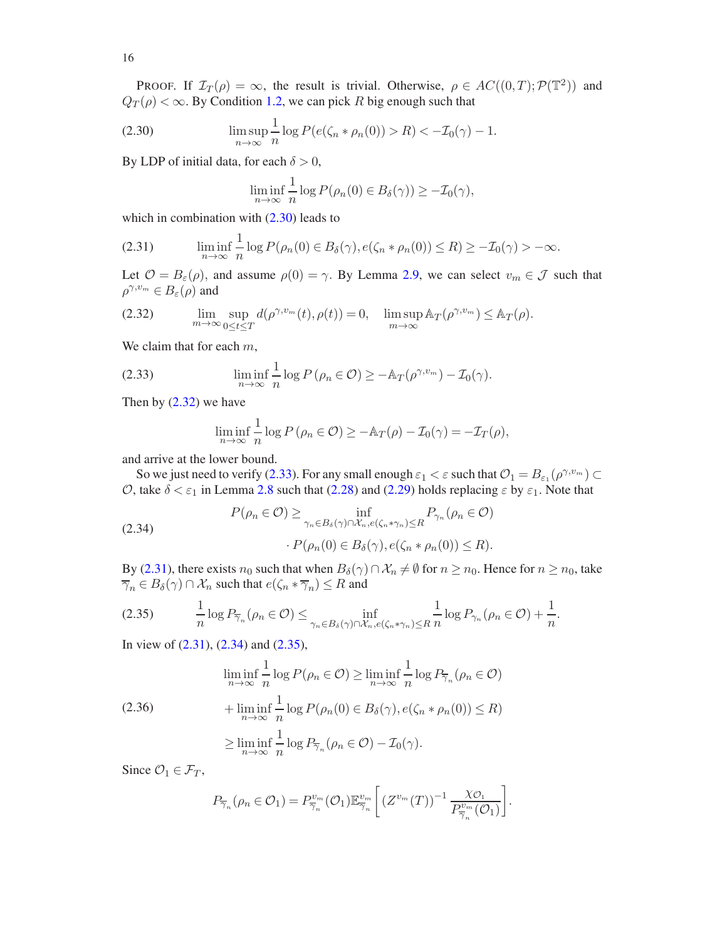PROOF. If  $\mathcal{I}_T(\rho) = \infty$ , the result is trivial. Otherwise,  $\rho \in AC((0,T); \mathcal{P}(\mathbb{T}^2))$  and  $Q_T(\rho) < \infty$ . By Condition [1.2,](#page-6-3) we can pick R big enough such that

(2.30) 
$$
\limsup_{n \to \infty} \frac{1}{n} \log P(e(\zeta_n * \rho_n(0)) > R) < -\mathcal{I}_0(\gamma) - 1.
$$

By LDP of initial data, for each  $\delta > 0$ ,

<span id="page-15-0"></span>
$$
\liminf_{n \to \infty} \frac{1}{n} \log P(\rho_n(0) \in B_\delta(\gamma)) \ge -\mathcal{I}_0(\gamma),
$$

which in combination with  $(2.30)$  leads to

<span id="page-15-3"></span>(2.31) 
$$
\liminf_{n \to \infty} \frac{1}{n} \log P(\rho_n(0) \in B_\delta(\gamma), e(\zeta_n * \rho_n(0)) \le R) \ge -\mathcal{I}_0(\gamma) > -\infty.
$$

Let  $\mathcal{O} = B_{\varepsilon}(\rho)$ , and assume  $\rho(0) = \gamma$ . By Lemma [2.9,](#page-14-1) we can select  $v_m \in \mathcal{J}$  such that  $\rho^{\gamma,v_m} \in B_\varepsilon(\rho)$  and

<span id="page-15-1"></span>(2.32) 
$$
\lim_{m \to \infty} \sup_{0 \le t \le T} d(\rho^{\gamma, v_m}(t), \rho(t)) = 0, \quad \limsup_{m \to \infty} \mathbb{A}_T(\rho^{\gamma, v_m}) \le \mathbb{A}_T(\rho).
$$

We claim that for each  $m$ ,

(2.33) 
$$
\liminf_{n \to \infty} \frac{1}{n} \log P(\rho_n \in \mathcal{O}) \geq -\mathbb{A}_T(\rho^{\gamma, v_m}) - \mathcal{I}_0(\gamma).
$$

Then by [\(2.32\)](#page-15-1) we have

<span id="page-15-4"></span><span id="page-15-2"></span>
$$
\liminf_{n \to \infty} \frac{1}{n} \log P \left( \rho_n \in \mathcal{O} \right) \geq -\mathbb{A}_T(\rho) - \mathcal{I}_0(\gamma) = -\mathcal{I}_T(\rho),
$$

and arrive at the lower bound.

So we just need to verify [\(2.33\)](#page-15-2). For any small enough  $\varepsilon_1 < \varepsilon$  such that  $\mathcal{O}_1 = B_{\varepsilon_1}(\rho^{\gamma, v_m}) \subset$ O, take  $\delta < \varepsilon_1$  in Lemma [2.8](#page-14-0) such that [\(2.28\)](#page-14-3) and [\(2.29\)](#page-14-4) holds replacing  $\varepsilon$  by  $\varepsilon_1$ . Note that

(2.34) 
$$
P(\rho_n \in \mathcal{O}) \ge \inf_{\gamma_n \in B_\delta(\gamma) \cap \mathcal{X}_n, e(\zeta_n * \gamma_n) \le R} P_{\gamma_n}(\rho_n \in \mathcal{O})
$$

$$
\cdot P(\rho_n(0) \in B_\delta(\gamma), e(\zeta_n * \rho_n(0)) \le R).
$$

By [\(2.31\)](#page-15-3), there exists  $n_0$  such that when  $B_\delta(\gamma) \cap \mathcal{X}_n \neq \emptyset$  for  $n \geq n_0$ . Hence for  $n \geq n_0$ , take  $\overline{\gamma}_n \in B_\delta(\gamma) \cap \mathcal{X}_n$  such that  $e(\zeta_n * \overline{\gamma}_n) \leq R$  and

<span id="page-15-5"></span>
$$
(2.35) \qquad \frac{1}{n}\log P_{\overline{\gamma}_n}(\rho_n \in \mathcal{O}) \le \inf_{\gamma_n \in B_\delta(\gamma) \cap \mathcal{X}_n, e(\zeta_n * \gamma_n) \le R} \frac{1}{n}\log P_{\gamma_n}(\rho_n \in \mathcal{O}) + \frac{1}{n}.
$$

In view of [\(2.31\)](#page-15-3), [\(2.34\)](#page-15-4) and [\(2.35\)](#page-15-5),

$$
\liminf_{n \to \infty} \frac{1}{n} \log P(\rho_n \in \mathcal{O}) \ge \liminf_{n \to \infty} \frac{1}{n} \log P_{\overline{\gamma}_n}(\rho_n \in \mathcal{O})
$$
  
(2.36)
$$
+ \liminf_{n \to \infty} \frac{1}{n} \log P(\rho_n(0) \in B_\delta(\gamma), e(\zeta_n * \rho_n(0)) \le R)
$$

$$
\ge \liminf_{n \to \infty} \frac{1}{n} \log P_{\overline{\gamma}_n}(\rho_n \in \mathcal{O}) - \mathcal{I}_0(\gamma).
$$

Since  $\mathcal{O}_1 \in \mathcal{F}_T$ ,

<span id="page-15-6"></span>
$$
P_{\overline{\gamma}_n}(\rho_n \in \mathcal{O}_1) = P_{\overline{\gamma}_n}^{v_m}(\mathcal{O}_1) \mathbb{E}_{\overline{\gamma}_n}^{v_m} \bigg[ \left( Z^{v_m}(T) \right)^{-1} \frac{\chi_{\mathcal{O}_1}}{P_{\overline{\gamma}_n}^{v_m}(\mathcal{O}_1)} \bigg].
$$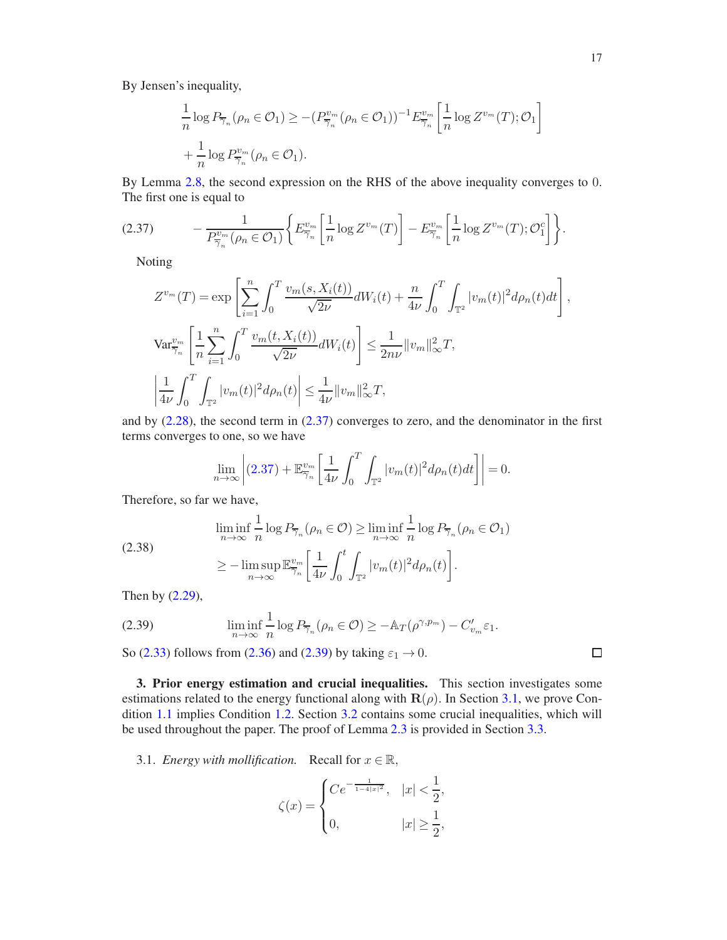By Jensen's inequality,

$$
\frac{1}{n}\log P_{\overline{\gamma}_n}(\rho_n \in \mathcal{O}_1) \ge -(P_{\overline{\gamma}_n}^{v_m}(\rho_n \in \mathcal{O}_1))^{-1} E_{\overline{\gamma}_n}^{v_m} \left[\frac{1}{n}\log Z^{v_m}(T); \mathcal{O}_1\right] + \frac{1}{n}\log P_{\overline{\gamma}_n}^{v_m}(\rho_n \in \mathcal{O}_1).
$$

By Lemma [2.8,](#page-14-0) the second expression on the RHS of the above inequality converges to 0. The first one is equal to

$$
(2.37) \qquad -\frac{1}{P_{\overline{\gamma}_n}^{v_m}(\rho_n \in \mathcal{O}_1)} \bigg\{ E_{\overline{\gamma}_n}^{v_m} \bigg[ \frac{1}{n} \log Z^{v_m}(T) \bigg] - E_{\overline{\gamma}_n}^{v_m} \bigg[ \frac{1}{n} \log Z^{v_m}(T); \mathcal{O}_1^c \bigg] \bigg\}.
$$

<span id="page-16-2"></span>Noting

$$
Z^{v_m}(T) = \exp\left[\sum_{i=1}^n \int_0^T \frac{v_m(s, X_i(t))}{\sqrt{2\nu}} dW_i(t) + \frac{n}{4\nu} \int_0^T \int_{\mathbb{T}^2} |v_m(t)|^2 d\rho_n(t) dt\right],
$$
  

$$
\text{Var}_{\overline{\gamma}_n}^{v_m} \left[\frac{1}{n} \sum_{i=1}^n \int_0^T \frac{v_m(t, X_i(t))}{\sqrt{2\nu}} dW_i(t)\right] \le \frac{1}{2n\nu} ||v_m||_\infty^2 T,
$$
  

$$
\left|\frac{1}{4\nu} \int_0^T \int_{\mathbb{T}^2} |v_m(t)|^2 d\rho_n(t) \right| \le \frac{1}{4\nu} ||v_m||_\infty^2 T,
$$

and by [\(2.28\)](#page-14-3), the second term in [\(2.37\)](#page-16-2) converges to zero, and the denominator in the first terms converges to one, so we have

$$
\lim_{n \to \infty} \left| (2.37) + \mathbb{E}^{v_m}_{\overline{\gamma}_n} \left[ \frac{1}{4\nu} \int_0^T \int_{\mathbb{T}^2} |v_m(t)|^2 d\rho_n(t) dt \right] \right| = 0.
$$

Therefore, so far we have,

$$
\liminf_{n \to \infty} \frac{1}{n} \log P_{\overline{\gamma}_n}(\rho_n \in \mathcal{O}) \ge \liminf_{n \to \infty} \frac{1}{n} \log P_{\overline{\gamma}_n}(\rho_n \in \mathcal{O}_1)
$$
\n
$$
\ge -\limsup_{n \to \infty} \mathbb{E}^{v_m}_{\overline{\gamma}_n} \left[ \frac{1}{4\nu} \int_0^t \int_{\mathbb{T}^2} |v_m(t)|^2 d\rho_n(t) \right].
$$

Then by [\(2.29\)](#page-14-4),

<span id="page-16-3"></span>(2.39) 
$$
\liminf_{n \to \infty} \frac{1}{n} \log P_{\overline{\gamma}_n}(\rho_n \in \mathcal{O}) \geq -\mathbb{A}_T(\rho^{\gamma, p_m}) - C'_{v_m} \varepsilon_1.
$$

So [\(2.33\)](#page-15-2) follows from [\(2.36\)](#page-15-6) and [\(2.39\)](#page-16-3) by taking  $\varepsilon_1 \rightarrow 0$ .

<span id="page-16-0"></span>3. Prior energy estimation and crucial inequalities. This section investigates some estimations related to the energy functional along with  $\mathbf{R}(\rho)$ . In Section [3.1,](#page-16-1) we prove Condition [1.1](#page-4-1) implies Condition [1.2.](#page-6-3) Section [3.2](#page-18-0) contains some crucial inequalities, which will be used throughout the paper. The proof of Lemma [2.3](#page-10-0) is provided in Section [3.3.](#page-22-0)

<span id="page-16-1"></span>3.1. *Energy with mollification.* Recall for  $x \in \mathbb{R}$ ,

$$
\zeta(x) = \begin{cases} Ce^{-\frac{1}{1-4|x|^2}}, & |x| < \frac{1}{2}, \\ 0, & |x| \ge \frac{1}{2}, \end{cases}
$$

$$
\qquad \qquad \Box
$$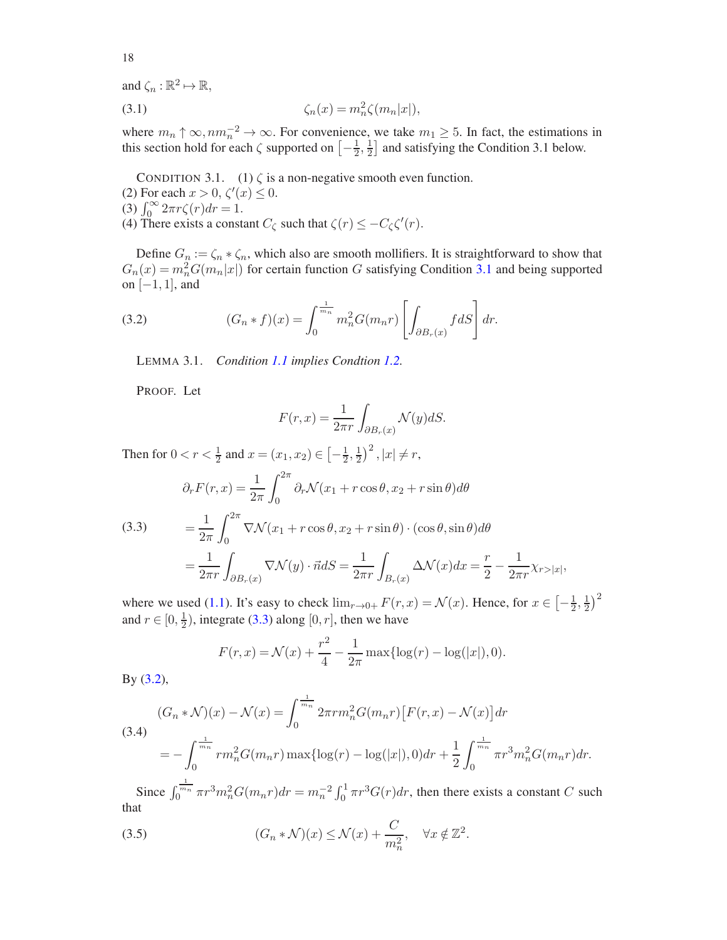and  $\zeta_n : \mathbb{R}^2 \mapsto \mathbb{R}$ ,

$$
\zeta_n(x) = m_n^2 \zeta(m_n|x|),
$$

where  $m_n \uparrow \infty, nm_n^{-2} \to \infty$ . For convenience, we take  $m_1 \geq 5$ . In fact, the estimations in this section hold for each  $\zeta$  supported on  $\left[-\frac{1}{2}\right]$  $\frac{1}{2}, \frac{1}{2}$  $\frac{1}{2}$  and satisfying the Condition 3.1 below.

<span id="page-17-0"></span>CONDITION 3.1. (1)  $\zeta$  is a non-negative smooth even function.

- (2) For each  $x > 0$ ,  $\zeta'(x) \leq 0$ .
- (3)  $\int_0^\infty 2\pi r \zeta(r) dr = 1.$
- (4) There exists a constant  $C_{\zeta}$  such that  $\zeta(r) \leq -C_{\zeta} \zeta'(r)$ .

Define  $G_n := \zeta_n * \zeta_n$ , which also are smooth mollifiers. It is straightforward to show that  $G_n(x) = m_n^2 G(m_n|x|)$  for certain function G satisfying Condition [3.1](#page-17-0) and being supported on  $[-1, 1]$ , and

(3.2) 
$$
(G_n * f)(x) = \int_0^{\frac{1}{m_n}} m_n^2 G(m_n r) \left[ \int_{\partial B_r(x)} f dS \right] dr.
$$

<span id="page-17-2"></span>LEMMA 3.1. *Condition [1.1](#page-4-1) implies Condtion [1.2.](#page-6-3)*

PROOF. Let

$$
F(r,x) = \frac{1}{2\pi r} \int_{\partial B_r(x)} \mathcal{N}(y) dS.
$$

Then for  $0 < r < \frac{1}{2}$  and  $x = (x_1, x_2) \in \left[ -\frac{1}{2}, \frac{1}{2} \right]$  $(\frac{1}{2})^2$ ,  $|x| \neq r$ ,

<span id="page-17-1"></span>(3.3) 
$$
\partial_r F(r, x) = \frac{1}{2\pi} \int_0^{2\pi} \partial_r \mathcal{N}(x_1 + r \cos \theta, x_2 + r \sin \theta) d\theta
$$

$$
= \frac{1}{2\pi} \int_0^{2\pi} \nabla \mathcal{N}(x_1 + r \cos \theta, x_2 + r \sin \theta) \cdot (\cos \theta, \sin \theta) d\theta
$$

$$
= \frac{1}{2\pi r} \int_{\partial B_r(x)} \nabla \mathcal{N}(y) \cdot \vec{n} dS = \frac{1}{2\pi r} \int_{B_r(x)} \Delta \mathcal{N}(x) dx = \frac{r}{2} - \frac{1}{2\pi r} \chi_{r > |x|},
$$

where we used [\(1.1\)](#page-0-2). It's easy to check  $\lim_{r\to 0+} F(r, x) = \mathcal{N}(x)$ . Hence, for  $x \in \left[-\frac{1}{2}\right]$  $\frac{1}{2}, \frac{1}{2}$  $(\frac{1}{2})^2$ and  $r \in [0, \frac{1}{2}]$  $\frac{1}{2}$ ), integrate [\(3.3\)](#page-17-1) along [0, *r*], then we have

$$
F(r,x) = \mathcal{N}(x) + \frac{r^2}{4} - \frac{1}{2\pi} \max\{\log(r) - \log(|x|), 0\}.
$$

By [\(3.2\)](#page-17-2),

<span id="page-17-4"></span>(3.4)  
\n
$$
(G_n * \mathcal{N})(x) - \mathcal{N}(x) = \int_0^{\frac{1}{m_n}} 2\pi r m_n^2 G(m_n r) [F(r, x) - \mathcal{N}(x)] dr
$$
\n
$$
= -\int_0^{\frac{1}{m_n}} r m_n^2 G(m_n r) \max\{ \log(r) - \log(|x|), 0 \} dr + \frac{1}{2} \int_0^{\frac{1}{m_n}} \pi r^3 m_n^2 G(m_n r) dr.
$$

Since  $\int_0^{\frac{1}{mn}} \pi r^3 m_n^2 G(m_n r) dr = m_n^{-2} \int_0^1 \pi r^3 G(r) dr$ , then there exists a constant C such that

<span id="page-17-3"></span>(3.5) 
$$
(G_n * \mathcal{N})(x) \leq \mathcal{N}(x) + \frac{C}{m_n^2}, \quad \forall x \notin \mathbb{Z}^2.
$$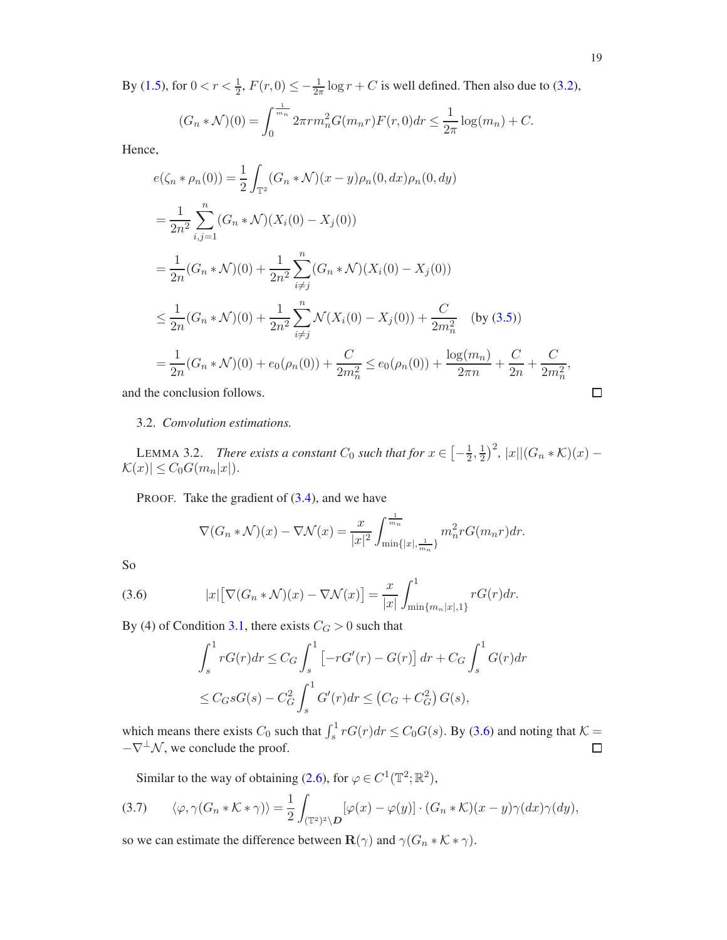By [\(1.5\)](#page-2-1), for  $0 < r < \frac{1}{2}$ ,  $F(r, 0) \le -\frac{1}{2\pi} \log r + C$  is well defined. Then also due to [\(3.2\)](#page-17-2),

$$
(G_n * \mathcal{N})(0) = \int_0^{\frac{1}{m_n}} 2\pi r m_n^2 G(m_n r) F(r, 0) dr \le \frac{1}{2\pi} \log(m_n) + C.
$$

Hence,

$$
e(\zeta_n * \rho_n(0)) = \frac{1}{2} \int_{\mathbb{T}^2} (G_n * \mathcal{N})(x - y)\rho_n(0, dx)\rho_n(0, dy)
$$
  
\n
$$
= \frac{1}{2n^2} \sum_{i,j=1}^n (G_n * \mathcal{N})(X_i(0) - X_j(0))
$$
  
\n
$$
= \frac{1}{2n} (G_n * \mathcal{N})(0) + \frac{1}{2n^2} \sum_{i \neq j}^n (G_n * \mathcal{N})(X_i(0) - X_j(0))
$$
  
\n
$$
\leq \frac{1}{2n} (G_n * \mathcal{N})(0) + \frac{1}{2n^2} \sum_{i \neq j}^n \mathcal{N}(X_i(0) - X_j(0)) + \frac{C}{2m_n^2} \quad \text{(by (3.5))}
$$
  
\n
$$
= \frac{1}{2n} (G_n * \mathcal{N})(0) + e_0(\rho_n(0)) + \frac{C}{2m_n^2} \leq e_0(\rho_n(0)) + \frac{\log(m_n)}{2\pi n} + \frac{C}{2n} + \frac{C}{2m_n^2},
$$

<span id="page-18-0"></span>and the conclusion follows.

$$
\Box
$$

## 3.2. *Convolution estimations.*

<span id="page-18-3"></span>LEMMA 3.2. *There exists a constant*  $C_0$  *such that for*  $x \in \left[-\frac{1}{2}\right]$  $\frac{1}{2}, \frac{1}{2}$  $\frac{1}{2}$ )<sup>2</sup>, |x||(G<sub>n</sub> \* K)(x) –  $|\mathcal{K}(x)| \leq C_0 G(m_n|x|).$ 

PROOF. Take the gradient of  $(3.4)$ , and we have

$$
\nabla (G_n * \mathcal{N})(x) - \nabla \mathcal{N}(x) = \frac{x}{|x|^2} \int_{\min\{|x|, \frac{1}{m_n}\}}^{\frac{1}{m_n}} m_n^2 r G(m_n r) dr.
$$

So

(3.6) 
$$
|x|\big[\nabla (G_n*\mathcal{N})(x) - \nabla \mathcal{N}(x)\big] = \frac{x}{|x|} \int_{\min\{m_n|x|,1\}}^1 r G(r) dr.
$$

By (4) of Condition [3.1,](#page-17-0) there exists  $C_G > 0$  such that

<span id="page-18-1"></span>
$$
\int_{s}^{1} rG(r)dr \leq C_{G} \int_{s}^{1} \left[ -rG'(r) - G(r) \right] dr + C_{G} \int_{s}^{1} G(r)dr
$$
  

$$
\leq C_{G} sG(s) - C_{G}^{2} \int_{s}^{1} G'(r)dr \leq (C_{G} + C_{G}^{2}) G(s),
$$

which means there exists  $C_0$  such that  $\int_s^1 r G(r) dr \le C_0 G(s)$ . By [\(3.6\)](#page-18-1) and noting that  $K =$  $-\nabla^{\perp}\mathcal{N}$ , we conclude the proof.

<span id="page-18-2"></span>Similar to the way of obtaining [\(2.6\)](#page-7-3), for  $\varphi \in C^1(\mathbb{T}^2; \mathbb{R}^2)$ ,

$$
(3.7) \qquad \langle \varphi, \gamma(G_n * \mathcal{K} * \gamma) \rangle = \frac{1}{2} \int_{(\mathbb{T}^2)^2 \backslash \mathcal{D}} [\varphi(x) - \varphi(y)] \cdot (G_n * \mathcal{K})(x - y) \gamma(dx) \gamma(dy),
$$

so we can estimate the difference between  $\mathbf{R}(\gamma)$  and  $\gamma(G_n * \mathcal{K} * \gamma)$ .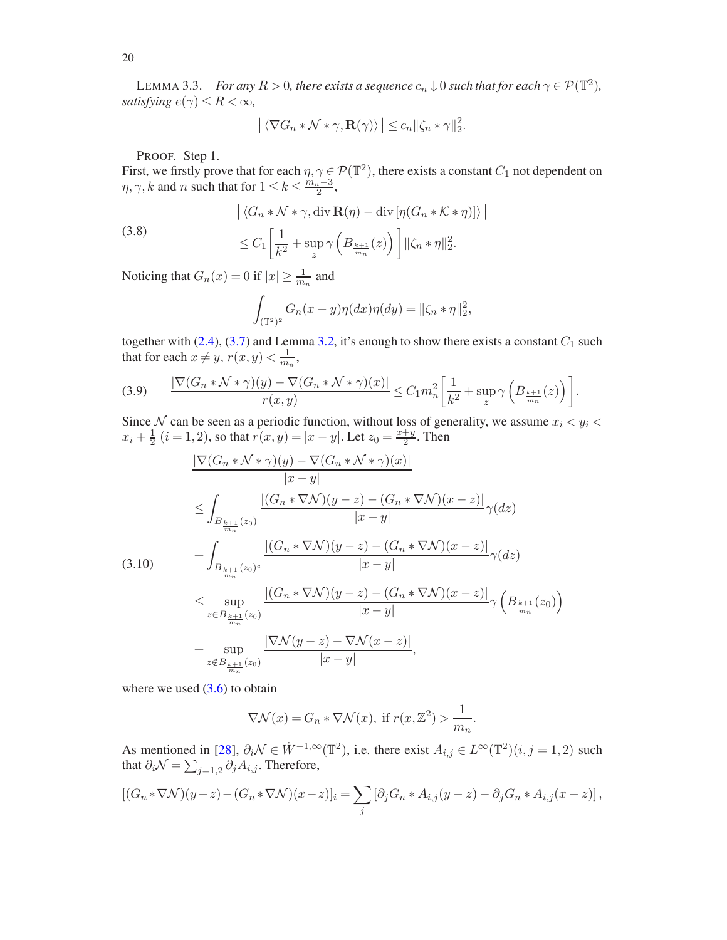<span id="page-19-3"></span>LEMMA 3.3. *For any*  $R > 0$ , there exists a sequence  $c_n \downarrow 0$  such that for each  $\gamma \in \mathcal{P}(\mathbb{T}^2)$ , *satisfying*  $e(\gamma) \leq R < \infty$ ,

$$
\left| \langle \nabla G_n * \mathcal{N} * \gamma, \mathbf{R}(\gamma) \rangle \right| \leq c_n ||\zeta_n * \gamma||_2^2.
$$

PROOF. Step 1.

First, we firstly prove that for each  $\eta, \gamma \in \mathcal{P}(\mathbb{T}^2)$ , there exists a constant  $C_1$  not dependent on  $\eta, \gamma, k$  and n such that for  $1 \leq k \leq \frac{m_n-3}{2}$ ,

 $\begin{array}{c} \begin{array}{c} \begin{array}{c} \end{array} \\ \begin{array}{c} \end{array} \end{array} \end{array}$ 

(3.8)  

$$
\left| \langle G_n * \mathcal{N} * \gamma, \operatorname{div} \mathbf{R}(\eta) - \operatorname{div} [\eta (G_n * \mathcal{K} * \eta)] \rangle \right|
$$

$$
\leq C_1 \left[ \frac{1}{k^2} + \sup_z \gamma \left( B_{\frac{k+1}{m_n}}(z) \right) \right] ||\zeta_n * \eta||_2^2.
$$

Noticing that  $G_n(x) = 0$  if  $|x| \ge \frac{1}{m_n}$  and

<span id="page-19-2"></span>
$$
\int_{(\mathbb{T}^2)^2} G_n(x-y)\eta(dx)\eta(dy) = \|\zeta_n*\eta\|_2^2,
$$

together with [\(2.4\)](#page-7-1), [\(3.7\)](#page-18-2) and Lemma [3.2,](#page-18-3) it's enough to show there exists a constant  $C_1$  such that for each  $x \neq y$ ,  $r(x, y) < \frac{1}{m}$  $\frac{1}{m_n},$ 

<span id="page-19-1"></span>
$$
(3.9) \qquad \frac{|\nabla (G_n*\mathcal{N}*\gamma)(y) - \nabla (G_n*\mathcal{N}*\gamma)(x)|}{r(x,y)} \le C_1 m_n^2 \bigg[ \frac{1}{k^2} + \sup_z \gamma \left( B_{\frac{k+1}{m_n}}(z) \right) \bigg].
$$

Since N can be seen as a periodic function, without loss of generality, we assume  $x_i < y_i <$  $x_i+\frac{1}{2}$  $\frac{1}{2}$   $(i = 1, 2)$ , so that  $r(x, y) = |x - y|$ . Let  $z_0 = \frac{x + y}{2}$  $\frac{+y}{2}$ . Then

<span id="page-19-0"></span>
$$
\frac{|\nabla (G_n * \mathcal{N} * \gamma)(y) - \nabla (G_n * \mathcal{N} * \gamma)(x)|}{|x - y|}
$$
\n
$$
\leq \int_{B_{\frac{k+1}{m_n}}(z_0)} \frac{|(G_n * \nabla \mathcal{N})(y - z) - (G_n * \nabla \mathcal{N})(x - z)|}{|x - y|} \gamma(dz)
$$
\n
$$
+ \int_{B_{\frac{k+1}{m_n}}(z_0)^c} \frac{|(G_n * \nabla \mathcal{N})(y - z) - (G_n * \nabla \mathcal{N})(x - z)|}{|x - y|} \gamma(dz)
$$
\n
$$
\leq \sup_{z \in B_{\frac{k+1}{m_n}}(z_0)} \frac{|(G_n * \nabla \mathcal{N})(y - z) - (G_n * \nabla \mathcal{N})(x - z)|}{|x - y|} \gamma\left(B_{\frac{k+1}{m_n}}(z_0)\right)
$$
\n
$$
+ \sup_{z \notin B_{\frac{k+1}{m_n}}(z_0)} \frac{|\nabla \mathcal{N}(y - z) - \nabla \mathcal{N}(x - z)|}{|x - y|},
$$

where we used 
$$
(3.6)
$$
 to obtain

$$
\nabla \mathcal{N}(x) = G_n * \nabla \mathcal{N}(x), \text{ if } r(x, \mathbb{Z}^2) > \frac{1}{m_n}.
$$

As mentioned in [\[28](#page-48-11)],  $\partial_i \mathcal{N} \in W^{-1,\infty}(\mathbb{T}^2)$ , i.e. there exist  $A_{i,j} \in L^{\infty}(\mathbb{T}^2)(i, j = 1, 2)$  such that  $\partial_i \mathcal{N} = \sum_{j=1,2} \partial_j A_{i,j}$ . Therefore,

$$
[(G_n*\nabla \mathcal{N})(y-z)-(G_n*\nabla \mathcal{N})(x-z)]_i=\sum_j[\partial_jG_n*A_{i,j}(y-z)-\partial_jG_n*A_{i,j}(x-z)],
$$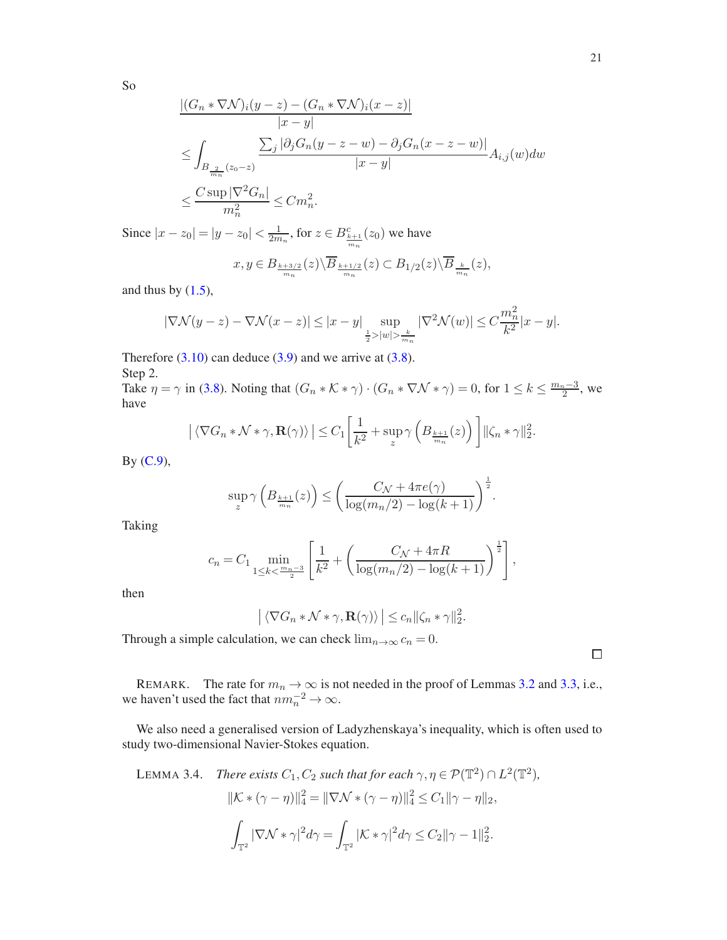So

$$
\frac{|(G_n * \nabla \mathcal{N})_i(y-z) - (G_n * \nabla \mathcal{N})_i(x-z)|}{|x-y|}
$$
  
\n
$$
\leq \int_{B_{\frac{2}{m_n}}(z_0-z)} \frac{\sum_j |\partial_j G_n(y-z-w) - \partial_j G_n(x-z-w)|}{|x-y|} A_{i,j}(w) dw
$$
  
\n
$$
\leq \frac{C \sup |\nabla^2 G_n|}{m_n^2} \leq C m_n^2.
$$

Since  $|x - z_0| = |y - z_0| < \frac{1}{2m_n}$ , for  $z \in B_{\frac{k+1}{m_n}}^c(z_0)$  we have

$$
x, y \in B_{\frac{k+3/2}{m_n}}(z) \backslash \overline{B}_{\frac{k+1/2}{m_n}}(z) \subset B_{1/2}(z) \backslash \overline{B}_{\frac{k}{m_n}}(z),
$$

and thus by  $(1.5)$ ,

$$
|\nabla \mathcal{N}(y-z)-\nabla \mathcal{N}(x-z)|\leq |x-y| \sup_{\frac{1}{2}>|w|>\frac{k}{m_n}} |\nabla^2 \mathcal{N}(w)|\leq C \frac{m_n^2}{k^2}|x-y|.
$$

Therefore  $(3.10)$  can deduce  $(3.9)$  and we arrive at  $(3.8)$ .

Step 2. Take  $\eta = \gamma$  in [\(3.8\)](#page-19-2). Noting that  $(G_n * \mathcal{K} * \gamma) \cdot (G_n * \nabla \mathcal{N} * \gamma) = 0$ , for  $1 \leq k \leq \frac{m_n - 3}{2}$ , we have

$$
\left| \langle \nabla G_n * \mathcal{N} * \gamma, \mathbf{R}(\gamma) \rangle \right| \leq C_1 \left[ \frac{1}{k^2} + \sup_z \gamma \left( B_{\frac{k+1}{m_n}}(z) \right) \right] ||\zeta_n * \gamma||_2^2.
$$

By [\(C.9\)](#page-46-2),

$$
\sup_{z} \gamma\left(B_{\frac{k+1}{m_n}}(z)\right) \le \left(\frac{C_{\mathcal{N}} + 4\pi e(\gamma)}{\log(m_n/2) - \log(k+1)}\right)^{\frac{1}{2}}
$$

.

Taking

$$
c_n = C_1 \min_{1 \le k < \frac{m_n - 3}{2}} \left[ \frac{1}{k^2} + \left( \frac{C_{\mathcal{N}} + 4\pi R}{\log(m_n/2) - \log(k+1)} \right)^{\frac{1}{2}} \right],
$$

then

$$
\left| \langle \nabla G_n * \mathcal{N} * \gamma, \mathbf{R}(\gamma) \rangle \right| \leq c_n ||\zeta_n * \gamma||_2^2.
$$

Through a simple calculation, we can check  $\lim_{n\to\infty} c_n = 0$ .

REMARK. The rate for  $m_n \to \infty$  is not needed in the proof of Lemmas [3.2](#page-18-3) and [3.3,](#page-19-3) i.e., we haven't used the fact that  $nm_n^{-2} \to \infty$ .

We also need a generalised version of Ladyzhenskaya's inequality, which is often used to study two-dimensional Navier-Stokes equation.

<span id="page-20-0"></span>LEMMA 3.4. *There exists*  $C_1$ ,  $C_2$  *such that for each*  $\gamma$ ,  $\eta \in \mathcal{P}(\mathbb{T}^2) \cap L^2(\mathbb{T}^2)$ ,

$$
\|\mathcal{K} * (\gamma - \eta)\|_{4}^{2} = \|\nabla \mathcal{N} * (\gamma - \eta)\|_{4}^{2} \le C_{1} \|\gamma - \eta\|_{2},
$$
  

$$
\int_{\mathbb{T}^{2}} |\nabla \mathcal{N} * \gamma|^{2} d\gamma = \int_{\mathbb{T}^{2}} |\mathcal{K} * \gamma|^{2} d\gamma \le C_{2} \|\gamma - 1\|_{2}^{2}.
$$

 $\Box$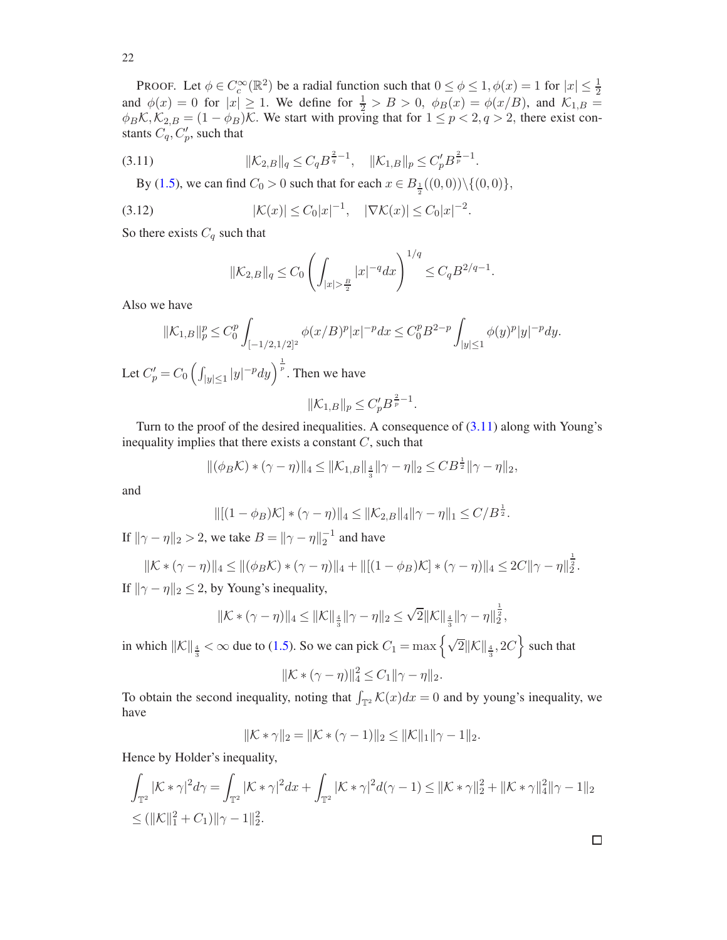PROOF. Let  $\phi \in C_c^{\infty}(\mathbb{R}^2)$  be a radial function such that  $0 \le \phi \le 1, \phi(x) = 1$  for  $|x| \le \frac{1}{2}$ and  $\phi(x) = 0$  for  $|x| \ge 1$ . We define for  $\frac{1}{2} > B > 0$ ,  $\phi_B(x) = \phi(x/B)$ , and  $\mathcal{K}_{1,B} =$  $\phi_B K, K_{2,B} = (1 - \phi_B)K$ . We start with proving that for  $1 \le p < 2, q > 2$ , there exist constants  $C_q, C'_p$ , such that

$$
(3.11) \t\t\t ||\mathcal{K}_{2,B}||_q \leq C_q B^{\frac{2}{q}-1}, \t ||\mathcal{K}_{1,B}||_p \leq C'_p B^{\frac{2}{p}-1}.
$$

By [\(1.5\)](#page-2-1), we can find  $C_0 > 0$  such that for each  $x \in B_{\frac{1}{2}}((0,0)) \setminus \{(0,0)\},$ 

(3.12) 
$$
|\mathcal{K}(x)| \leq C_0 |x|^{-1}, \quad |\nabla \mathcal{K}(x)| \leq C_0 |x|^{-2}.
$$

So there exists  $C_q$  such that

<span id="page-21-0"></span>
$$
\|\mathcal{K}_{2,B}\|_{q} \leq C_0 \left( \int_{|x| > \frac{B}{2}} |x|^{-q} dx \right)^{1/q} \leq C_q B^{2/q-1}.
$$

Also we have

$$
\|\mathcal{K}_{1,B}\|_{p}^{p} \le C_{0}^{p} \int_{[-1/2,1/2]^{2}} \phi(x/B)^{p} |x|^{-p} dx \le C_{0}^{p} B^{2-p} \int_{|y| \le 1} \phi(y)^{p} |y|^{-p} dy.
$$

Let  $C_p' = C_0 \left( \int_{|y| \le 1} |y|^{-p} dy \right)^{\frac{1}{p}}$ . Then we have

$$
\|\mathcal{K}_{1,B}\|_p \le C'_p B^{\frac{2}{p}-1}.
$$

Turn to the proof of the desired inequalities. A consequence of  $(3.11)$  along with Young's inequality implies that there exists a constant  $C$ , such that

$$
\|(\phi_B K) * (\gamma - \eta)\|_4 \le \|K_{1,B}\|_{\frac{4}{3}} \|\gamma - \eta\|_2 \le C B^{\frac{1}{2}} \|\gamma - \eta\|_2,
$$

and

$$
\|[(1-\phi_B)\mathcal{K}]*(\gamma-\eta)\|_4 \leq \|\mathcal{K}_{2,B}\|_4 \|\gamma-\eta\|_1 \leq C/B^{\frac{1}{2}}.
$$

If  $\|\gamma - \eta\|_2 > 2$ , we take  $B = \|\gamma - \eta\|_2^{-1}$  and have

$$
\|\mathcal{K} * (\gamma - \eta)\|_{4} \le \|(\phi_B \mathcal{K}) * (\gamma - \eta)\|_{4} + \|[(1 - \phi_B)\mathcal{K}] * (\gamma - \eta)\|_{4} \le 2C \|\gamma - \eta\|_{2}^{\frac{1}{2}}.
$$
  
If  $\|\gamma - \eta\|_{2} \le 2$ , by Young's inequality,

 $\cdot$  /

$$
\|\mathcal{K} * (\gamma - \eta)\|_4 \le \|\mathcal{K}\|_{\frac{4}{3}} \|\gamma - \eta\|_2 \le \sqrt{2} \|\mathcal{K}\|_{\frac{4}{3}} \|\gamma - \eta\|_2^{\frac{1}{2}},
$$

in which  $||\mathcal{K}||_{\frac{4}{3}} < \infty$  due to [\(1.5\)](#page-2-1). So we can pick  $C_1 = \max\left\{\sqrt{2}||\mathcal{K}||_{\frac{4}{3}}, 2C\right\}$  such that

$$
\|\mathcal{K} * (\gamma - \eta)\|_4^2 \le C_1 \|\gamma - \eta\|_2.
$$

To obtain the second inequality, noting that  $\int_{\mathbb{T}^2} \mathcal{K}(x) dx = 0$  and by young's inequality, we have

$$
\|\mathcal{K} * \gamma\|_2 = \|\mathcal{K} * (\gamma - 1)\|_2 \le \|\mathcal{K}\|_1 \|\gamma - 1\|_2.
$$

Hence by Holder's inequality,

$$
\int_{\mathbb{T}^2} |\mathcal{K} * \gamma|^2 d\gamma = \int_{\mathbb{T}^2} |\mathcal{K} * \gamma|^2 dx + \int_{\mathbb{T}^2} |\mathcal{K} * \gamma|^2 d(\gamma - 1) \le ||\mathcal{K} * \gamma||_2^2 + ||\mathcal{K} * \gamma||_4^2 ||\gamma - 1||_2
$$
  
\n
$$
\le (||\mathcal{K}||_1^2 + C_1)||\gamma - 1||_2^2.
$$

 $\Box$ 

22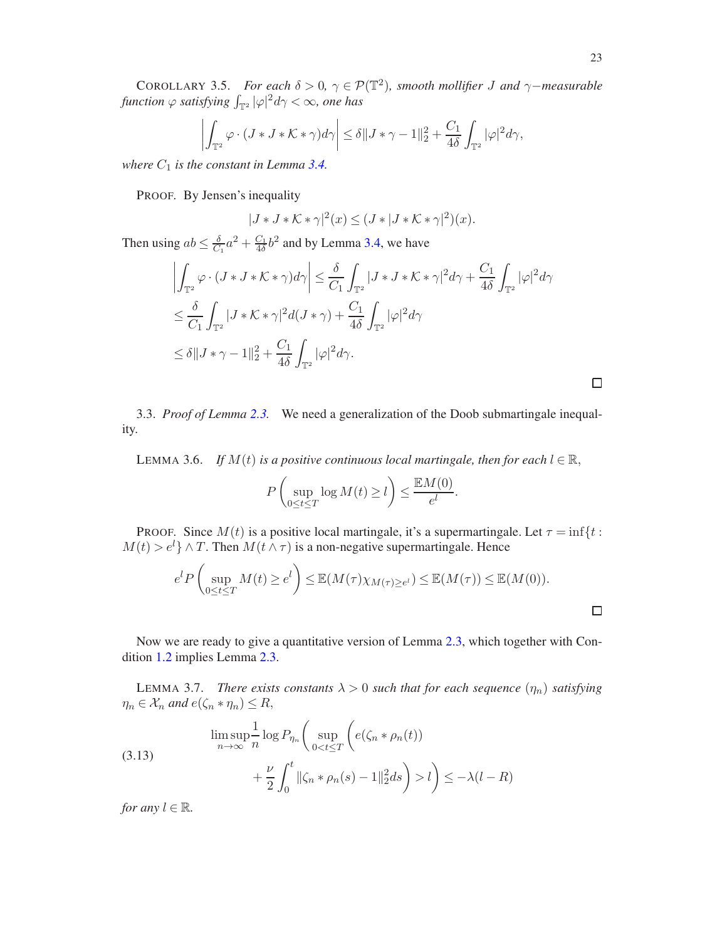$$
\left| \int_{\mathbb{T}^2} \varphi \cdot (J * J * \mathcal{K} * \gamma) d\gamma \right| \leq \delta \| J * \gamma - 1 \|_2^2 + \frac{C_1}{4\delta} \int_{\mathbb{T}^2} |\varphi|^2 d\gamma,
$$

<span id="page-22-3"></span>*where*  $C_1$  *is the constant in Lemma [3.4.](#page-20-0)* 

PROOF. By Jensen's inequality

$$
|J * J * \mathcal{K} * \gamma|^2(x) \le (J * |J * \mathcal{K} * \gamma|^2)(x).
$$

Then using  $ab \leq \frac{\delta}{C_1}a^2 + \frac{C_1}{4\delta}b^2$  and by Lemma [3.4,](#page-20-0) we have

$$
\left| \int_{\mathbb{T}^2} \varphi \cdot (J * J * \mathcal{K} * \gamma) d\gamma \right| \leq \frac{\delta}{C_1} \int_{\mathbb{T}^2} |J * J * \mathcal{K} * \gamma|^2 d\gamma + \frac{C_1}{4\delta} \int_{\mathbb{T}^2} |\varphi|^2 d\gamma
$$
  
\n
$$
\leq \frac{\delta}{C_1} \int_{\mathbb{T}^2} |J * \mathcal{K} * \gamma|^2 d(J * \gamma) + \frac{C_1}{4\delta} \int_{\mathbb{T}^2} |\varphi|^2 d\gamma
$$
  
\n
$$
\leq \delta ||J * \gamma - 1||_2^2 + \frac{C_1}{4\delta} \int_{\mathbb{T}^2} |\varphi|^2 d\gamma.
$$

 $\Box$ 

<span id="page-22-0"></span>3.3. *Proof of Lemma [2.3.](#page-10-0)* We need a generalization of the Doob submartingale inequality.

<span id="page-22-1"></span>LEMMA 3.6. *If*  $M(t)$  *is a positive continuous local martingale, then for each*  $l \in \mathbb{R}$ ,

$$
P\left(\sup_{0\leq t\leq T}\log M(t)\geq l\right)\leq \frac{\mathbb{E}M(0)}{e^l}.
$$

PROOF. Since  $M(t)$  is a positive local martingale, it's a supermartingale. Let  $\tau = \inf\{t :$  $M(t) > e^{l}$   $\wedge$  T. Then  $M(t \wedge \tau)$  is a non-negative supermartingale. Hence

$$
e^{l} P\left(\sup_{0\leq t\leq T} M(t)\geq e^{l}\right) \leq \mathbb{E}(M(\tau)\chi_{M(\tau)\geq e^{l}}) \leq \mathbb{E}(M(\tau)) \leq \mathbb{E}(M(0)).
$$

Now we are ready to give a quantitative version of Lemma [2.3,](#page-10-0) which together with Condition [1.2](#page-6-3) implies Lemma [2.3.](#page-10-0)

<span id="page-22-2"></span>LEMMA 3.7. *There exists constants*  $\lambda > 0$  *such that for each sequence*  $(\eta_n)$  *satisfying*  $\eta_n \in \mathcal{X}_n$  and  $e(\zeta_n * \eta_n) \leq R$ ,

(3.13) 
$$
\limsup_{n \to \infty} \frac{1}{n} \log P_{\eta_n} \left( \sup_{0 < t \le T} \left( e(\zeta_n * \rho_n(t)) + \frac{\nu}{2} \int_0^t ||\zeta_n * \rho_n(s) - 1||_2^2 ds \right) > l \right) \le -\lambda (l - R)
$$

*for any*  $l \in \mathbb{R}$ *.*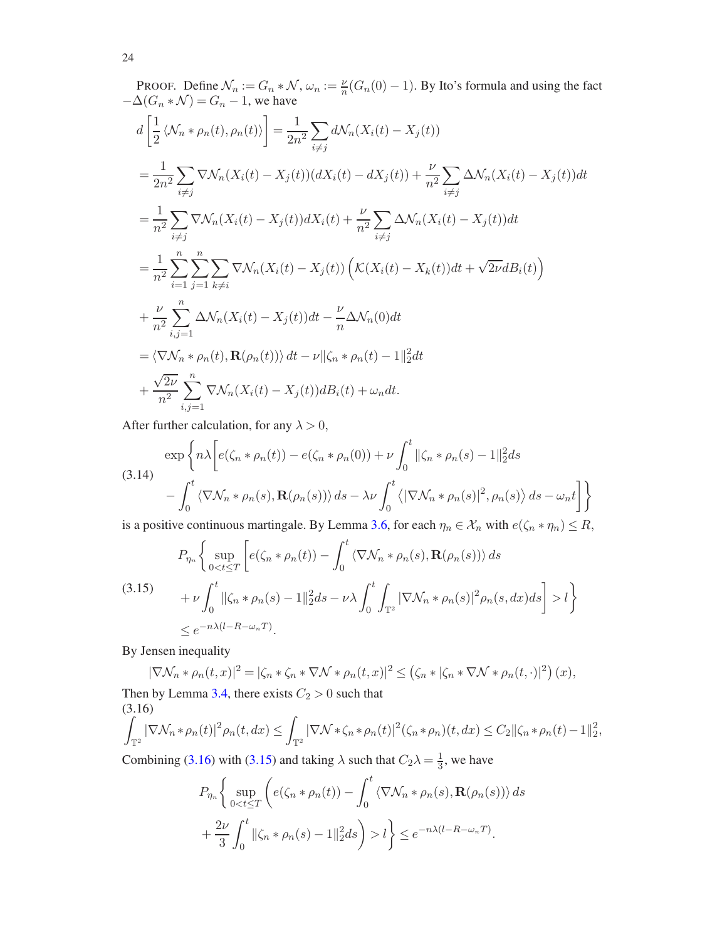PROOF. Define 
$$
\mathcal{N}_n := G_n * \mathcal{N}
$$
,  $\omega_n := \frac{\nu}{n} (G_n(0) - 1)$ . By Ito's formula and using the fact  
\n
$$
-\Delta(G_n * \mathcal{N}) = G_n - 1
$$
, we have  
\n
$$
d\left[\frac{1}{2} \langle \mathcal{N}_n * \rho_n(t), \rho_n(t) \rangle\right] = \frac{1}{2n^2} \sum_{i \neq j} d\mathcal{N}_n (X_i(t) - X_j(t))
$$
\n
$$
= \frac{1}{2n^2} \sum_{i \neq j} \nabla \mathcal{N}_n (X_i(t) - X_j(t)) (dX_i(t) - dX_j(t)) + \frac{\nu}{n^2} \sum_{i \neq j} \Delta \mathcal{N}_n (X_i(t) - X_j(t)) dt
$$
\n
$$
= \frac{1}{n^2} \sum_{i \neq j} \nabla \mathcal{N}_n (X_i(t) - X_j(t)) dX_i(t) + \frac{\nu}{n^2} \sum_{i \neq j} \Delta \mathcal{N}_n (X_i(t) - X_j(t)) dt
$$
\n
$$
= \frac{1}{n^2} \sum_{i=1}^n \sum_{j=1}^n \sum_{k \neq i} \nabla \mathcal{N}_n (X_i(t) - X_j(t)) \left(\mathcal{K}(X_i(t) - X_k(t))dt + \sqrt{2\nu}dB_i(t)\right)
$$
\n
$$
+ \frac{\nu}{n^2} \sum_{i,j=1}^n \Delta \mathcal{N}_n (X_i(t) - X_j(t)) dt - \frac{\nu}{n} \Delta \mathcal{N}_n(0) dt
$$
\n
$$
= \langle \nabla \mathcal{N}_n * \rho_n(t), \mathbf{R}(\rho_n(t)) \rangle dt - \nu ||\zeta_n * \rho_n(t) - 1||_2^2 dt
$$
\n
$$
+ \frac{\sqrt{2\nu}}{n^2} \sum_{i,j=1}^n \nabla \mathcal{N}_n (X_i(t) - X_j(t)) dB_i(t) + \omega_n dt.
$$

After further calculation, for any  $\lambda > 0$ ,

$$
\exp\left\{n\lambda\left[e(\zeta_n*\rho_n(t)) - e(\zeta_n*\rho_n(0)) + \nu \int_0^t ||\zeta_n*\rho_n(s) - 1||_2^2 ds - \int_0^t \langle\nabla \mathcal{N}_n*\rho_n(s), \mathbf{R}(\rho_n(s))\rangle ds - \lambda \nu \int_0^t \langle|\nabla \mathcal{N}_n*\rho_n(s)|^2, \rho_n(s)\rangle ds - \omega_n t\right]\right\}
$$

is a positive continuous martingale. By Lemma [3.6,](#page-22-1) for each  $\eta_n \in \mathcal{X}_n$  with  $e(\zeta_n * \eta_n) \le R$ ,

<span id="page-23-1"></span>
$$
P_{\eta_n} \left\{ \sup_{0 < t \le T} \left[ e(\zeta_n * \rho_n(t)) - \int_0^t \langle \nabla \mathcal{N}_n * \rho_n(s), \mathbf{R}(\rho_n(s)) \rangle ds \right. \\ \left. + \nu \int_0^t \|\zeta_n * \rho_n(s) - 1\|_2^2 ds - \nu \lambda \int_0^t \int_{\mathbb{T}^2} |\nabla \mathcal{N}_n * \rho_n(s)|^2 \rho_n(s, dx) ds \right] > l \right\} \\ \le e^{-n\lambda(l - R - \omega_n T)}.
$$

By Jensen inequality

$$
|\nabla \mathcal{N}_n * \rho_n(t, x)|^2 = |\zeta_n * \zeta_n * \nabla \mathcal{N} * \rho_n(t, x)|^2 \le (\zeta_n * |\zeta_n * \nabla \mathcal{N} * \rho_n(t, \cdot)|^2) (x),
$$

Then by Lemma [3.4,](#page-20-0) there exists  $C_2 > 0$  such that (3.16)

<span id="page-23-0"></span>
$$
\int_{\mathbb{T}^2} |\nabla \mathcal{N}_n * \rho_n(t)|^2 \rho_n(t, dx) \le \int_{\mathbb{T}^2} |\nabla \mathcal{N} * \zeta_n * \rho_n(t)|^2 (\zeta_n * \rho_n)(t, dx) \le C_2 ||\zeta_n * \rho_n(t) - 1||_2^2,
$$

Combining [\(3.16\)](#page-23-0) with [\(3.15\)](#page-23-1) and taking  $\lambda$  such that  $C_2\lambda = \frac{1}{3}$ , we have

$$
P_{\eta_n} \left\{ \sup_{0 < t \le T} \left( e(\zeta_n * \rho_n(t)) - \int_0^t \langle \nabla \mathcal{N}_n * \rho_n(s), \mathbf{R}(\rho_n(s)) \rangle ds \right. \\ \left. + \frac{2\nu}{3} \int_0^t \|\zeta_n * \rho_n(s) - 1\|_2^2 ds \right) > l \right\} \le e^{-n\lambda(l - R - \omega_n T)}.
$$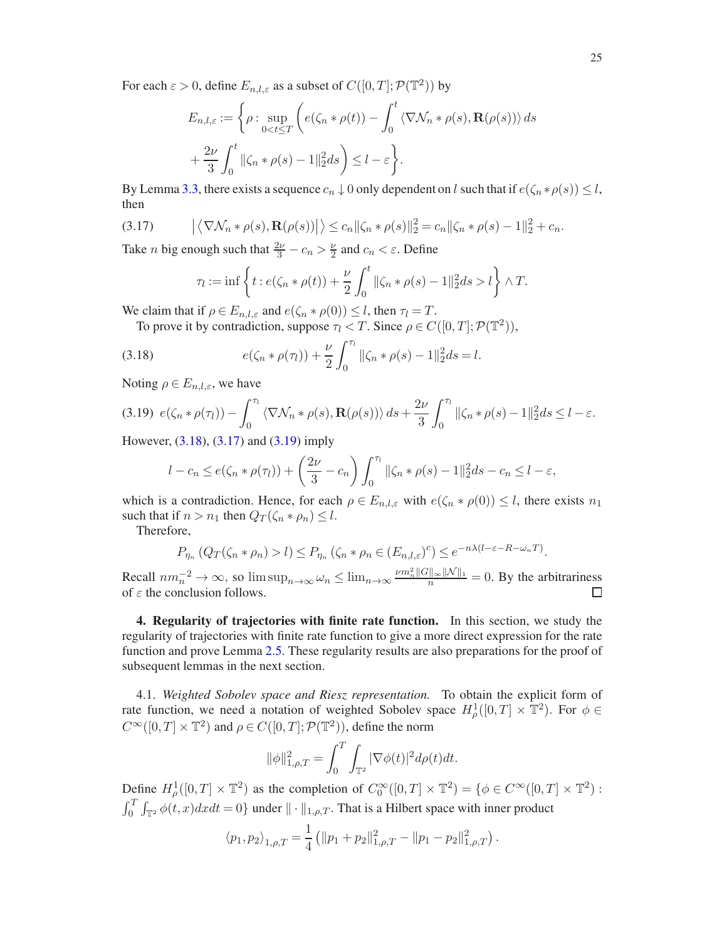For each  $\varepsilon > 0$ , define  $E_{n,l,\varepsilon}$  as a subset of  $C([0,T]; \mathcal{P}(\mathbb{T}^2))$  by

$$
E_{n,l,\varepsilon} := \left\{ \rho : \sup_{0 < t \le T} \left( e(\zeta_n * \rho(t)) - \int_0^t \langle \nabla \mathcal{N}_n * \rho(s), \mathbf{R}(\rho(s)) \rangle \, ds \right) + \frac{2\nu}{3} \int_0^t \|\zeta_n * \rho(s) - 1\|_2^2 ds \right\} \le l - \varepsilon \right\}.
$$

By Lemma [3.3,](#page-19-3) there exists a sequence  $c_n \downarrow 0$  only dependent on l such that if  $e(\zeta_n * \rho(s)) \leq l$ , then

$$
(3.17) \qquad \left| \left\langle \nabla \mathcal{N}_n * \rho(s), \mathbf{R}(\rho(s)) \right| \right\rangle \leq c_n \| \zeta_n * \rho(s) \|_2^2 = c_n \| \zeta_n * \rho(s) - 1 \|_2^2 + c_n.
$$

Take *n* big enough such that  $\frac{2\nu}{3} - c_n > \frac{\nu}{2}$  $\frac{\nu}{2}$  and  $c_n < \varepsilon$ . Define

<span id="page-24-3"></span><span id="page-24-2"></span>
$$
\tau_l := \inf \left\{ t : e(\zeta_n * \rho(t)) + \frac{\nu}{2} \int_0^t ||\zeta_n * \rho(s) - 1||_2^2 ds > l \right\} \wedge T.
$$

We claim that if  $\rho \in E_{n,l,\varepsilon}$  and  $e(\zeta_n * \rho(0)) \leq l$ , then  $\tau_l = T$ .

To prove it by contradiction, suppose  $\tau_l < T$ . Since  $\rho \in C([0, T]; \mathcal{P}(\mathbb{T}^2))$ ,

(3.18) 
$$
e(\zeta_n * \rho(\tau_l)) + \frac{\nu}{2} \int_0^{\tau_l} ||\zeta_n * \rho(s) - 1||_2^2 ds = l.
$$

Noting  $\rho \in E_{n,l,\varepsilon}$ , we have

<span id="page-24-4"></span>
$$
(3.19) \ e(\zeta_n * \rho(\tau_l)) - \int_0^{\tau_l} \langle \nabla \mathcal{N}_n * \rho(s), \mathbf{R}(\rho(s)) \rangle \, ds + \frac{2\nu}{3} \int_0^{\tau_l} ||\zeta_n * \rho(s) - 1||_2^2 ds \le l - \varepsilon.
$$

However, [\(3.18\)](#page-24-2), [\(3.17\)](#page-24-3) and [\(3.19\)](#page-24-4) imply

$$
l - c_n \le e(\zeta_n * \rho(\tau_l)) + \left(\frac{2\nu}{3} - c_n\right) \int_0^{\tau_l} ||\zeta_n * \rho(s) - 1||_2^2 ds - c_n \le l - \varepsilon,
$$

which is a contradiction. Hence, for each  $\rho \in E_{n,l,\varepsilon}$  with  $e(\zeta_n * \rho(0)) \leq l$ , there exists  $n_1$ such that if  $n > n_1$  then  $Q_T(\zeta_n * \rho_n) \leq l$ .

Therefore,

$$
P_{\eta_n} (Q_T(\zeta_n * \rho_n) > l) \leq P_{\eta_n} (\zeta_n * \rho_n \in (E_{n,l,\varepsilon})^c) \leq e^{-n\lambda(l-\varepsilon - R - \omega_n T)}.
$$

Recall  $nm_n^{-2} \to \infty$ , so  $\limsup_{n \to \infty} \omega_n \le \lim_{n \to \infty} \frac{\nu m_n^2 ||G||_{\infty} ||\mathcal{N}||_1}{n} = 0$ . By the arbitrariness of  $\varepsilon$  the conclusion follows.

<span id="page-24-0"></span>4. Regularity of trajectories with finite rate function. In this section, we study the regularity of trajectories with finite rate function to give a more direct expression for the rate function and prove Lemma [2.5.](#page-12-0) These regularity results are also preparations for the proof of subsequent lemmas in the next section.

<span id="page-24-1"></span>4.1. *Weighted Sobolev space and Riesz representation.* To obtain the explicit form of rate function, we need a notation of weighted Sobolev space  $H^1_\rho([0,T] \times \mathbb{T}^2)$ . For  $\phi \in$  $C^{\infty}([0,T] \times \mathbb{T}^2)$  and  $\rho \in C([0,T]; \mathcal{P}(\mathbb{T}^2))$ , define the norm

$$
\|\phi\|_{1,\rho,T}^2 = \int_0^T \int_{\mathbb{T}^2} |\nabla \phi(t)|^2 d\rho(t) dt.
$$

Define  $H^1_\rho([0,T] \times \mathbb{T}^2)$  as the completion of  $C_0^\infty([0,T] \times \mathbb{T}^2) = \{ \phi \in C^\infty([0,T] \times \mathbb{T}^2) :$  $\int_0^T \int_{\mathbb{T}^2} \phi(t, x) dx dt = 0$  under  $\|\cdot\|_{1, \rho, T}$ . That is a Hilbert space with inner product

$$
\langle p_1, p_2 \rangle_{1,\rho,T} = \frac{1}{4} \left( \| p_1 + p_2 \|_{1,\rho,T}^2 - \| p_1 - p_2 \|_{1,\rho,T}^2 \right).
$$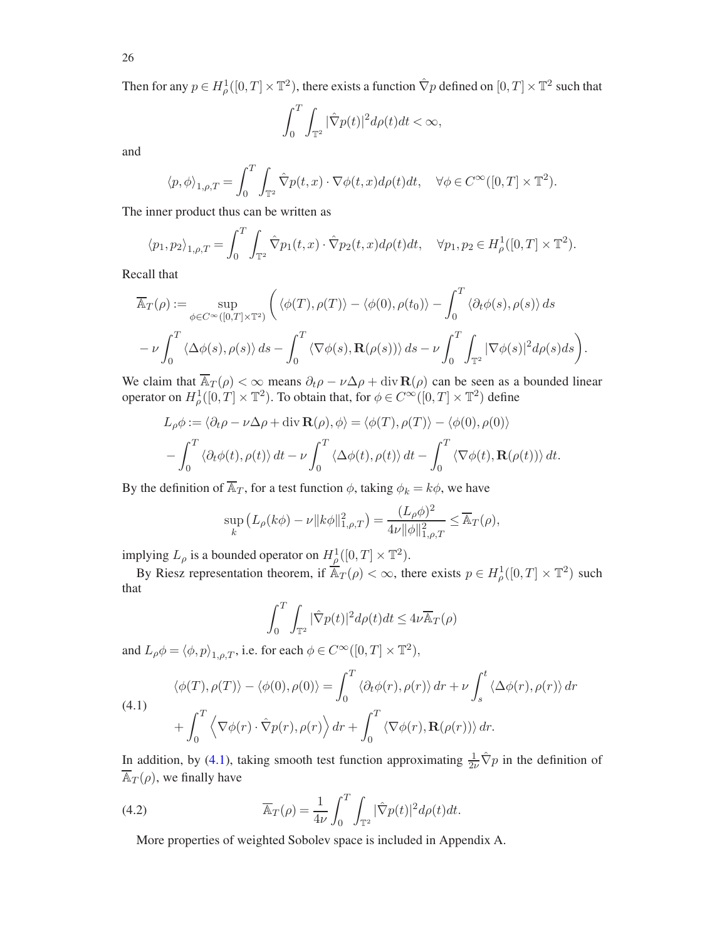26

Then for any  $p \in H^1_\rho([0,T]\times\mathbb{T}^2)$ , there exists a function  $\hat{\nabla}p$  defined on  $[0,T]\times\mathbb{T}^2$  such that

$$
\int_0^T \int_{\mathbb{T}^2} |\hat{\nabla}p(t)|^2 d\rho(t) dt < \infty,
$$

and

$$
\langle p, \phi \rangle_{1,\rho,T} = \int_0^T \int_{\mathbb{T}^2} \hat{\nabla} p(t,x) \cdot \nabla \phi(t,x) d\rho(t) dt, \quad \forall \phi \in C^\infty([0,T] \times \mathbb{T}^2).
$$

The inner product thus can be written as

$$
\langle p_1, p_2 \rangle_{1,\rho,T} = \int_0^T \int_{\mathbb{T}^2} \hat{\nabla} p_1(t,x) \cdot \hat{\nabla} p_2(t,x) d\rho(t) dt, \quad \forall p_1, p_2 \in H^1_\rho([0,T] \times \mathbb{T}^2).
$$

Recall that

$$
\overline{\mathbb{A}}_T(\rho) := \sup_{\phi \in C^{\infty}([0,T] \times \mathbb{T}^2)} \left( \langle \phi(T), \rho(T) \rangle - \langle \phi(0), \rho(t_0) \rangle - \int_0^T \langle \partial_t \phi(s), \rho(s) \rangle ds - \nu \int_0^T \langle \Delta \phi(s), \rho(s) \rangle ds - \nu \int_0^T \int_{\mathbb{T}^2} |\nabla \phi(s)|^2 d\rho(s) ds \right).
$$

We claim that  $\overline{\mathbb{A}_T(\rho)} < \infty$  means  $\partial_t \rho - \nu \Delta \rho + \text{div } \mathbf{R}(\rho)$  can be seen as a bounded linear operator on  $H^1_\rho([0,T]\times\mathbb{T}^2)$ . To obtain that, for  $\phi\in C^\infty([0,T]\times\mathbb{T}^2)$  define

$$
L_{\rho}\phi := \langle \partial_t \rho - \nu \Delta \rho + \text{div } \mathbf{R}(\rho), \phi \rangle = \langle \phi(T), \rho(T) \rangle - \langle \phi(0), \rho(0) \rangle
$$
  
- 
$$
\int_0^T \langle \partial_t \phi(t), \rho(t) \rangle dt - \nu \int_0^T \langle \Delta \phi(t), \rho(t) \rangle dt - \int_0^T \langle \nabla \phi(t), \mathbf{R}(\rho(t)) \rangle dt.
$$

By the definition of  $\overline{\mathbb{A}}_T$ , for a test function  $\phi$ , taking  $\phi_k = k\phi$ , we have

$$
\sup_{k} (L_{\rho}(k\phi) - \nu \|k\phi\|_{1,\rho,T}^{2}) = \frac{(L_{\rho}\phi)^{2}}{4\nu \|\phi\|_{1,\rho,T}^{2}} \leq \overline{\mathbb{A}}_{T}(\rho),
$$

implying  $L_\rho$  is a bounded operator on  $H^1_\rho([0,T] \times \mathbb{T}^2)$ .

By Riesz representation theorem, if  $\overline{A}_T(\rho) < \infty$ , there exists  $p \in H^1_\rho([0,T] \times \mathbb{T}^2)$  such that

$$
\int_0^T \int_{\mathbb{T}^2} |\hat{\nabla}p(t)|^2 d\rho(t) dt \le 4\nu \overline{\mathbb{A}}_T(\rho)
$$

and  $L_{\rho}\phi = \langle \phi, p \rangle_{1,\rho,T}$ , i.e. for each  $\phi \in C^{\infty}([0, T] \times \mathbb{T}^2)$ ,

<span id="page-25-0"></span>(4.1)  
\n
$$
\langle \phi(T), \rho(T) \rangle - \langle \phi(0), \rho(0) \rangle = \int_0^T \langle \partial_t \phi(r), \rho(r) \rangle dr + \nu \int_s^t \langle \Delta \phi(r), \rho(r) \rangle dr
$$
\n
$$
+ \int_0^T \langle \nabla \phi(r) \cdot \hat{\nabla} p(r), \rho(r) \rangle dr + \int_0^T \langle \nabla \phi(r), \mathbf{R}(\rho(r)) \rangle dr.
$$

In addition, by [\(4.1\)](#page-25-0), taking smooth test function approximating  $\frac{1}{2\nu} \hat{\nabla} p$  in the definition of  $\overline{\mathbb{A}}_T(\rho)$ , we finally have

(4.2) 
$$
\overline{\mathbb{A}}_T(\rho) = \frac{1}{4\nu} \int_0^T \int_{\mathbb{T}^2} |\hat{\nabla}p(t)|^2 d\rho(t) dt.
$$

<span id="page-25-1"></span>More properties of weighted Sobolev space is included in Appendix A.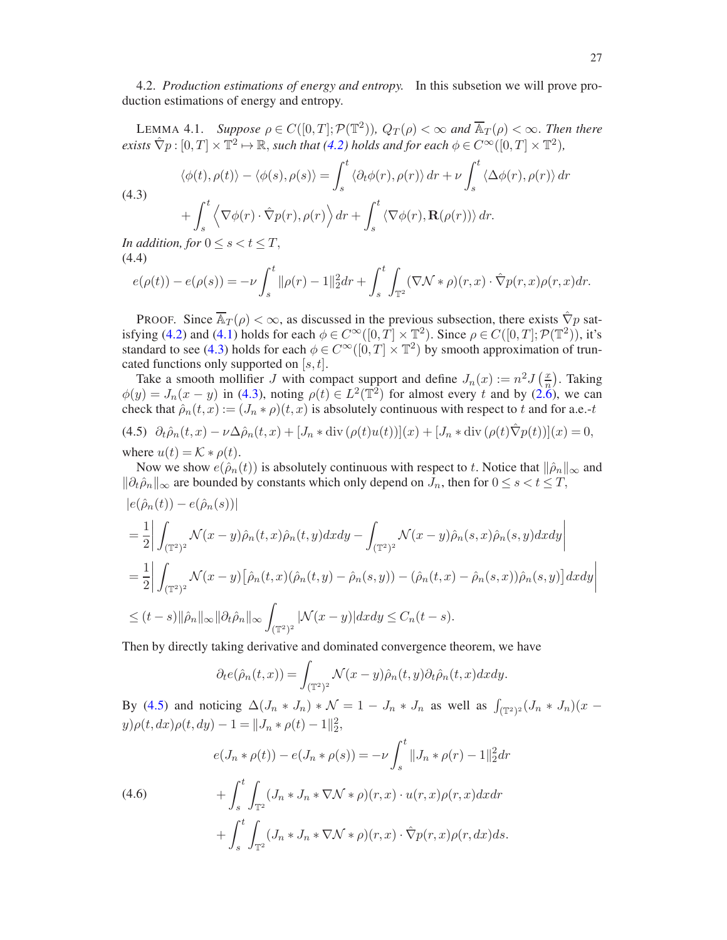<span id="page-26-0"></span>4.2. *Production estimations of energy and entropy.* In this subsetion we will prove production estimations of energy and entropy.

<span id="page-26-5"></span>LEMMA 4.1. *Suppose*  $\rho \in C([0,T]; \mathcal{P}(\mathbb{T}^2))$ ,  $Q_T(\rho) < \infty$  and  $\overline{\mathbb{A}}_T(\rho) < \infty$ . Then there  $e$ *xists*  $\hat{\nabla} p:[0,T]\times\mathbb{T}^2\mapsto\mathbb{R}$ *, such that* [\(4.2\)](#page-25-1) *holds and for each*  $\phi\in C^{\infty}([0,T]\times\mathbb{T}^2)$ *,* 

<span id="page-26-1"></span>(4.3)  
\n
$$
\langle \phi(t), \rho(t) \rangle - \langle \phi(s), \rho(s) \rangle = \int_s^t \langle \partial_t \phi(r), \rho(r) \rangle dr + \nu \int_s^t \langle \Delta \phi(r), \rho(r) \rangle dr
$$
\n
$$
+ \int_s^t \langle \nabla \phi(r) \cdot \hat{\nabla} p(r), \rho(r) \rangle dr + \int_s^t \langle \nabla \phi(r), \mathbf{R}(\rho(r)) \rangle dr.
$$

s *In addition, for*  $0 \le s < t \le T$ ,

$$
(4.4)
$$

<span id="page-26-4"></span>
$$
e(\rho(t)) - e(\rho(s)) = -\nu \int_s^t \|\rho(r) - 1\|_2^2 dr + \int_s^t \int_{\mathbb{T}^2} (\nabla \mathcal{N} * \rho)(r, x) \cdot \hat{\nabla} p(r, x) \rho(r, x) dr.
$$

PROOF. Since  $\overline{A}_T(\rho) < \infty$ , as discussed in the previous subsection, there exists  $\hat{\nabla}p$  sat-isfying [\(4.2\)](#page-25-1) and [\(4.1\)](#page-25-0) holds for each  $\phi \in C^{\infty}([0, T] \times \mathbb{T}^2)$ . Since  $\rho \in C([0, T]; \mathcal{P}(\mathbb{T}^2))$ , it's standard to see [\(4.3\)](#page-26-1) holds for each  $\phi \in C^{\infty}([0,T] \times \mathbb{T}^2)$  by smooth approximation of truncated functions only supported on  $[s, t]$ .

Take a smooth mollifier J with compact support and define  $J_n(x) := n^2 J(\frac{x}{n})$ . Taking Take a smooth moment 5 with compact support and define  $S_n(x) := n S_n$ . Taking  $\phi(y) = J_n(x - y)$  in [\(4.3\)](#page-26-1), noting  $\rho(t) \in L^2(\mathbb{T}^2)$  for almost every t and by [\(2.6\)](#page-7-3), we can check that  $\hat{\rho}_n(t,x) := (J_n * \rho)(t,x)$  is absolutely continuous with respect to t and for a.e.-t

<span id="page-26-2"></span>(4.5) 
$$
\partial_t \hat{\rho}_n(t, x) - \nu \Delta \hat{\rho}_n(t, x) + [J_n * \text{div}(\rho(t)u(t))](x) + [J_n * \text{div}(\rho(t) \hat{\nabla}p(t))](x) = 0,
$$
  
where  $u(t) = \mathcal{K} * \rho(t).$ 

Now we show  $e(\hat{\rho}_n(t))$  is absolutely continuous with respect to t. Notice that  $\|\hat{\rho}_n\|_{\infty}$  and  $\|\partial_t \hat{\rho}_n\|_{\infty}$  are bounded by constants which only depend on  $J_n$ , then for  $0 \le s < t \le T$ ,

$$
|e(\hat{\rho}_n(t)) - e(\hat{\rho}_n(s))|
$$
  
\n
$$
= \frac{1}{2} \left| \int_{(\mathbb{T}^2)^2} \mathcal{N}(x - y) \hat{\rho}_n(t, x) \hat{\rho}_n(t, y) dx dy - \int_{(\mathbb{T}^2)^2} \mathcal{N}(x - y) \hat{\rho}_n(s, x) \hat{\rho}_n(s, y) dx dy \right|
$$
  
\n
$$
= \frac{1}{2} \left| \int_{(\mathbb{T}^2)^2} \mathcal{N}(x - y) \left[ \hat{\rho}_n(t, x) (\hat{\rho}_n(t, y) - \hat{\rho}_n(s, y)) - (\hat{\rho}_n(t, x) - \hat{\rho}_n(s, x)) \hat{\rho}_n(s, y) \right] dx dy \right|
$$
  
\n
$$
\leq (t - s) ||\hat{\rho}_n||_{\infty} ||\partial_t \hat{\rho}_n||_{\infty} \int_{(\mathbb{T}^2)^2} |\mathcal{N}(x - y)| dx dy \leq C_n(t - s).
$$

Then by directly taking derivative and dominated convergence theorem, we have

$$
\partial_t e(\hat{\rho}_n(t,x)) = \int_{(\mathbb{T}^2)^2} \mathcal{N}(x-y)\hat{\rho}_n(t,y)\partial_t \hat{\rho}_n(t,x) dxdy.
$$

By [\(4.5\)](#page-26-2) and noticing  $\Delta(J_n * J_n) * \mathcal{N} = 1 - J_n * J_n$  as well as  $\int_{(\mathbb{T}^2)^2} (J_n * J_n)(x$  $y)\rho(t, dx)\rho(t, dy) - 1 = ||J_n * \rho(t) - 1||_2^2,$ 

<span id="page-26-3"></span>
$$
e(J_n * \rho(t)) - e(J_n * \rho(s)) = -\nu \int_s^t ||J_n * \rho(r) - 1||_2^2 dr
$$

(4.6) 
$$
+ \int_{s}^{t} \int_{\mathbb{T}^2} (J_n * J_n * \nabla \mathcal{N} * \rho)(r, x) \cdot u(r, x) \rho(r, x) dx dr + \int_{s}^{t} \int_{\mathbb{T}^2} (J_n * J_n * \nabla \mathcal{N} * \rho)(r, x) \cdot \hat{\nabla} p(r, x) \rho(r, dx) ds.
$$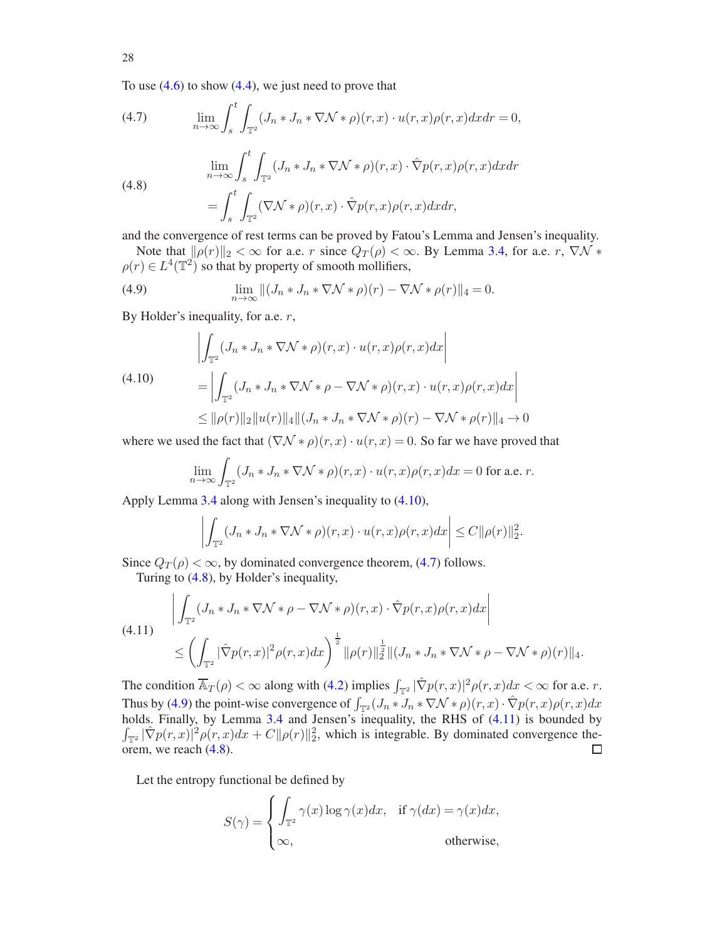To use  $(4.6)$  to show  $(4.4)$ , we just need to prove that

<span id="page-27-1"></span>(4.7) 
$$
\lim_{n \to \infty} \int_{s}^{t} \int_{\mathbb{T}^2} (J_n * J_n * \nabla \mathcal{N} * \rho)(r, x) \cdot u(r, x) \rho(r, x) dx dr = 0,
$$

$$
\lim_{n \to \infty} \int_{s}^{t} \int_{\mathbb{T}^2} (J_n * J_n * \nabla \mathcal{N} * \rho)(r, x) \cdot \hat{\nabla} p(r, x) \rho(r, x) dx dr
$$

<span id="page-27-2"></span>(4.8)  

$$
= \int_{s}^{t} \int_{\mathbb{T}^2} (\nabla \mathcal{N} * \rho)(r, x) \cdot \hat{\nabla} p(r, x) \rho(r, x) dx dr,
$$

and the convergence of rest terms can be proved by Fatou's Lemma and Jensen's inequality.

Note that  $\|\rho(r)\|_2 < \infty$  for a.e. r since  $Q_T(\rho) < \infty$ . By Lemma [3.4,](#page-20-0) for a.e. r,  $\nabla \mathcal{N} *$  $\rho(r) \in L^4(\mathbb{T}^2)$  so that by property of smooth mollifiers,

<span id="page-27-3"></span>(4.9) 
$$
\lim_{n \to \infty} ||(J_n * J_n * \nabla \mathcal{N} * \rho)(r) - \nabla \mathcal{N} * \rho(r)||_4 = 0.
$$

By Holder's inequality, for a.e.  $r$ ,

<span id="page-27-0"></span>(4.10)  
\n
$$
\left| \int_{\mathbb{T}^2} (J_n * J_n * \nabla \mathcal{N} * \rho)(r, x) \cdot u(r, x) \rho(r, x) dx \right|
$$
\n
$$
= \left| \int_{\mathbb{T}^2} (J_n * J_n * \nabla \mathcal{N} * \rho - \nabla \mathcal{N} * \rho)(r, x) \cdot u(r, x) \rho(r, x) dx \right|
$$
\n
$$
\leq ||\rho(r)||_2 ||u(r)||_4 ||(J_n * J_n * \nabla \mathcal{N} * \rho)(r) - \nabla \mathcal{N} * \rho(r)||_4 \to 0
$$

where we used the fact that  $(\nabla \mathcal{N} * \rho)(r, x) \cdot u(r, x) = 0$ . So far we have proved that

$$
\lim_{n \to \infty} \int_{\mathbb{T}^2} (J_n * J_n * \nabla \mathcal{N} * \rho)(r, x) \cdot u(r, x)\rho(r, x) dx = 0 \text{ for a.e. } r.
$$

Apply Lemma [3.4](#page-20-0) along with Jensen's inequality to [\(4.10\)](#page-27-0),

$$
\left| \int_{\mathbb{T}^2} (J_n * J_n * \nabla \mathcal{N} * \rho)(r, x) \cdot u(r, x) \rho(r, x) dx \right| \leq C ||\rho(r)||_2^2.
$$

Since  $Q_T(\rho) < \infty$ , by dominated convergence theorem, [\(4.7\)](#page-27-1) follows.

Turing to [\(4.8\)](#page-27-2), by Holder's inequality,

<span id="page-27-4"></span>
$$
(4.11) \qquad \left| \int_{\mathbb{T}^2} (J_n * J_n * \nabla \mathcal{N} * \rho - \nabla \mathcal{N} * \rho)(r, x) \cdot \hat{\nabla} p(r, x) \rho(r, x) dx \right|
$$
  

$$
\leq \left( \int_{\mathbb{T}^2} |\hat{\nabla} p(r, x)|^2 \rho(r, x) dx \right)^{\frac{1}{2}} \|\rho(r)\|_2^{\frac{1}{2}} \|(J_n * J_n * \nabla \mathcal{N} * \rho - \nabla \mathcal{N} * \rho)(r)\|_4.
$$

The condition  $\overline{\mathbb{A}}_T(\rho) < \infty$  along with [\(4.2\)](#page-25-1) implies  $\int_{\mathbb{T}^2} |\hat{\nabla}p(r,x)|^2 \rho(r,x) dx < \infty$  for a.e. r. Thus by [\(4.9\)](#page-27-3) the point-wise convergence of  $\int_{\mathbb{T}^2} (J_n * J_n * \nabla \mathcal{N} * \rho)(r, x) \cdot \hat{\nabla} p(r, x) \rho(r, x) dx$ holds. Finally, by Lemma [3.4](#page-20-0) and Jensen's inequality, the RHS of  $(4.11)$  is bounded by  $\int_{\mathbb{T}^2} |\hat{\nabla}p(r,x)|^2 \rho(r,x) dx + C ||\rho(r)||_2^2$ , which is integrable. By dominated convergence theorem, we reach [\(4.8\)](#page-27-2).  $\Box$ 

Let the entropy functional be defined by

$$
S(\gamma) = \begin{cases} \int_{\mathbb{T}^2} \gamma(x) \log \gamma(x) dx, & \text{if } \gamma(dx) = \gamma(x) dx, \\ \infty, & \text{otherwise,} \end{cases}
$$

28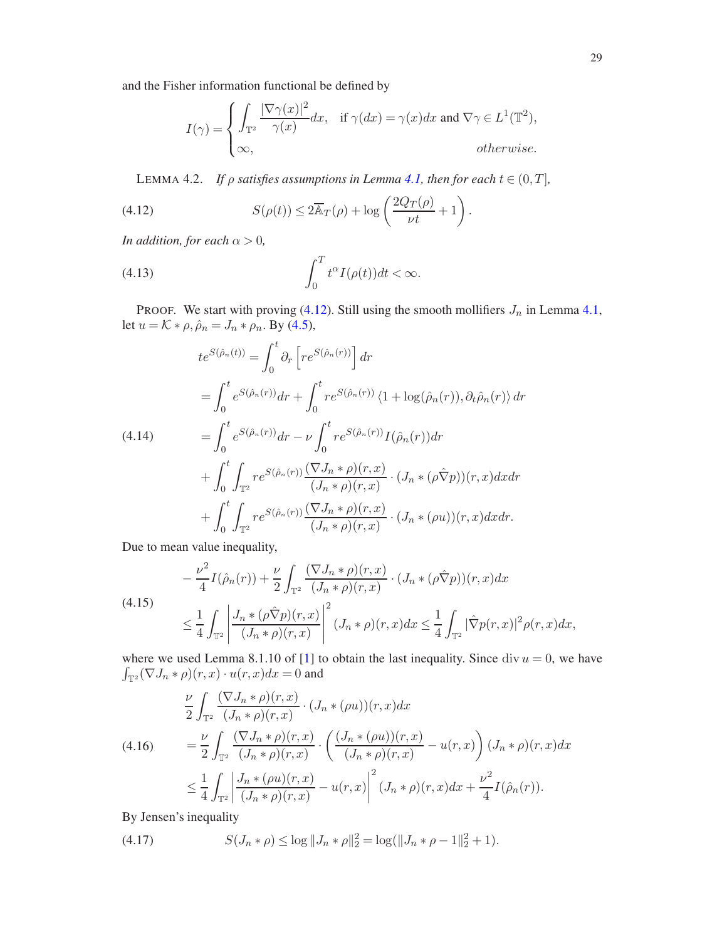and the Fisher information functional be defined by

$$
I(\gamma) = \begin{cases} \int_{\mathbb{T}^2} \frac{|\nabla \gamma(x)|^2}{\gamma(x)} dx, & \text{if } \gamma(dx) = \gamma(x) dx \text{ and } \nabla \gamma \in L^1(\mathbb{T}^2), \\ \infty, & \text{otherwise.} \end{cases}
$$

<span id="page-28-6"></span><span id="page-28-0"></span>LEMMA 4.2. *If*  $\rho$  *satisfies assumptions in Lemma [4.1,](#page-26-5) then for each*  $t \in (0, T]$ *,* 

(4.12) 
$$
S(\rho(t)) \leq 2\overline{\mathbb{A}}_T(\rho) + \log\left(\frac{2Q_T(\rho)}{\nu t} + 1\right).
$$

*In addition, for each*  $\alpha > 0$ *,* 

<span id="page-28-5"></span>(4.13) 
$$
\int_0^T t^{\alpha} I(\rho(t)) dt < \infty.
$$

PROOF. We start with proving [\(4.12\)](#page-28-0). Still using the smooth mollifiers  $J_n$  in Lemma [4.1,](#page-26-5) let  $u = K * \rho$ ,  $\hat{\rho}_n = J_n * \rho_n$ . By [\(4.5\)](#page-26-2),

<span id="page-28-4"></span>
$$
te^{S(\hat{\rho}_n(t))} = \int_0^t \partial_r \left[ r e^{S(\hat{\rho}_n(r))} \right] dr
$$
  
\n
$$
= \int_0^t e^{S(\hat{\rho}_n(r))} dr + \int_0^t r e^{S(\hat{\rho}_n(r))} \langle 1 + \log(\hat{\rho}_n(r)), \partial_t \hat{\rho}_n(r) \rangle dr
$$
  
\n(4.14)  
\n
$$
= \int_0^t e^{S(\hat{\rho}_n(r))} dr - \nu \int_0^t r e^{S(\hat{\rho}_n(r))} I(\hat{\rho}_n(r)) dr
$$
  
\n
$$
+ \int_0^t \int_{\mathbb{T}^2} r e^{S(\hat{\rho}_n(r))} \frac{(\nabla J_n * \rho)(r, x)}{(J_n * \rho)(r, x)} \cdot (J_n * (\rho \hat{\nabla} p))(r, x) dx dr
$$
  
\n
$$
+ \int_0^t \int_{\mathbb{T}^2} r e^{S(\hat{\rho}_n(r))} \frac{(\nabla J_n * \rho)(r, x)}{(J_n * \rho)(r, x)} \cdot (J_n * (\rho u))(r, x) dx dr.
$$

Due to mean value inequality,

<span id="page-28-1"></span>
$$
-\frac{\nu^2}{4}I(\hat{\rho}_n(r)) + \frac{\nu}{2} \int_{\mathbb{T}^2} \frac{(\nabla J_n * \rho)(r, x)}{(J_n * \rho)(r, x)} \cdot (J_n * (\rho \hat{\nabla} p))(r, x) dx
$$
  
(4.15)  

$$
\leq \frac{1}{4} \int_{\mathbb{T}^2} \left| \frac{J_n * (\rho \hat{\nabla} p)(r, x)}{(J_n * \rho)(r, x)} \right|^2 (J_n * \rho)(r, x) dx \leq \frac{1}{4} \int_{\mathbb{T}^2} |\hat{\nabla} p(r, x)|^2 \rho(r, x) dx,
$$

where we used Lemma 8.1.10 of [\[1](#page-47-20)] to obtain the last inequality. Since div  $u = 0$ , we have  $\int_{\mathbb{T}^2} (\nabla J_n * \rho)(r, x) \cdot u(r, x) dx = 0$  and

<span id="page-28-2"></span>
$$
\frac{\nu}{2} \int_{\mathbb{T}^2} \frac{(\nabla J_n * \rho)(r, x)}{(J_n * \rho)(r, x)} \cdot (J_n * (\rho u))(r, x) dx
$$
\n
$$
= \frac{\nu}{2} \int_{\mathbb{T}^2} \frac{(\nabla J_n * \rho)(r, x)}{(J_n * \rho)(r, x)} \cdot \left( \frac{(J_n * (\rho u))(r, x)}{(J_n * \rho)(r, x)} - u(r, x) \right) (J_n * \rho)(r, x) dx
$$
\n
$$
\leq \frac{1}{4} \int_{\mathbb{T}^2} \left| \frac{J_n * (\rho u)(r, x)}{(J_n * \rho)(r, x)} - u(r, x) \right|^2 (J_n * \rho)(r, x) dx + \frac{\nu^2}{4} I(\hat{\rho}_n(r)).
$$

By Jensen's inequality

<span id="page-28-3"></span>(4.17) 
$$
S(J_n * \rho) \leq \log ||J_n * \rho||_2^2 = \log(||J_n * \rho - 1||_2^2 + 1).
$$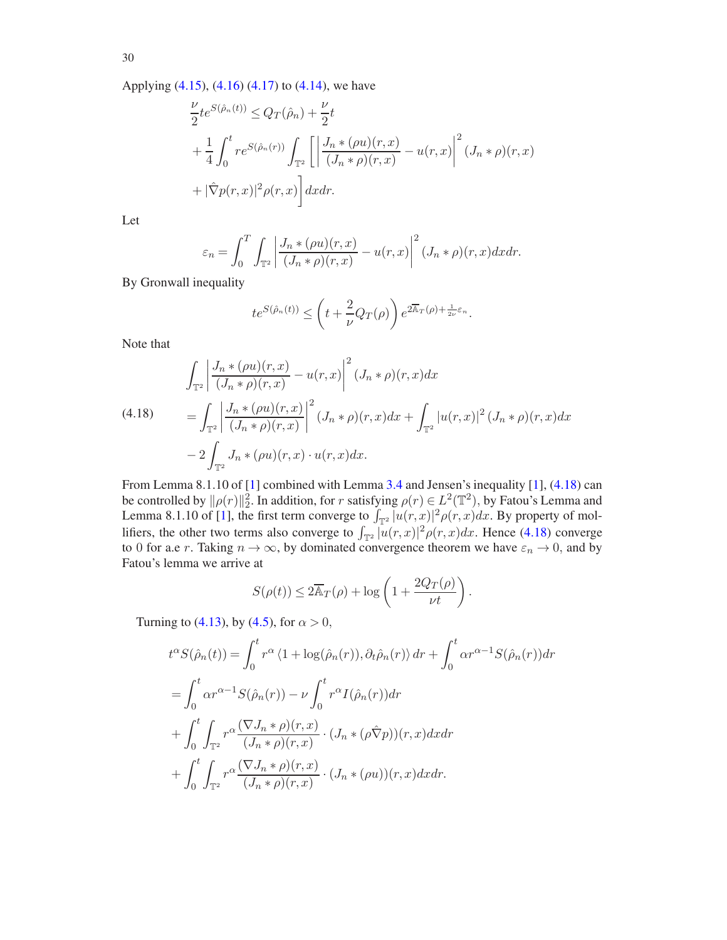Applying [\(4.15\)](#page-28-1), [\(4.16\)](#page-28-2) [\(4.17\)](#page-28-3) to [\(4.14\)](#page-28-4), we have

$$
\frac{\nu}{2}te^{S(\hat{\rho}_n(t))} \leq Q_T(\hat{\rho}_n) + \frac{\nu}{2}t
$$
\n
$$
+ \frac{1}{4} \int_0^t re^{S(\hat{\rho}_n(r))} \int_{\mathbb{T}^2} \left[ \left| \frac{J_n * (\rho u)(r, x)}{(J_n * \rho)(r, x)} - u(r, x) \right|^2 (J_n * \rho)(r, x) + |\hat{\nabla}p(r, x)|^2 \rho(r, x) \right] dx dr.
$$

Let

$$
\varepsilon_n = \int_0^T \int_{\mathbb{T}^2} \left| \frac{J_n * (\rho u)(r, x)}{(J_n * \rho)(r, x)} - u(r, x) \right|^2 (J_n * \rho)(r, x) dx dr.
$$

By Gronwall inequality

$$
te^{S(\hat{\rho}_n(t))} \le \left(t + \frac{2}{\nu}Q_T(\rho)\right)e^{2\overline{\mathbb{A}}_T(\rho) + \frac{1}{2\nu}\varepsilon_n}.
$$

Note that

<span id="page-29-0"></span>(4.18) 
$$
\int_{\mathbb{T}^2} \left| \frac{J_n * (\rho u)(r, x)}{(J_n * \rho)(r, x)} - u(r, x) \right|^2 (J_n * \rho)(r, x) dx
$$

$$
= \int_{\mathbb{T}^2} \left| \frac{J_n * (\rho u)(r, x)}{(J_n * \rho)(r, x)} \right|^2 (J_n * \rho)(r, x) dx + \int_{\mathbb{T}^2} |u(r, x)|^2 (J_n * \rho)(r, x) dx
$$

$$
- 2 \int_{\mathbb{T}^2} J_n * (\rho u)(r, x) \cdot u(r, x) dx.
$$

From Lemma 8.1.10 of [\[1\]](#page-47-20) combined with Lemma [3.4](#page-20-0) and Jensen's inequality [\[1](#page-47-20)], [\(4.18\)](#page-29-0) can be controlled by  $\|\rho(r)\|_2^2$ . In addition, for r satisfying  $\rho(r) \in L^2(\mathbb{T}^2)$ , by Fatou's Lemma and Lemma 8.1.10 of [\[1](#page-47-20)], the first term converge to  $\int_{\mathbb{T}^2} |u(r,x)|^2 \rho(r,x) dx$ . By property of mollifiers, the other two terms also converge to  $\int_{\mathbb{T}^2} |u(r,x)|^2 \rho(r,x) dx$ . Hence [\(4.18\)](#page-29-0) converge to 0 for a.e r. Taking  $n \to \infty$ , by dominated convergence theorem we have  $\varepsilon_n \to 0$ , and by Fatou's lemma we arrive at

$$
S(\rho(t)) \le 2\overline{\mathbb{A}}_T(\rho) + \log\left(1 + \frac{2Q_T(\rho)}{\nu t}\right).
$$

Turning to [\(4.13\)](#page-28-5), by [\(4.5\)](#page-26-2), for  $\alpha > 0$ ,

$$
t^{\alpha}S(\hat{\rho}_n(t)) = \int_0^t r^{\alpha} \langle 1 + \log(\hat{\rho}_n(r)), \partial_t \hat{\rho}_n(r) \rangle dr + \int_0^t \alpha r^{\alpha-1} S(\hat{\rho}_n(r)) dr
$$
  
= 
$$
\int_0^t \alpha r^{\alpha-1} S(\hat{\rho}_n(r)) - \nu \int_0^t r^{\alpha} I(\hat{\rho}_n(r)) dr
$$
  
+ 
$$
\int_0^t \int_{\mathbb{T}^2} r^{\alpha} \frac{(\nabla J_n * \rho)(r, x)}{(J_n * \rho)(r, x)} \cdot (J_n * (\rho \hat{\nabla} p))(r, x) dx dr
$$
  
+ 
$$
\int_0^t \int_{\mathbb{T}^2} r^{\alpha} \frac{(\nabla J_n * \rho)(r, x)}{(J_n * \rho)(r, x)} \cdot (J_n * (\rho u))(r, x) dx dr.
$$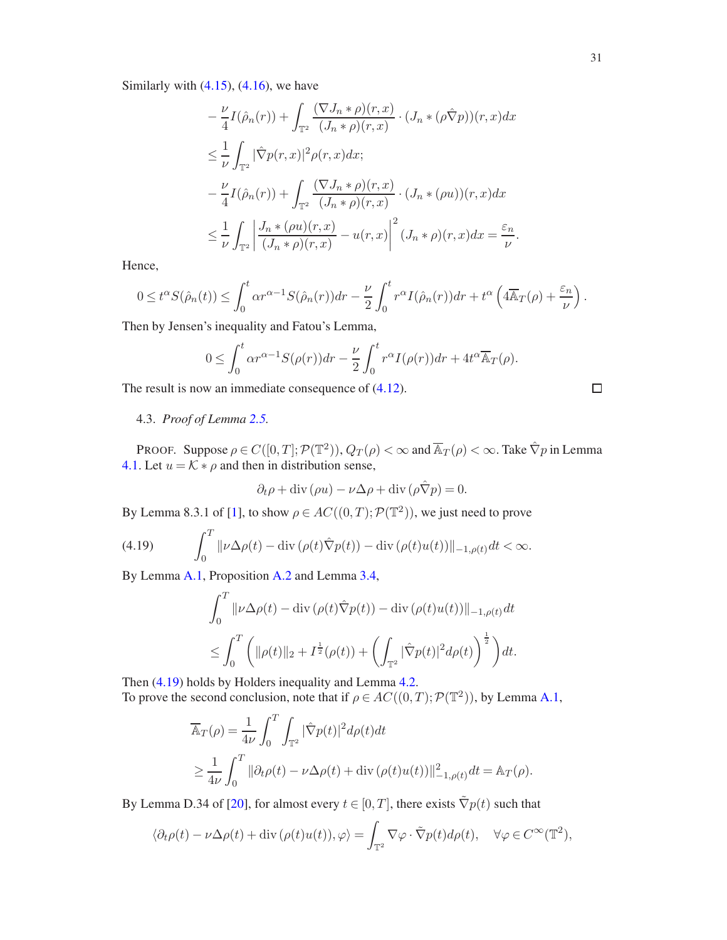Similarly with  $(4.15)$ ,  $(4.16)$ , we have

$$
-\frac{\nu}{4}I(\hat{\rho}_n(r)) + \int_{\mathbb{T}^2} \frac{(\nabla J_n * \rho)(r, x)}{(J_n * \rho)(r, x)} \cdot (J_n * (\rho \hat{\nabla} p))(r, x) dx
$$
  
\n
$$
\leq \frac{1}{\nu} \int_{\mathbb{T}^2} |\hat{\nabla} p(r, x)|^2 \rho(r, x) dx;
$$
  
\n
$$
-\frac{\nu}{4}I(\hat{\rho}_n(r)) + \int_{\mathbb{T}^2} \frac{(\nabla J_n * \rho)(r, x)}{(J_n * \rho)(r, x)} \cdot (J_n * (\rho u))(r, x) dx
$$
  
\n
$$
\leq \frac{1}{\nu} \int_{\mathbb{T}^2} \left| \frac{J_n * (\rho u)(r, x)}{(J_n * \rho)(r, x)} - u(r, x) \right|^2 (J_n * \rho)(r, x) dx = \frac{\varepsilon_n}{\nu}.
$$

Hence,

$$
0 \leq t^{\alpha} S(\hat{\rho}_n(t)) \leq \int_0^t \alpha r^{\alpha-1} S(\hat{\rho}_n(r)) dr - \frac{\nu}{2} \int_0^t r^{\alpha} I(\hat{\rho}_n(r)) dr + t^{\alpha} \left( 4 \overline{\mathbb{A}}_T(\rho) + \frac{\varepsilon_n}{\nu} \right).
$$

Then by Jensen's inequality and Fatou's Lemma,

$$
0 \leq \int_0^t \alpha r^{\alpha-1} S(\rho(r)) dr - \frac{\nu}{2} \int_0^t r^{\alpha} I(\rho(r)) dr + 4t^{\alpha} \overline{\mathbb{A}}_T(\rho).
$$

<span id="page-30-0"></span>The result is now an immediate consequence of  $(4.12)$ .

4.3. *Proof of Lemma [2.5.](#page-12-0)*

PROOF. Suppose  $\rho \in C([0, T]; \mathcal{P}(\mathbb{T}^2))$ ,  $Q_T(\rho) < \infty$  and  $\overline{\mathbb{A}}_T(\rho) < \infty$ . Take  $\hat{\nabla}p$  in Lemma [4.1.](#page-26-5) Let  $u = \overline{\mathcal{K}} * \rho$  and then in distribution sense,

$$
\partial_t \rho + \mathrm{div}(\rho u) - \nu \Delta \rho + \mathrm{div}(\rho \hat{\nabla} p) = 0.
$$

By Lemma 8.3.1 of [\[1](#page-47-20)], to show  $\rho \in AC((0, T); \mathcal{P}(\mathbb{T}^2))$ , we just need to prove

(4.19) 
$$
\int_0^T \|\nu \Delta \rho(t) - \operatorname{div}(\rho(t)\hat{\nabla}p(t)) - \operatorname{div}(\rho(t)u(t))\|_{-1,\rho(t)}dt < \infty.
$$

By Lemma [A.1,](#page-42-1) Proposition [A.2](#page-43-0) and Lemma [3.4,](#page-20-0)

<span id="page-30-1"></span>
$$
\int_0^T \|\nu \Delta \rho(t) - \text{div}(\rho(t)\hat{\nabla}p(t)) - \text{div}(\rho(t)u(t))\|_{-1,\rho(t)} dt
$$
  

$$
\leq \int_0^T \left( \|\rho(t)\|_2 + I^{\frac{1}{2}}(\rho(t)) + \left( \int_{\mathbb{T}^2} |\hat{\nabla}p(t)|^2 d\rho(t) \right)^{\frac{1}{2}} \right) dt.
$$

Then [\(4.19\)](#page-30-1) holds by Holders inequality and Lemma [4.2.](#page-28-6) To prove the second conclusion, note that if  $\rho \in AC((0,T); \mathcal{P}(\mathbb{T}^2))$ , by Lemma [A.1,](#page-42-1)

$$
\overline{\mathbb{A}}_T(\rho) = \frac{1}{4\nu} \int_0^T \int_{\mathbb{T}^2} |\hat{\nabla}p(t)|^2 d\rho(t) dt
$$
  
\n
$$
\geq \frac{1}{4\nu} \int_0^T ||\partial_t \rho(t) - \nu \Delta \rho(t) + \text{div} (\rho(t)u(t))||^2_{-1, \rho(t)} dt = \mathbb{A}_T(\rho).
$$

By Lemma D.34 of [\[20](#page-47-15)], for almost every  $t \in [0, T]$ , there exists  $\tilde{\nabla}p(t)$  such that

$$
\langle \partial_t \rho(t) - \nu \Delta \rho(t) + \text{div}(\rho(t)u(t)), \varphi \rangle = \int_{\mathbb{T}^2} \nabla \varphi \cdot \tilde{\nabla} p(t) d\rho(t), \quad \forall \varphi \in C^\infty(\mathbb{T}^2),
$$

$$
\Box
$$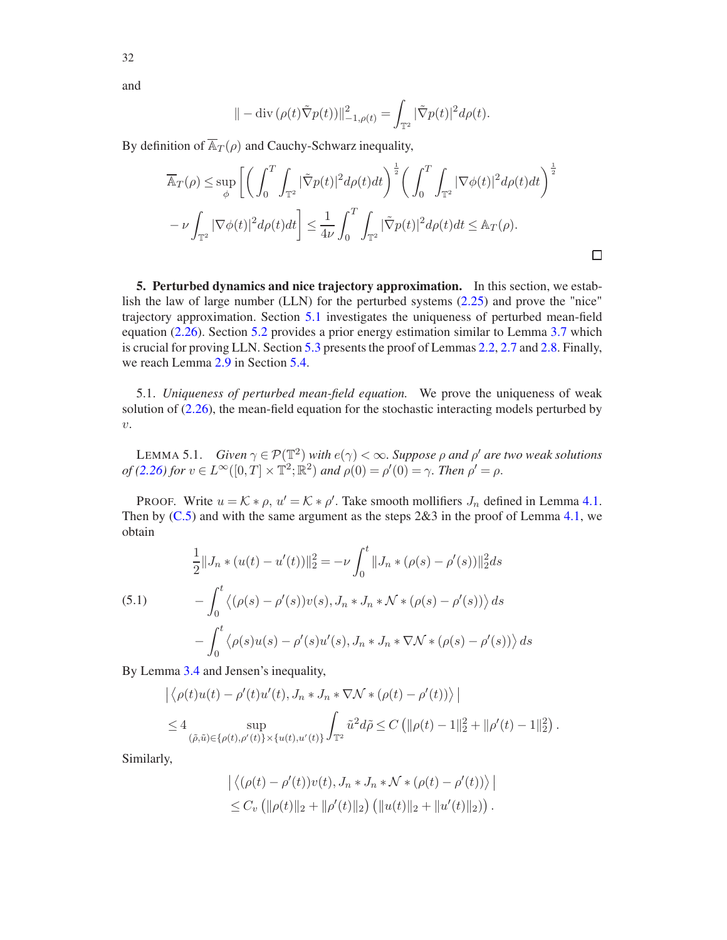$$
\| - \operatorname{div} (\rho(t) \tilde{\nabla} p(t)) \|_{-1, \rho(t)}^2 = \int_{\mathbb{T}^2} |\tilde{\nabla} p(t)|^2 d\rho(t).
$$

By definition of  $\overline{\mathbb{A}}_T(\rho)$  and Cauchy-Schwarz inequality,

$$
\overline{\mathbb{A}}_T(\rho) \le \sup_{\phi} \left[ \left( \int_0^T \int_{\mathbb{T}^2} |\tilde{\nabla}p(t)|^2 d\rho(t) dt \right)^{\frac{1}{2}} \left( \int_0^T \int_{\mathbb{T}^2} |\nabla \phi(t)|^2 d\rho(t) dt \right)^{\frac{1}{2}} \right. \left. - \nu \int_{\mathbb{T}^2} |\nabla \phi(t)|^2 d\rho(t) dt \right] \le \frac{1}{4\nu} \int_0^T \int_{\mathbb{T}^2} |\tilde{\nabla}p(t)|^2 d\rho(t) dt \le \mathbb{A}_T(\rho).
$$

 $\Box$ 

<span id="page-31-0"></span>5. Perturbed dynamics and nice trajectory approximation. In this section, we establish the law of large number (LLN) for the perturbed systems [\(2.25\)](#page-13-2) and prove the "nice" trajectory approximation. Section [5.1](#page-31-1) investigates the uniqueness of perturbed mean-field equation [\(2.26\)](#page-13-3). Section [5.2](#page-33-0) provides a prior energy estimation similar to Lemma [3.7](#page-22-2) which is crucial for proving LLN. Section [5.3](#page-34-0) presents the proof of Lemmas [2.2,](#page-10-1) [2.7](#page-13-1) and [2.8.](#page-14-0) Finally, we reach Lemma [2.9](#page-14-1) in Section [5.4.](#page-38-0)

<span id="page-31-1"></span>5.1. *Uniqueness of perturbed mean-field equation.* We prove the uniqueness of weak solution of [\(2.26\)](#page-13-3), the mean-field equation for the stochastic interacting models perturbed by  $v$ .

<span id="page-31-3"></span>LEMMA 5.1. *Given*  $\gamma \in \mathcal{P}(\mathbb{T}^2)$  *with*  $e(\gamma) < \infty$ . *Suppose*  $\rho$  *and*  $\rho'$  *are two weak solutions*  $of (2.26) for v \in L^{\infty}([0, T] \times \mathbb{T}^2; \mathbb{R}^2) and p(0) = p'(0) = \gamma.$  $of (2.26) for v \in L^{\infty}([0, T] \times \mathbb{T}^2; \mathbb{R}^2) and p(0) = p'(0) = \gamma.$  $of (2.26) for v \in L^{\infty}([0, T] \times \mathbb{T}^2; \mathbb{R}^2) and p(0) = p'(0) = \gamma.$  Then  $p' = \rho$ .

PROOF. Write  $u = \mathcal{K} * \rho$ ,  $u' = \mathcal{K} * \rho'$ . Take smooth mollifiers  $J_n$  defined in Lemma [4.1.](#page-26-5) Then by  $(C.5)$  and with the same argument as the steps  $2\&3$  in the proof of Lemma [4.1,](#page-26-5) we obtain

<span id="page-31-2"></span>(5.1) 
$$
\frac{1}{2} ||J_n * (u(t) - u'(t))||_2^2 = -\nu \int_0^t ||J_n * (\rho(s) - \rho'(s))||_2^2 ds
$$

$$
- \int_0^t \langle (\rho(s) - \rho'(s))v(s), J_n * J_n * \mathcal{N} * (\rho(s) - \rho'(s)) \rangle ds
$$

$$
- \int_0^t \langle \rho(s)u(s) - \rho'(s)u'(s), J_n * J_n * \nabla \mathcal{N} * (\rho(s) - \rho'(s)) \rangle ds
$$

By Lemma [3.4](#page-20-0) and Jensen's inequality,

$$
\left| \langle \rho(t)u(t) - \rho'(t)u'(t), J_n * J_n * \nabla \mathcal{N} * (\rho(t) - \rho'(t)) \rangle \right|
$$
  
\n
$$
\leq 4 \sup_{(\tilde{\rho}, \tilde{u}) \in \{\rho(t), \rho'(t)\} \times \{u(t), u'(t)\}} \int_{\mathbb{T}^2} \tilde{u}^2 d\tilde{\rho} \leq C \left( \| \rho(t) - 1 \|_2^2 + \| \rho'(t) - 1 \|_2^2 \right).
$$

Similarly,

$$
\left| \langle (\rho(t) - \rho'(t)) v(t), J_n * J_n * \mathcal{N} * (\rho(t) - \rho'(t)) \rangle \right|
$$
  
 
$$
\leq C_v \left( \| \rho(t) \|_2 + \| \rho'(t) \|_2 \right) \left( \| u(t) \|_2 + \| u'(t) \|_2 \right).
$$

32

and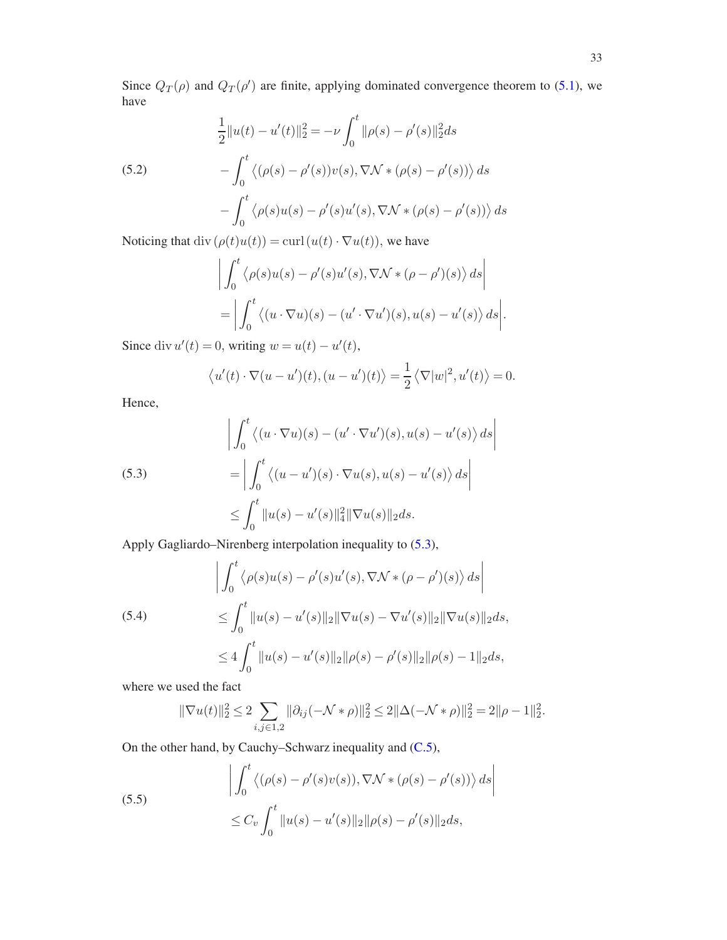Since  $Q_T(\rho)$  and  $Q_T(\rho')$  are finite, applying dominated convergence theorem to [\(5.1\)](#page-31-2), we have

(5.2)  
\n
$$
\frac{1}{2}||u(t) - u'(t)||_2^2 = -\nu \int_0^t ||\rho(s) - \rho'(s)||_2^2 ds
$$
\n
$$
-\int_0^t \langle (\rho(s) - \rho'(s))v(s), \nabla \mathcal{N} * (\rho(s) - \rho'(s)) \rangle ds
$$
\n
$$
-\int_0^t \langle \rho(s)u(s) - \rho'(s)u'(s), \nabla \mathcal{N} * (\rho(s) - \rho'(s)) \rangle ds
$$

Noticing that div  $(\rho(t)u(t)) = \text{curl}(u(t) \cdot \nabla u(t))$ , we have

<span id="page-32-1"></span>
$$
\left| \int_0^t \left\langle \rho(s)u(s) - \rho'(s)u'(s), \nabla \mathcal{N} * (\rho - \rho')(s) \right\rangle ds \right|
$$
  
= 
$$
\left| \int_0^t \left\langle (u \cdot \nabla u)(s) - (u' \cdot \nabla u')(s), u(s) - u'(s) \right\rangle ds \right|
$$

Since div  $u'(t) = 0$ , writing  $w = u(t) - u'(t)$ ,

<span id="page-32-0"></span>
$$
\langle u'(t)\cdot \nabla(u-u')(t),(u-u')(t)\rangle=\frac{1}{2}\langle \nabla|w|^2,u'(t)\rangle=0.
$$

Hence,

(5.3)  
\n
$$
\left| \int_0^t \left\langle (u \cdot \nabla u)(s) - (u' \cdot \nabla u')(s), u(s) - u'(s) \right\rangle ds \right|
$$
\n
$$
= \left| \int_0^t \left\langle (u - u')(s) \cdot \nabla u(s), u(s) - u'(s) \right\rangle ds \right|
$$
\n
$$
\leq \int_0^t \|u(s) - u'(s)\|_4^2 \|\nabla u(s)\|_2 ds.
$$

Apply Gagliardo–Nirenberg interpolation inequality to [\(5.3\)](#page-32-0),

(5.4)  
\n
$$
\left| \int_0^t \langle \rho(s)u(s) - \rho'(s)u'(s), \nabla \mathcal{N} * (\rho - \rho')(s) \rangle ds \right|
$$
\n
$$
\leq \int_0^t \|u(s) - u'(s)\|_2 \|\nabla u(s) - \nabla u'(s)\|_2 \|\nabla u(s)\|_2 ds,
$$
\n
$$
\leq 4 \int_0^t \|u(s) - u'(s)\|_2 \|\rho(s) - \rho'(s)\|_2 \|\rho(s) - 1\|_2 ds,
$$

where we used the fact

<span id="page-32-3"></span><span id="page-32-2"></span>
$$
\|\nabla u(t)\|_2^2 \le 2 \sum_{i,j \in 1,2} \|\partial_{ij}(-\mathcal{N}*\rho)\|_2^2 \le 2\|\Delta(-\mathcal{N}*\rho)\|_2^2 = 2\|\rho-1\|_2^2.
$$

On the other hand, by Cauchy–Schwarz inequality and [\(C.5\)](#page-45-0),

(5.5)  

$$
\left| \int_0^t \left\langle (\rho(s) - \rho'(s)v(s)), \nabla \mathcal{N} * (\rho(s) - \rho'(s)) \right\rangle ds \right|
$$

$$
\leq C_v \int_0^t \|u(s) - u'(s)\|_2 \|\rho(s) - \rho'(s)\|_2 ds,
$$

.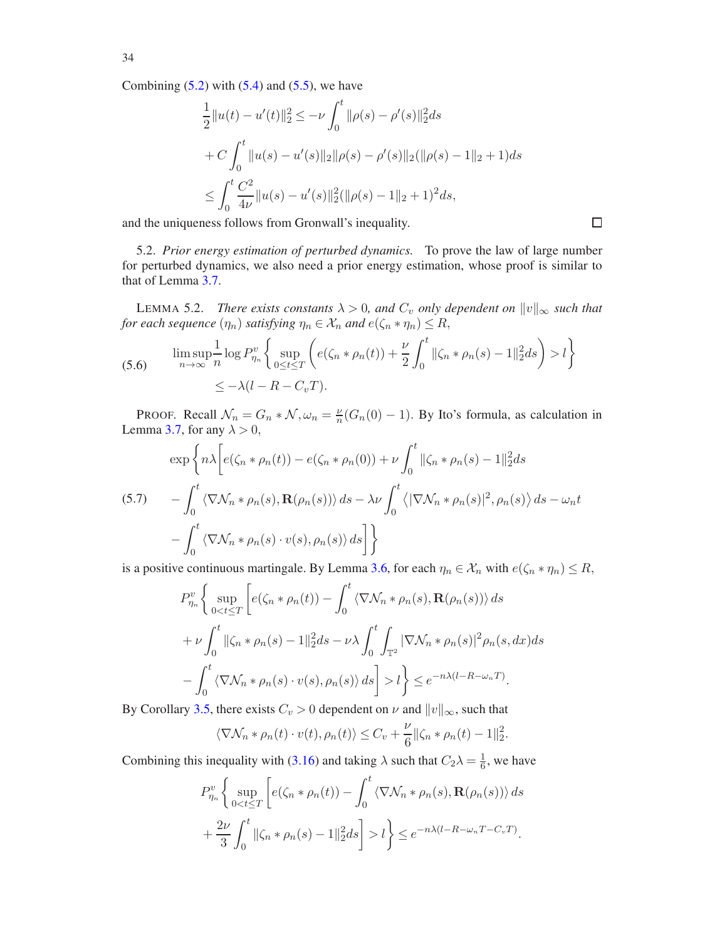Combining  $(5.2)$  with  $(5.4)$  and  $(5.5)$ , we have

$$
\frac{1}{2}||u(t) - u'(t)||_2^2 \le -\nu \int_0^t ||\rho(s) - \rho'(s)||_2^2 ds
$$
  
+  $C \int_0^t ||u(s) - u'(s)||_2 ||\rho(s) - \rho'(s)||_2 (||\rho(s) - 1||_2 + 1) ds$   
 $\le \int_0^t \frac{C^2}{4\nu} ||u(s) - u'(s)||_2^2 (||\rho(s) - 1||_2 + 1)^2 ds,$ 

<span id="page-33-0"></span>and the uniqueness follows from Gronwall's inequality.

5.2. *Prior energy estimation of perturbed dynamics.* To prove the law of large number for perturbed dynamics, we also need a prior energy estimation, whose proof is similar to that of Lemma [3.7.](#page-22-2)

<span id="page-33-1"></span>LEMMA 5.2. *There exists constants*  $\lambda > 0$ , and  $C_v$  *only dependent on*  $||v||_{\infty}$  *such that for each sequence*  $(\eta_n)$  *satisfying*  $\eta_n \in \mathcal{X}_n$  *and*  $e(\zeta_n * \eta_n) \leq R$ ,

(5.6) 
$$
\limsup_{n \to \infty} \frac{1}{n} \log P_{\eta_n}^v \left\{ \sup_{0 \le t \le T} \left( e(\zeta_n * \rho_n(t)) + \frac{\nu}{2} \int_0^t ||\zeta_n * \rho_n(s) - 1||_2^2 ds \right) > l \right\}
$$

$$
\le -\lambda (l - R - C_v T).
$$

PROOF. Recall  $\mathcal{N}_n = G_n * \mathcal{N}, \omega_n = \frac{\nu}{n}$  $\frac{\nu}{n}(G_n(0)-1)$ . By Ito's formula, as calculation in Lemma [3.7,](#page-22-2) for any  $\lambda > 0$ ,

$$
\exp\left\{ n\lambda \left[ e(\zeta_n * \rho_n(t)) - e(\zeta_n * \rho_n(0)) + \nu \int_0^t ||\zeta_n * \rho_n(s) - 1||_2^2 ds \right. \\ \left. - \int_0^t \langle \nabla \mathcal{N}_n * \rho_n(s), \mathbf{R}(\rho_n(s)) \rangle ds - \lambda \nu \int_0^t \langle |\nabla \mathcal{N}_n * \rho_n(s)|^2, \rho_n(s) \rangle ds - \omega_n t \right. \\ \left. - \int_0^t \langle \nabla \mathcal{N}_n * \rho_n(s) \cdot v(s), \rho_n(s) \rangle ds \right] \right\}
$$

is a positive continuous martingale. By Lemma [3.6,](#page-22-1) for each  $\eta_n \in \mathcal{X}_n$  with  $e(\zeta_n * \eta_n) \leq R$ ,

$$
P_{\eta_n}^v \left\{ \sup_{0 < t \le T} \left[ e(\zeta_n * \rho_n(t)) - \int_0^t \langle \nabla \mathcal{N}_n * \rho_n(s), \mathbf{R}(\rho_n(s)) \rangle ds \right. \\ \left. + \nu \int_0^t ||\zeta_n * \rho_n(s) - 1||_2^2 ds - \nu \lambda \int_0^t \int_{\mathbb{T}^2} |\nabla \mathcal{N}_n * \rho_n(s)|^2 \rho_n(s, dx) ds \right. \\ \left. - \int_0^t \langle \nabla \mathcal{N}_n * \rho_n(s) \cdot v(s), \rho_n(s) \rangle ds \right] > l \right\} \le e^{-n\lambda(l - R - \omega_n T)}.
$$

By Corollary [3.5,](#page-22-3) there exists  $C_v > 0$  dependent on  $\nu$  and  $||v||_{\infty}$ , such that

$$
\langle \nabla \mathcal{N}_n * \rho_n(t) \cdot v(t), \rho_n(t) \rangle \leq C_v + \frac{\nu}{6} ||\zeta_n * \rho_n(t) - 1||_2^2.
$$

Combining this inequality with [\(3.16\)](#page-23-0) and taking  $\lambda$  such that  $C_2\lambda = \frac{1}{6}$ , we have

$$
P_{\eta_n}^v \left\{ \sup_{0 < t \le T} \left[ e(\zeta_n * \rho_n(t)) - \int_0^t \langle \nabla \mathcal{N}_n * \rho_n(s), \mathbf{R}(\rho_n(s)) \rangle ds \right. \\ \left. + \frac{2\nu}{3} \int_0^t \|\zeta_n * \rho_n(s) - 1\|_2^2 ds \right] > l \right\} \le e^{-n\lambda(l - R - \omega_n T - C_v T)}.
$$

34

 $\Box$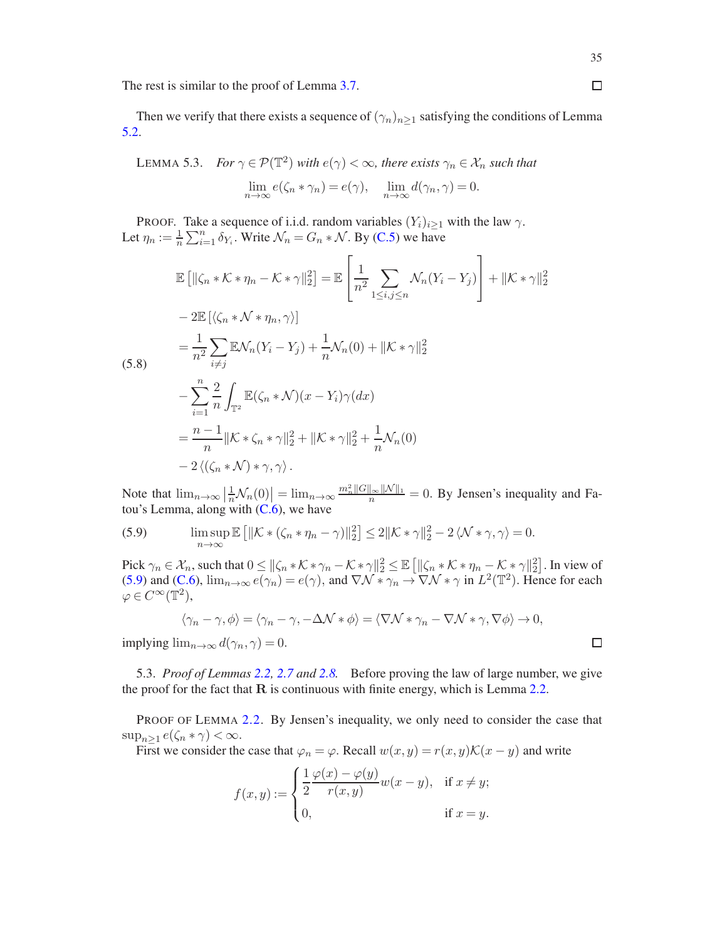The rest is similar to the proof of Lemma [3.7.](#page-22-2)

Then we verify that there exists a sequence of  $(\gamma_n)_{n>1}$  satisfying the conditions of Lemma [5.2.](#page-33-1)

<span id="page-34-1"></span>LEMMA 5.3. For 
$$
\gamma \in \mathcal{P}(\mathbb{T}^2)
$$
 with  $e(\gamma) < \infty$ , there exists  $\gamma_n \in \mathcal{X}_n$  such that  
\n
$$
\lim_{n \to \infty} e(\zeta_n * \gamma_n) = e(\gamma), \quad \lim_{n \to \infty} d(\gamma_n, \gamma) = 0.
$$

PROOF. Take a sequence of i.i.d. random variables  $(Y_i)_{i\geq 1}$  with the law  $\gamma$ . Let  $\eta_n := \frac{1}{n} \sum_{i=1}^n \delta_{Y_i}$ . Write  $\mathcal{N}_n = G_n * \mathcal{N}$ . By [\(C.5\)](#page-45-0) we have

$$
\mathbb{E}\left[\left\|\zeta_{n} * \mathcal{K} * \eta_{n} - \mathcal{K} * \gamma\right\|_{2}^{2}\right] = \mathbb{E}\left[\frac{1}{n^{2}} \sum_{1 \leq i,j \leq n} \mathcal{N}_{n}(Y_{i} - Y_{j})\right] + \|\mathcal{K} * \gamma\|_{2}^{2}
$$
  
\n
$$
- 2\mathbb{E}\left[\left\langle \zeta_{n} * \mathcal{N} * \eta_{n}, \gamma\right\rangle\right]
$$
  
\n
$$
= \frac{1}{n^{2}} \sum_{i \neq j} \mathbb{E}\mathcal{N}_{n}(Y_{i} - Y_{j}) + \frac{1}{n} \mathcal{N}_{n}(0) + \|\mathcal{K} * \gamma\|_{2}^{2}
$$
  
\n(5.8)  
\n
$$
- \sum_{i=1}^{n} \frac{2}{n} \int_{\mathbb{T}^{2}} \mathbb{E}(\zeta_{n} * \mathcal{N})(x - Y_{i})\gamma(dx)
$$
  
\n
$$
= \frac{n-1}{n} \|\mathcal{K} * \zeta_{n} * \gamma\|_{2}^{2} + \|\mathcal{K} * \gamma\|_{2}^{2} + \frac{1}{n} \mathcal{N}_{n}(0)
$$
  
\n
$$
- 2\langle(\zeta_{n} * \mathcal{N}) * \gamma, \gamma\rangle.
$$

 $($ 

Note that  $\lim_{n\to\infty} \left|\frac{1}{n} \mathcal{N}_n(0)\right| = \lim_{n\to\infty} \frac{m_n^2 \|G\|_{\infty} \|N\|_1}{n} = 0$ . By Jensen's inequality and Fatou's Lemma, along with  $(C.6)$ , we have

<span id="page-34-2"></span>(5.9) 
$$
\limsup_{n \to \infty} \mathbb{E} \left[ \| \mathcal{K} * (\zeta_n * \eta_n - \gamma) \|_2^2 \right] \le 2 \| \mathcal{K} * \gamma \|_2^2 - 2 \langle \mathcal{N} * \gamma, \gamma \rangle = 0.
$$

Pick  $\gamma_n \in \mathcal{X}_n$ , such that  $0 \le ||\zeta_n * \mathcal{K} * \gamma_n - \mathcal{K} * \gamma||_2^2 \le \mathbb{E}\left[\|\zeta_n * \mathcal{K} * \eta_n - \mathcal{K} * \gamma||_2^2\right]$ . In view of [\(5.9\)](#page-34-2) and (C,6),  $\lim_{n\to\infty} e(\gamma_n) = e(\gamma)$ , and  $\nabla \mathcal{N} * \gamma_n \to \nabla \mathcal{N} * \gamma$  in  $L^2(\mathbb{T}^2)$ . Hence for each  $\varphi \in C^{\infty}(\mathbb{T}^2),$ 

$$
\langle \gamma_n - \gamma, \phi \rangle = \langle \gamma_n - \gamma, -\Delta \mathcal{N} * \phi \rangle = \langle \nabla \mathcal{N} * \gamma_n - \nabla \mathcal{N} * \gamma, \nabla \phi \rangle \to 0,
$$

implying  $\lim_{n\to\infty} d(\gamma_n, \gamma) = 0$ .

<span id="page-34-0"></span>5.3. *Proof of Lemmas [2.2,](#page-10-1) [2.7](#page-13-1) and [2.8.](#page-14-0)* Before proving the law of large number, we give the proof for the fact that  **is continuous with finite energy, which is Lemma [2.2.](#page-10-1)** 

PROOF OF LEMMA [2.2.](#page-10-1) By Jensen's inequality, we only need to consider the case that  $\sup_{n\geq 1} e(\zeta_n * \gamma) < \infty.$ 

First we consider the case that  $\varphi_n = \varphi$ . Recall  $w(x, y) = r(x, y) \mathcal{K}(x - y)$  and write

$$
f(x,y) := \begin{cases} \frac{1}{2} \frac{\varphi(x) - \varphi(y)}{r(x,y)} w(x-y), & \text{if } x \neq y; \\ 0, & \text{if } x = y. \end{cases}
$$

 $\Box$ 

 $\Box$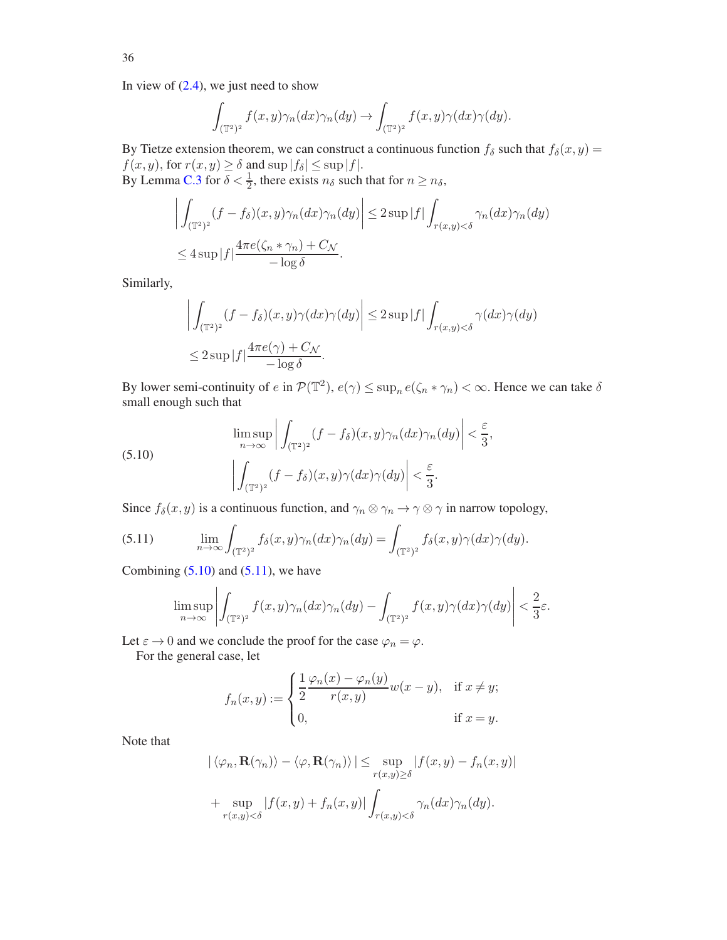In view of  $(2.4)$ , we just need to show

$$
\int_{(\mathbb{T}^2)^2} f(x,y)\gamma_n(dx)\gamma_n(dy) \to \int_{(\mathbb{T}^2)^2} f(x,y)\gamma(dx)\gamma(dy).
$$

By Tietze extension theorem, we can construct a continuous function  $f_\delta$  such that  $f_\delta(x, y) =$  $f(x, y)$ , for  $r(x, y) \ge \delta$  and  $\sup |f_\delta| \le \sup |f|$ . By Lemma [C.3](#page-46-3) for  $\delta < \frac{1}{2}$ , there exists  $n_{\delta}$  such that for  $n \ge n_{\delta}$ ,

$$
\left| \int_{(\mathbb{T}^2)^2} (f - f_\delta)(x, y) \gamma_n(dx) \gamma_n(dy) \right| \leq 2 \sup |f| \int_{r(x, y) < \delta} \gamma_n(dx) \gamma_n(dy)
$$
  

$$
\leq 4 \sup |f| \frac{4 \pi e(\zeta_n * \gamma_n) + C_{\mathcal{N}}}{-\log \delta}.
$$

Similarly,

$$
\left| \int_{(\mathbb{T}^2)^2} (f - f_\delta)(x, y) \gamma(dx) \gamma(dy) \right| \leq 2 \sup |f| \int_{r(x, y) < \delta} \gamma(dx) \gamma(dy)
$$
  

$$
\leq 2 \sup |f| \frac{4\pi e(\gamma) + C_{\mathcal{N}}}{-\log \delta}.
$$

By lower semi-continuity of  $e$  in  $\mathcal{P}(\mathbb{T}^2)$ ,  $e(\gamma) \le \sup_n e(\zeta_n * \gamma_n) < \infty$ . Hence we can take  $\delta$ small enough such that

<span id="page-35-0"></span>(5.10) 
$$
\limsup_{n \to \infty} \left| \int_{(\mathbb{T}^2)^2} (f - f_\delta)(x, y) \gamma_n(dx) \gamma_n(dy) \right| < \frac{\varepsilon}{3},
$$

$$
\left| \int_{(\mathbb{T}^2)^2} (f - f_\delta)(x, y) \gamma(dx) \gamma(dy) \right| < \frac{\varepsilon}{3}.
$$

Since  $f_{\delta}(x, y)$  is a continuous function, and  $\gamma_n \otimes \gamma_n \to \gamma \otimes \gamma$  in narrow topology,

(5.11) 
$$
\lim_{n \to \infty} \int_{(\mathbb{T}^2)^2} f_\delta(x, y) \gamma_n(dx) \gamma_n(dy) = \int_{(\mathbb{T}^2)^2} f_\delta(x, y) \gamma(dx) \gamma(dy).
$$

Combining  $(5.10)$  and  $(5.11)$ , we have

<span id="page-35-1"></span>
$$
\limsup_{n\to\infty}\left|\int_{(\mathbb{T}^2)^2}f(x,y)\gamma_n(dx)\gamma_n(dy)-\int_{(\mathbb{T}^2)^2}f(x,y)\gamma(dx)\gamma(dy)\right|<\frac{2}{3}\varepsilon.
$$

Let  $\varepsilon \to 0$  and we conclude the proof for the case  $\varphi_n = \varphi$ .

For the general case, let

$$
f_n(x,y) := \begin{cases} \frac{1}{2} \frac{\varphi_n(x) - \varphi_n(y)}{r(x,y)} w(x-y), & \text{if } x \neq y; \\ 0, & \text{if } x = y. \end{cases}
$$

Note that

$$
|\langle \varphi_n, \mathbf{R}(\gamma_n) \rangle - \langle \varphi, \mathbf{R}(\gamma_n) \rangle| \le \sup_{r(x,y) \ge \delta} |f(x,y) - f_n(x,y)|
$$
  
+ 
$$
\sup_{r(x,y) < \delta} |f(x,y) + f_n(x,y)| \int_{r(x,y) < \delta} \gamma_n(dx) \gamma_n(dy).
$$

36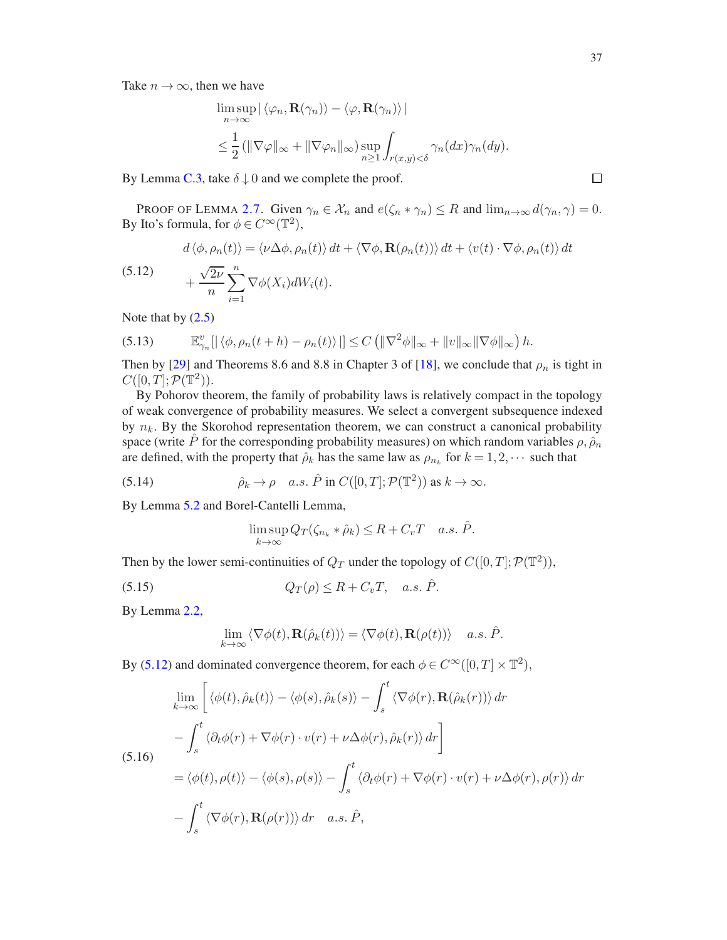Take  $n \to \infty$ , then we have

$$
\limsup_{n \to \infty} |\langle \varphi_n, \mathbf{R}(\gamma_n) \rangle - \langle \varphi, \mathbf{R}(\gamma_n) \rangle|
$$
  
\n
$$
\leq \frac{1}{2} (\|\nabla \varphi\|_{\infty} + \|\nabla \varphi_n\|_{\infty}) \sup_{n \geq 1} \int_{r(x,y) < \delta} \gamma_n(dx) \gamma_n(dy).
$$

By Lemma [C.3,](#page-46-3) take  $\delta \downarrow 0$  and we complete the proof.

PROOF OF LEMMA [2.7.](#page-13-1) Given  $\gamma_n \in \mathcal{X}_n$  and  $e(\zeta_n * \gamma_n) \leq R$  and  $\lim_{n \to \infty} d(\gamma_n, \gamma) = 0$ . By Ito's formula, for  $\phi \in C^{\infty}(\mathbb{T}^2)$ ,

<span id="page-36-0"></span>(5.12) 
$$
d \langle \phi, \rho_n(t) \rangle = \langle \nu \Delta \phi, \rho_n(t) \rangle dt + \langle \nabla \phi, \mathbf{R}(\rho_n(t)) \rangle dt + \langle v(t) \cdot \nabla \phi, \rho_n(t) \rangle dt
$$

$$
+ \frac{\sqrt{2\nu}}{n} \sum_{i=1}^n \nabla \phi(X_i) dW_i(t).
$$

Note that by  $(2.5)$ 

(5.13) 
$$
\mathbb{E}_{\gamma_n}^v[|\langle \phi, \rho_n(t+h) - \rho_n(t) \rangle|] \leq C \left( \|\nabla^2 \phi\|_{\infty} + \|v\|_{\infty} \|\nabla \phi\|_{\infty} \right) h.
$$

Then by [\[29\]](#page-48-25) and Theorems 8.6 and 8.8 in Chapter 3 of [\[18\]](#page-47-23), we conclude that  $\rho_n$  is tight in  $C([0,T];{\mathcal P}({\mathbb T}^2)).$ 

By Pohorov theorem, the family of probability laws is relatively compact in the topology of weak convergence of probability measures. We select a convergent subsequence indexed by  $n_k$ . By the Skorohod representation theorem, we can construct a canonical probability space (write P for the corresponding probability measures) on which random variables  $\rho$ ,  $\rho_n$ are defined, with the property that  $\hat{\rho}_k$  has the same law as  $\rho_{n_k}$  for  $k = 1, 2, \cdots$  such that

(5.14) 
$$
\hat{\rho}_k \to \rho \quad a.s. \ \hat{P} \text{ in } C([0,T]; \mathcal{P}(\mathbb{T}^2)) \text{ as } k \to \infty.
$$

By Lemma [5.2](#page-33-1) and Borel-Cantelli Lemma,

<span id="page-36-1"></span>
$$
\limsup_{k \to \infty} Q_T(\zeta_{n_k} * \hat{\rho}_k) \le R + C_v T \quad a.s. \; \hat{P}.
$$

Then by the lower semi-continuities of  $Q_T$  under the topology of  $C([0, T]; \mathcal{P}(\mathbb{T}^2))$ ,

$$
(5.15) \tQ_T(\rho) \le R + C_v T, \quad a.s. \hat{P}.
$$

By Lemma [2.2,](#page-10-1)

$$
\lim_{k \to \infty} \langle \nabla \phi(t), \mathbf{R}(\hat{\rho}_k(t)) \rangle = \langle \nabla \phi(t), \mathbf{R}(\rho(t)) \rangle \quad a.s. \hat{P}.
$$

By [\(5.12\)](#page-36-0) and dominated convergence theorem, for each  $\phi \in C^{\infty}([0, T] \times \mathbb{T}^2)$ ,

<span id="page-36-2"></span>
$$
\lim_{k \to \infty} \left[ \langle \phi(t), \hat{\rho}_k(t) \rangle - \langle \phi(s), \hat{\rho}_k(s) \rangle - \int_s^t \langle \nabla \phi(r), \mathbf{R}(\hat{\rho}_k(r)) \rangle dr \right]
$$
  
\n(5.16)  
\n
$$
= \langle \phi(t), \rho(t) \rangle - \langle \phi(s), \rho(s) \rangle - \int_s^t \langle \partial_t \phi(r) + \nabla \phi(r) \cdot v(r) + \nu \Delta \phi(r), \rho(r) \rangle dr
$$
  
\n
$$
- \int_s^t \langle \nabla \phi(r), \mathbf{R}(\rho(r)) \rangle dr \quad a.s. \hat{P},
$$

$$
\Box
$$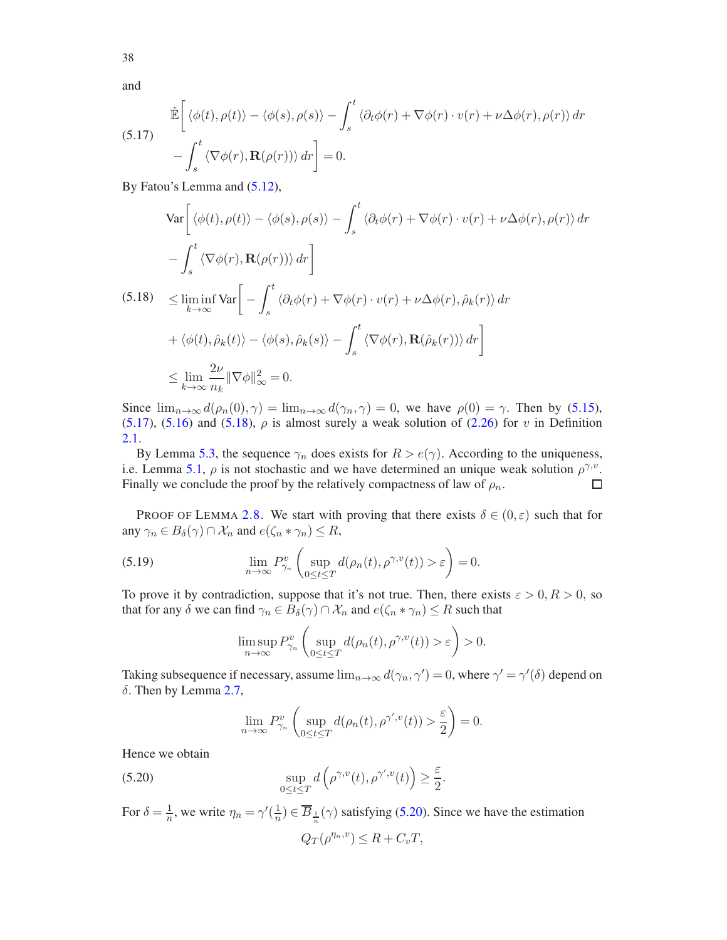and

<span id="page-37-0"></span>(5.17) 
$$
\hat{\mathbb{E}}\left[\langle \phi(t), \rho(t) \rangle - \langle \phi(s), \rho(s) \rangle - \int_s^t \langle \partial_t \phi(r) + \nabla \phi(r) \cdot v(r) + \nu \Delta \phi(r), \rho(r) \rangle dr - \int_s^t \langle \nabla \phi(r), \mathbf{R}(\rho(r)) \rangle dr \right] = 0.
$$

By Fatou's Lemma and  $(5.12)$ ,

<span id="page-37-1"></span>
$$
\operatorname{Var}\left[\langle\phi(t),\rho(t)\rangle - \langle\phi(s),\rho(s)\rangle - \int_s^t \langle\partial_t\phi(r) + \nabla\phi(r) \cdot v(r) + \nu \Delta\phi(r), \rho(r) \rangle dr\right]
$$
  

$$
- \int_s^t \langle\nabla\phi(r), \mathbf{R}(\rho(r))\rangle dr \bigg]
$$
  

$$
(5.18) \leq \liminf_{k \to \infty} \operatorname{Var}\left[ - \int_s^t \langle\partial_t\phi(r) + \nabla\phi(r) \cdot v(r) + \nu \Delta\phi(r), \hat{\rho}_k(r) \rangle dr + \langle\phi(t), \hat{\rho}_k(t)\rangle - \langle\phi(s), \hat{\rho}_k(s)\rangle - \int_s^t \langle\nabla\phi(r), \mathbf{R}(\hat{\rho}_k(r))\rangle dr \right]
$$
  

$$
\leq \lim_{k \to \infty} \frac{2\nu}{n_k} \|\nabla\phi\|_{\infty}^2 = 0.
$$

Since  $\lim_{n\to\infty} d(\rho_n(0), \gamma) = \lim_{n\to\infty} d(\gamma_n, \gamma) = 0$ , we have  $\rho(0) = \gamma$ . Then by [\(5.15\)](#page-36-1), [\(5.17\)](#page-37-0), [\(5.16\)](#page-36-2) and [\(5.18\)](#page-37-1),  $\rho$  is almost surely a weak solution of [\(2.26\)](#page-13-3) for v in Definition [2.1.](#page-13-4)

By Lemma [5.3,](#page-34-1) the sequence  $\gamma_n$  does exists for  $R > e(\gamma)$ . According to the uniqueness, i.e. Lemma [5.1,](#page-31-3)  $\rho$  is not stochastic and we have determined an unique weak solution  $\rho^{\gamma, v}$ . Finally we conclude the proof by the relatively compactness of law of  $\rho_n$ . □

PROOF OF LEMMA [2.8.](#page-14-0) We start with proving that there exists  $\delta \in (0,\varepsilon)$  such that for any  $\gamma_n \in B_\delta(\gamma) \cap \mathcal{X}_n$  and  $e(\zeta_n * \gamma_n) \leq R$ ,

(5.19) 
$$
\lim_{n \to \infty} P_{\gamma_n}^v \left( \sup_{0 \le t \le T} d(\rho_n(t), \rho^{\gamma, v}(t)) > \varepsilon \right) = 0.
$$

To prove it by contradiction, suppose that it's not true. Then, there exists  $\varepsilon > 0, R > 0$ , so that for any  $\delta$  we can find  $\gamma_n \in B_\delta(\gamma) \cap \mathcal{X}_n$  and  $e(\zeta_n * \gamma_n) \leq R$  such that

<span id="page-37-3"></span>
$$
\limsup_{n\to\infty} P_{\gamma_n}^v\left(\sup_{0\leq t\leq T}d(\rho_n(t),\rho^{\gamma,v}(t))>\varepsilon\right)>0.
$$

Taking subsequence if necessary, assume  $\lim_{n\to\infty} d(\gamma_n, \gamma') = 0$ , where  $\gamma' = \gamma'(\delta)$  depend on δ. Then by Lemma [2.7,](#page-13-1)

<span id="page-37-2"></span>
$$
\lim_{n \to \infty} P_{\gamma_n}^v \left( \sup_{0 \le t \le T} d(\rho_n(t), \rho^{\gamma', v}(t)) > \frac{\varepsilon}{2} \right) = 0.
$$

Hence we obtain

(5.20) 
$$
\sup_{0 \le t \le T} d\left(\rho^{\gamma, v}(t), \rho^{\gamma', v}(t)\right) \ge \frac{\varepsilon}{2}.
$$

For  $\delta = \frac{1}{n}$ , we write  $\eta_n = \gamma'(\frac{1}{n})$  $\frac{1}{n}$ )  $\in \overline{B}_{\frac{1}{n}}(\gamma)$  satisfying [\(5.20\)](#page-37-2). Since we have the estimation  $Q_T(\rho^{\eta_n,v}) \leq R + C_v T,$ 

38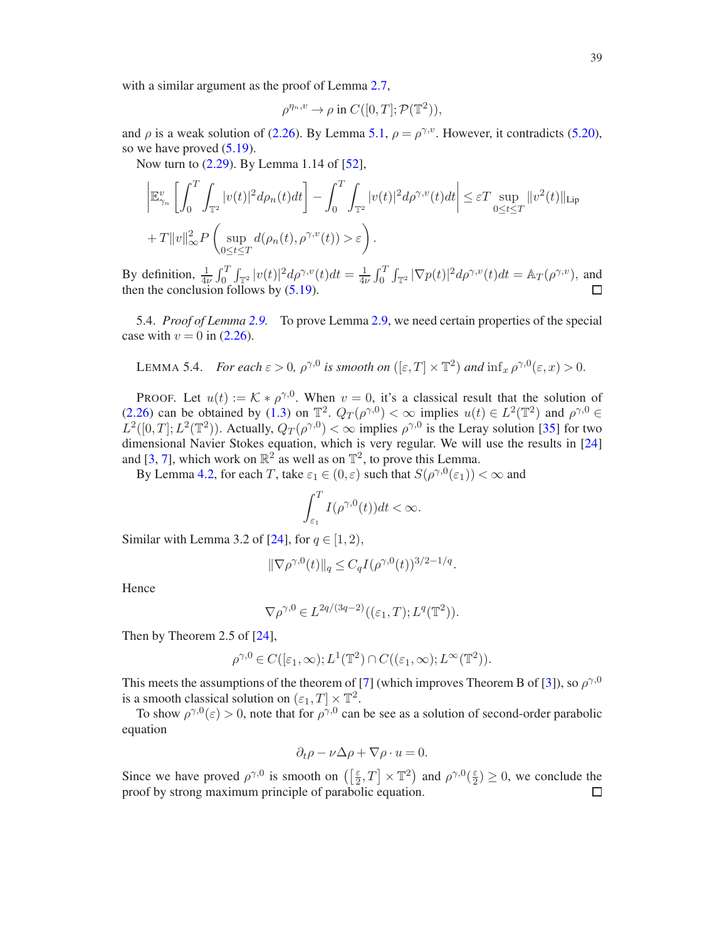with a similar argument as the proof of Lemma [2.7,](#page-13-1)

$$
\rho^{\eta_n, v} \to \rho \text{ in } C([0, T]; \mathcal{P}(\mathbb{T}^2)),
$$

and  $\rho$  is a weak solution of [\(2.26\)](#page-13-3). By Lemma [5.1,](#page-31-3)  $\rho = \rho^{\gamma, v}$ . However, it contradicts [\(5.20\)](#page-37-2), so we have proved [\(5.19\)](#page-37-3).

Now turn to [\(2.29\)](#page-14-4). By Lemma 1.14 of [\[52](#page-48-19)],

$$
\left| \mathbb{E}_{\gamma_n}^v \left[ \int_0^T \int_{\mathbb{T}^2} |v(t)|^2 d\rho_n(t) dt \right] - \int_0^T \int_{\mathbb{T}^2} |v(t)|^2 d\rho^{\gamma, v}(t) dt \right| \leq \varepsilon T \sup_{0 \leq t \leq T} \|v^2(t)\|_{\text{Lip}} + T \|v\|_{\infty}^2 P \left( \sup_{0 \leq t \leq T} d(\rho_n(t), \rho^{\gamma, v}(t)) > \varepsilon \right).
$$

By definition,  $\frac{1}{4\nu} \int_0^T \int_{\mathbb{T}^2} |v(t)|^2 d\rho^{\gamma, v}(t) dt = \frac{1}{4\nu}$  $\frac{1}{4\nu}\int_0^T\int_{\mathbb{T}^2}|\nabla p(t)|^2d\rho^{\gamma,v}(t)dt=\mathbb{A}_T(\rho^{\gamma,v}),$  and then the conclusion follows by  $(5.19)$ . П

<span id="page-38-0"></span>5.4. *Proof of Lemma [2.9.](#page-14-1)* To prove Lemma [2.9,](#page-14-1) we need certain properties of the special case with  $v = 0$  in [\(2.26\)](#page-13-3).

<span id="page-38-1"></span>LEMMA 5.4. *For each*  $\varepsilon > 0$ ,  $\rho^{\gamma,0}$  *is smooth on*  $([\varepsilon, T] \times \mathbb{T}^2)$  *and*  $\inf_x \rho^{\gamma,0}(\varepsilon, x) > 0$ .

PROOF. Let  $u(t) := \mathcal{K} * \rho^{\gamma,0}$ . When  $v = 0$ , it's a classical result that the solution of [\(2.26\)](#page-13-3) can be obtained by [\(1.3\)](#page-1-2) on  $\mathbb{T}^2$ .  $Q_T(\rho^{\gamma,0}) < \infty$  implies  $u(t) \in L^2(\mathbb{T}^2)$  and  $\rho^{\gamma,0} \in$  $L^2([0,T]; L^2(\mathbb{T}^2))$ . Actually,  $Q_T(\rho^{\gamma,0}) < \infty$  implies  $\rho^{\gamma,0}$  is the Leray solution [\[35](#page-48-26)] for two dimensional Navier Stokes equation, which is very regular. We will use the results in [\[24\]](#page-47-8) and [\[3,](#page-47-24) [7\]](#page-47-25), which work on  $\mathbb{R}^2$  as well as on  $\mathbb{T}^2$ , to prove this Lemma.

By Lemma [4.2,](#page-28-6) for each T, take  $\varepsilon_1 \in (0, \varepsilon)$  such that  $S(\rho^{\gamma,0}(\varepsilon_1)) < \infty$  and

$$
\int_{\varepsilon_1}^T I(\rho^{\gamma,0}(t))dt < \infty.
$$

Similar with Lemma 3.2 of [\[24](#page-47-8)], for  $q \in [1, 2)$ ,

$$
\|\nabla \rho^{\gamma,0}(t)\|_{q} \le C_{q} I(\rho^{\gamma,0}(t))^{3/2-1/q}.
$$

Hence

$$
\nabla \rho^{\gamma,0} \in L^{2q/(3q-2)}((\varepsilon_1,T);L^q(\mathbb{T}^2)).
$$

Then by Theorem 2.5 of [\[24](#page-47-8)],

$$
\rho^{\gamma,0}\in C([\varepsilon_1,\infty);L^1(\mathbb{T}^2)\cap C((\varepsilon_1,\infty);L^\infty(\mathbb{T}^2)).
$$

This meets the assumptions of the theorem of [\[7](#page-47-25)] (which improves Theorem B of [\[3](#page-47-24)]), so  $\rho^{\gamma,0}$ is a smooth classical solution on  $(\varepsilon_1, T] \times \mathbb{T}^2$ .

To show  $\rho^{\gamma,0}(\varepsilon) > 0$ , note that for  $\rho^{\gamma,0}$  can be see as a solution of second-order parabolic equation

$$
\partial_t \rho - \nu \Delta \rho + \nabla \rho \cdot u = 0.
$$

Since we have proved  $\rho^{\gamma,0}$  is smooth on  $\left(\frac{\varepsilon}{2}\right)$  $\left[\frac{\varepsilon}{2},T\right] \times \mathbb{T}^2$  and  $\rho^{\gamma,0}(\frac{\varepsilon}{2})$  $\left(\frac{\varepsilon}{2}\right) \geq 0$ , we conclude the proof by strong maximum principle of parabolic equation.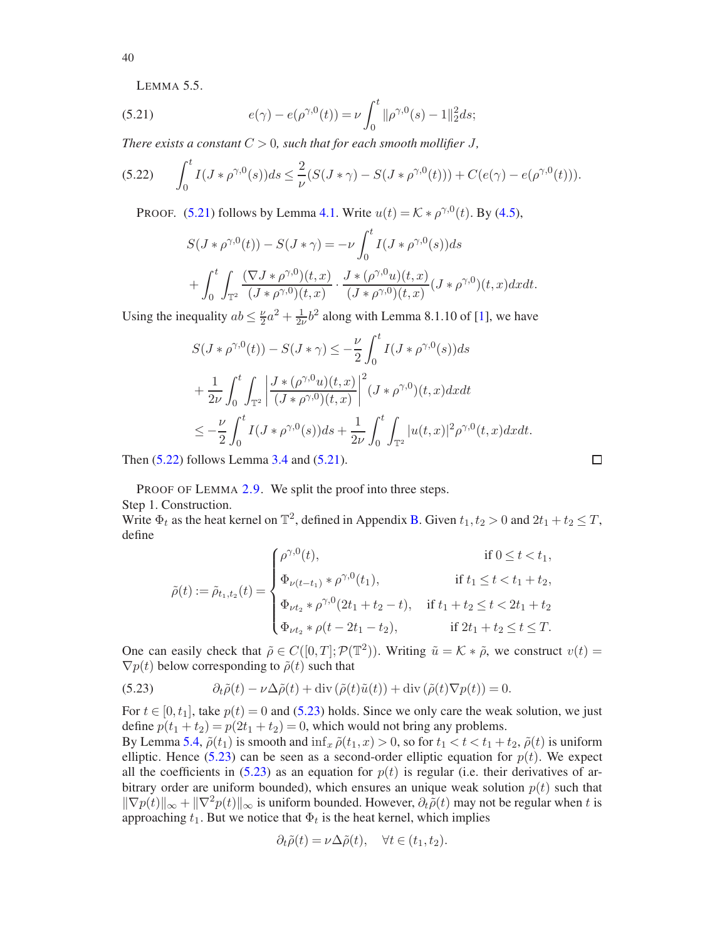<span id="page-39-3"></span><span id="page-39-0"></span>LEMMA 5.5.

(5.21) 
$$
e(\gamma) - e(\rho^{\gamma,0}(t)) = \nu \int_0^t \|\rho^{\gamma,0}(s) - 1\|_2^2 ds;
$$

*There exists a constant*  $C > 0$ *, such that for each smooth mollifier*  $J$ *,* 

<span id="page-39-1"></span>
$$
(5.22) \qquad \int_0^t I(J*\rho^{\gamma,0}(s))ds \leq \frac{2}{\nu}(S(J*\gamma) - S(J*\rho^{\gamma,0}(t))) + C(e(\gamma) - e(\rho^{\gamma,0}(t))).
$$

PROOF. [\(5.21\)](#page-39-0) follows by Lemma [4.1.](#page-26-5) Write  $u(t) = K * \rho^{\gamma,0}(t)$ . By [\(4.5\)](#page-26-2),

$$
S(J*\rho^{\gamma,0}(t)) - S(J*\gamma) = -\nu \int_0^t I(J*\rho^{\gamma,0}(s))ds
$$
  
+ 
$$
\int_0^t \int_{\mathbb{T}^2} \frac{(\nabla J*\rho^{\gamma,0})(t,x)}{(J*\rho^{\gamma,0})(t,x)} \cdot \frac{J*(\rho^{\gamma,0}u)(t,x)}{(J*\rho^{\gamma,0})(t,x)} (J*\rho^{\gamma,0})(t,x) dxdt.
$$

Using the inequality  $ab \leq \frac{\nu}{2}a^2 + \frac{1}{2\nu}b^2$  along with Lemma 8.1.10 of [\[1\]](#page-47-20), we have

$$
S(J * \rho^{\gamma,0}(t)) - S(J * \gamma) \le -\frac{\nu}{2} \int_0^t I(J * \rho^{\gamma,0}(s)) ds
$$
  
+  $\frac{1}{2\nu} \int_0^t \int_{\mathbb{T}^2} \left| \frac{J * (\rho^{\gamma,0} u)(t,x)}{(J * \rho^{\gamma,0})(t,x)} \right|^2 (J * \rho^{\gamma,0})(t,x) dx dt$   
 $\le -\frac{\nu}{2} \int_0^t I(J * \rho^{\gamma,0}(s)) ds + \frac{1}{2\nu} \int_0^t \int_{\mathbb{T}^2} |u(t,x)|^2 \rho^{\gamma,0}(t,x) dx dt$ 

Then [\(5.22\)](#page-39-1) follows Lemma [3.4](#page-20-0) and [\(5.21\)](#page-39-0).

PROOF OF LEMMA [2.9.](#page-14-1) We split the proof into three steps. Step 1. Construction.

Write  $\Phi_t$  as the heat kernel on  $\mathbb{T}^2$ , defined in Appendix [B.](#page-44-0) Given  $t_1, t_2 > 0$  and  $2t_1 + t_2 \leq T$ , define

$$
\tilde{\rho}(t) := \tilde{\rho}_{t_1, t_2}(t) = \begin{cases}\n\rho^{\gamma, 0}(t), & \text{if } 0 \le t < t_1, \\
\Phi_{\nu(t - t_1)} * \rho^{\gamma, 0}(t_1), & \text{if } t_1 \le t < t_1 + t_2, \\
\Phi_{\nu t_2} * \rho^{\gamma, 0}(2t_1 + t_2 - t), & \text{if } t_1 + t_2 \le t < 2t_1 + t_2 \\
\Phi_{\nu t_2} * \rho(t - 2t_1 - t_2), & \text{if } 2t_1 + t_2 \le t \le T.\n\end{cases}
$$

One can easily check that  $\tilde{\rho} \in C([0,T]; \mathcal{P}(\mathbb{T}^2))$ . Writing  $\tilde{u} = \mathcal{K} * \tilde{\rho}$ , we construct  $v(t) =$  $\nabla p(t)$  below corresponding to  $\tilde{\rho}(t)$  such that

<span id="page-39-2"></span>(5.23) 
$$
\partial_t \tilde{\rho}(t) - \nu \Delta \tilde{\rho}(t) + \text{div} (\tilde{\rho}(t) \tilde{u}(t)) + \text{div} (\tilde{\rho}(t) \nabla p(t)) = 0.
$$

For  $t \in [0, t_1]$ , take  $p(t) = 0$  and [\(5.23\)](#page-39-2) holds. Since we only care the weak solution, we just define  $p(t_1 + t_2) = p(2t_1 + t_2) = 0$ , which would not bring any problems.

By Lemma [5.4,](#page-38-1)  $\tilde{\rho}(t_1)$  is smooth and  $\inf_x \tilde{\rho}(t_1, x) > 0$ , so for  $t_1 < t < t_1 + t_2$ ,  $\tilde{\rho}(t)$  is uniform elliptic. Hence [\(5.23\)](#page-39-2) can be seen as a second-order elliptic equation for  $p(t)$ . We expect all the coefficients in  $(5.23)$  as an equation for  $p(t)$  is regular (i.e. their derivatives of arbitrary order are uniform bounded), which ensures an unique weak solution  $p(t)$  such that  $\|\nabla p(t)\|_{\infty} + \|\nabla^2 p(t)\|_{\infty}$  is uniform bounded. However,  $\partial_t \tilde{\rho}(t)$  may not be regular when t is approaching  $t_1$ . But we notice that  $\Phi_t$  is the heat kernel, which implies

$$
\partial_t \tilde{\rho}(t) = \nu \Delta \tilde{\rho}(t), \quad \forall t \in (t_1, t_2).
$$

40

 $\Box$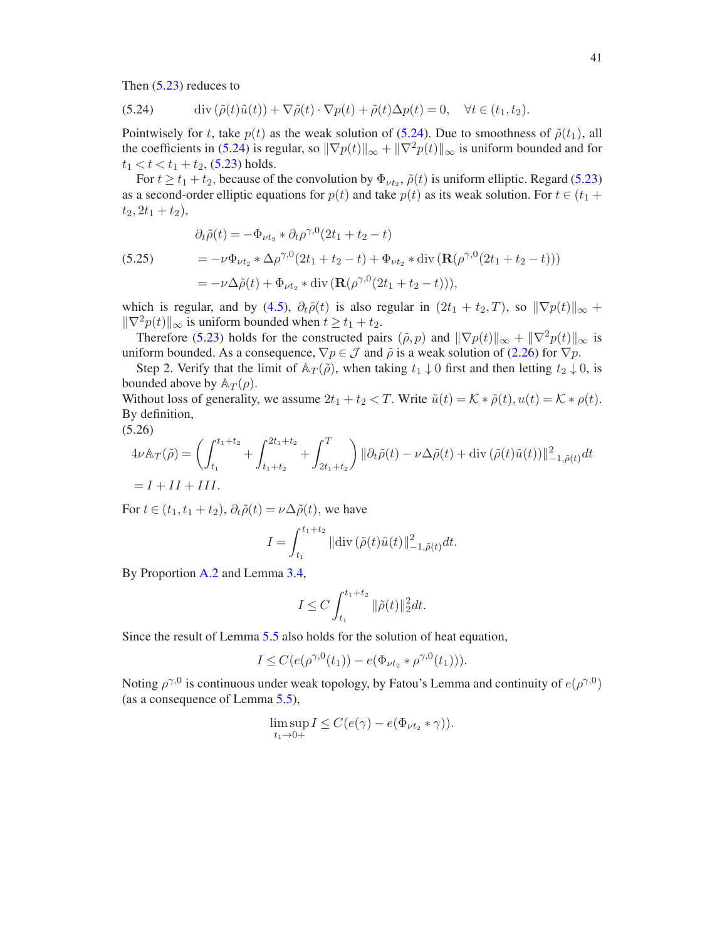Then [\(5.23\)](#page-39-2) reduces to

<span id="page-40-0"></span>(5.24) 
$$
\operatorname{div}(\tilde{\rho}(t)\tilde{u}(t)) + \nabla\tilde{\rho}(t) \cdot \nabla p(t) + \tilde{\rho}(t)\Delta p(t) = 0, \quad \forall t \in (t_1, t_2).
$$

Pointwisely for t, take  $p(t)$  as the weak solution of [\(5.24\)](#page-40-0). Due to smoothness of  $\tilde{\rho}(t_1)$ , all the coefficients in [\(5.24\)](#page-40-0) is regular, so  $\|\nabla p(t)\|_{\infty} + \|\nabla^2 p(t)\|_{\infty}$  is uniform bounded and for  $t_1 < t < t_1 + t_2$ , [\(5.23\)](#page-39-2) holds.

For  $t \ge t_1 + t_2$ , because of the convolution by  $\Phi_{\nu t_2}$ ,  $\tilde{\rho}(t)$  is uniform elliptic. Regard [\(5.23\)](#page-39-2) as a second-order elliptic equations for  $p(t)$  and take  $p(t)$  as its weak solution. For  $t \in (t_1 +$  $t_2, 2t_1 + t_2$ ,

<span id="page-40-1"></span>(5.25)  
\n
$$
\partial_t \tilde{\rho}(t) = -\Phi_{\nu t_2} * \partial_t \rho^{\gamma,0} (2t_1 + t_2 - t)
$$
\n
$$
= -\nu \Phi_{\nu t_2} * \Delta \rho^{\gamma,0} (2t_1 + t_2 - t) + \Phi_{\nu t_2} * \text{div} (\mathbf{R}(\rho^{\gamma,0} (2t_1 + t_2 - t)))
$$
\n
$$
= -\nu \Delta \tilde{\rho}(t) + \Phi_{\nu t_2} * \text{div} (\mathbf{R}(\rho^{\gamma,0} (2t_1 + t_2 - t))),
$$

which is regular, and by [\(4.5\)](#page-26-2),  $\partial_t \tilde{\rho}(t)$  is also regular in  $(2t_1 + t_2, T)$ , so  $\|\nabla p(t)\|_{\infty}$  +  $\|\nabla^2 p(t)\|_{\infty}$  is uniform bounded when  $t \ge t_1 + t_2$ .

Therefore [\(5.23\)](#page-39-2) holds for the constructed pairs  $(\tilde{\rho}, p)$  and  $\|\nabla p(t)\|_{\infty} + \|\nabla^2 p(t)\|_{\infty}$  is uniform bounded. As a consequence,  $\nabla p \in \mathcal{J}$  and  $\tilde{\rho}$  is a weak solution of [\(2.26\)](#page-13-3) for  $\nabla p$ .

Step 2. Verify that the limit of  $\mathbb{A}_T(\tilde{\rho})$ , when taking  $t_1 \downarrow 0$  first and then letting  $t_2 \downarrow 0$ , is bounded above by  $A_T(\rho)$ .

Without loss of generality, we assume  $2t_1 + t_2 < T$ . Write  $\tilde{u}(t) = \mathcal{K} * \tilde{\rho}(t)$ ,  $u(t) = \mathcal{K} * \rho(t)$ . By definition,

$$
(5.26)
$$

$$
4\nu\mathbb{A}_T(\tilde{\rho}) = \left(\int_{t_1}^{t_1+t_2} + \int_{t_1+t_2}^{2t_1+t_2} + \int_{2t_1+t_2}^T\right) ||\partial_t \tilde{\rho}(t) - \nu \Delta \tilde{\rho}(t) + \text{div}\left(\tilde{\rho}(t)\tilde{u}(t)\right)||^2_{-1,\tilde{\rho}(t)}dt
$$
  
=  $I + II + III$ .

For  $t \in (t_1, t_1 + t_2), \partial_t \tilde{\rho}(t) = \nu \Delta \tilde{\rho}(t)$ , we have

$$
I = \int_{t_1}^{t_1 + t_2} ||\text{div}\,(\tilde{\rho}(t)\tilde{u}(t)||^2_{-1,\tilde{\rho}(t)}dt.
$$

By Proportion [A.2](#page-43-0) and Lemma [3.4,](#page-20-0)

$$
I \le C \int_{t_1}^{t_1+t_2} \|\tilde{\rho}(t)\|_2^2 dt.
$$

Since the result of Lemma [5.5](#page-39-3) also holds for the solution of heat equation,

$$
I \leq C(e(\rho^{\gamma,0}(t_1)) - e(\Phi_{\nu t_2} * \rho^{\gamma,0}(t_1))).
$$

Noting  $\rho^{\gamma,0}$  is continuous under weak topology, by Fatou's Lemma and continuity of  $e(\rho^{\gamma,0})$ (as a consequence of Lemma [5.5\)](#page-39-3),

$$
\limsup_{t_1 \to 0+} I \leq C(e(\gamma) - e(\Phi_{\nu t_2} * \gamma)).
$$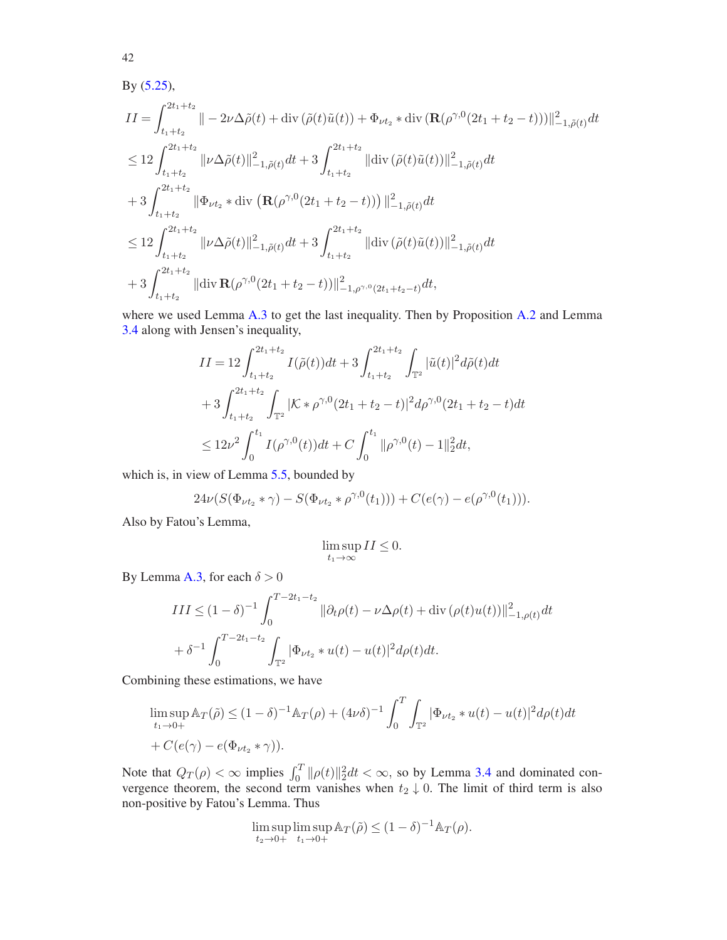By [\(5.25\)](#page-40-1),

$$
II = \int_{t_1+t_2}^{2t_1+t_2} \|\n- 2\nu\Delta\tilde{\rho}(t) + \text{div}\left(\tilde{\rho}(t)\tilde{u}(t)\right) + \Phi_{\nu t_2} * \text{div}\left(\mathbf{R}(\rho^{\gamma,0}(2t_1+t_2-t))\right)\|_{-1,\tilde{\rho}(t)}^2 dt
$$
  
\n
$$
\leq 12 \int_{t_1+t_2}^{2t_1+t_2} \|\nu\Delta\tilde{\rho}(t)\|_{-1,\tilde{\rho}(t)}^2 dt + 3 \int_{t_1+t_2}^{2t_1+t_2} \|\text{div}\left(\tilde{\rho}(t)\tilde{u}(t)\right)\|_{-1,\tilde{\rho}(t)}^2 dt
$$
  
\n
$$
+ 3 \int_{t_1+t_2}^{2t_1+t_2} \|\Phi_{\nu t_2} * \text{div}\left(\mathbf{R}(\rho^{\gamma,0}(2t_1+t_2-t))\right)\|_{-1,\tilde{\rho}(t)}^2 dt
$$
  
\n
$$
\leq 12 \int_{t_1+t_2}^{2t_1+t_2} \|\nu\Delta\tilde{\rho}(t)\|_{-1,\tilde{\rho}(t)}^2 dt + 3 \int_{t_1+t_2}^{2t_1+t_2} \|\text{div}\left(\tilde{\rho}(t)\tilde{u}(t)\right)\|_{-1,\tilde{\rho}(t)}^2 dt
$$
  
\n
$$
+ 3 \int_{t_1+t_2}^{2t_1+t_2} \|\text{div}\left(\mathbf{R}(\rho^{\gamma,0}(2t_1+t_2-t))\right)\|_{-1,\rho^{\gamma,0}(2t_1+t_2-t)}^2 dt,
$$

where we used Lemma [A.3](#page-43-1) to get the last inequality. Then by Proposition [A.2](#page-43-0) and Lemma [3.4](#page-20-0) along with Jensen's inequality,

$$
II = 12 \int_{t_1+t_2}^{2t_1+t_2} I(\tilde{\rho}(t))dt + 3 \int_{t_1+t_2}^{2t_1+t_2} \int_{\mathbb{T}^2} |\tilde{u}(t)|^2 d\tilde{\rho}(t)dt
$$
  
+ 
$$
3 \int_{t_1+t_2}^{2t_1+t_2} \int_{\mathbb{T}^2} |\mathcal{K} * \rho^{\gamma,0}(2t_1+t_2-t)|^2 d\rho^{\gamma,0}(2t_1+t_2-t)dt
$$
  

$$
\leq 12\nu^2 \int_0^{t_1} I(\rho^{\gamma,0}(t))dt + C \int_0^{t_1} ||\rho^{\gamma,0}(t) - 1||_2^2 dt,
$$

which is, in view of Lemma [5.5,](#page-39-3) bounded by

$$
24\nu(S(\Phi_{\nu t_2} * \gamma) - S(\Phi_{\nu t_2} * \rho^{\gamma,0}(t_1))) + C(e(\gamma) - e(\rho^{\gamma,0}(t_1))).
$$

Also by Fatou's Lemma,

$$
\limsup_{t_1\to\infty}II\leq 0.
$$

By Lemma [A.3,](#page-43-1) for each  $\delta > 0$ 

$$
III \le (1 - \delta)^{-1} \int_0^{T - 2t_1 - t_2} \|\partial_t \rho(t) - \nu \Delta \rho(t) + \text{div}(\rho(t)u(t))\|_{-1, \rho(t)}^2 dt
$$
  
+  $\delta^{-1} \int_0^{T - 2t_1 - t_2} \int_{\mathbb{T}^2} |\Phi_{\nu t_2} * u(t) - u(t)|^2 d\rho(t) dt.$ 

Combining these estimations, we have

$$
\limsup_{t_1 \to 0+} \mathbb{A}_T(\tilde{\rho}) \le (1 - \delta)^{-1} \mathbb{A}_T(\rho) + (4\nu\delta)^{-1} \int_0^T \int_{\mathbb{T}^2} |\Phi_{\nu t_2} * u(t) - u(t)|^2 d\rho(t) dt
$$
  
+  $C(e(\gamma) - e(\Phi_{\nu t_2} * \gamma)).$ 

Note that  $Q_T(\rho) < \infty$  implies  $\int_0^T \|\rho(t)\|_2^2 dt < \infty$ , so by Lemma [3.4](#page-20-0) and dominated convergence theorem, the second term vanishes when  $t_2 \downarrow 0$ . The limit of third term is also non-positive by Fatou's Lemma. Thus

$$
\limsup_{t_2 \to 0+} \limsup_{t_1 \to 0+} \mathbb{A}_T(\tilde{\rho}) \le (1 - \delta)^{-1} \mathbb{A}_T(\rho).
$$

42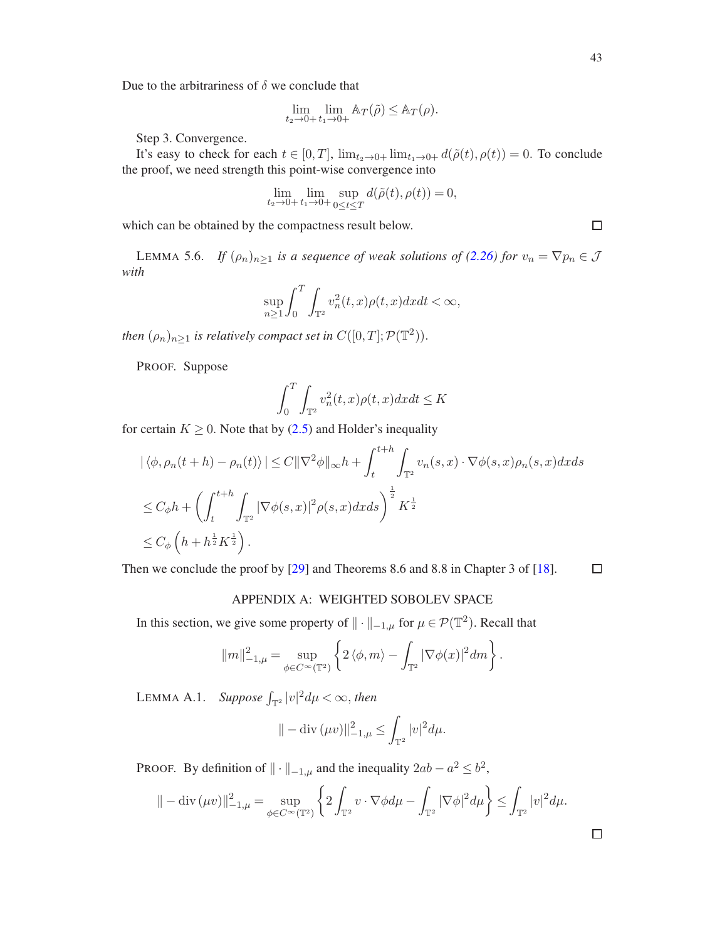Due to the arbitrariness of  $\delta$  we conclude that

$$
\lim_{t_2 \to 0+} \lim_{t_1 \to 0+} \mathbb{A}_T(\tilde{\rho}) \leq \mathbb{A}_T(\rho).
$$

Step 3. Convergence.

It's easy to check for each  $t \in [0, T]$ ,  $\lim_{t_2 \to 0+} \lim_{t_1 \to 0+} d(\tilde{\rho}(t), \rho(t)) = 0$ . To conclude the proof, we need strength this point-wise convergence into

$$
\lim_{t_2 \to 0+} \lim_{t_1 \to 0+} \sup_{0 \le t \le T} d(\tilde{\rho}(t), \rho(t)) = 0,
$$

which can be obtained by the compactness result below.

LEMMA 5.6. *If*  $(\rho_n)_{n\geq 1}$  *is a sequence of weak solutions of* [\(2.26\)](#page-13-3) *for*  $v_n = \nabla p_n \in \mathcal{J}$ *with*

$$
\sup_{n\geq 1} \int_0^T \int_{\mathbb{T}^2} v_n^2(t, x) \rho(t, x) dx dt < \infty,
$$

*then*  $(\rho_n)_{n\geq 1}$  *is relatively compact set in*  $C([0,T]; \mathcal{P}(\mathbb{T}^2))$ .

PROOF. Suppose

$$
\int_0^T \int_{\mathbb{T}^2} v_n^2(t, x) \rho(t, x) dx dt \le K
$$

for certain  $K \geq 0$ . Note that by [\(2.5\)](#page-7-2) and Holder's inequality

$$
\begin{aligned} \left| \langle \phi, \rho_n(t+h) - \rho_n(t) \rangle \right| &\leq C \|\nabla^2 \phi\|_{\infty} h + \int_t^{t+h} \int_{\mathbb{T}^2} v_n(s, x) \cdot \nabla \phi(s, x) \rho_n(s, x) dx ds \\ &\leq C_{\phi} h + \left( \int_t^{t+h} \int_{\mathbb{T}^2} |\nabla \phi(s, x)|^2 \rho(s, x) dx ds \right)^{\frac{1}{2}} K^{\frac{1}{2}} \\ &\leq C_{\phi} \left( h + h^{\frac{1}{2}} K^{\frac{1}{2}} \right). \end{aligned}
$$

<span id="page-42-0"></span>Then we conclude the proof by [\[29\]](#page-48-25) and Theorems 8.6 and 8.8 in Chapter 3 of [\[18](#page-47-23)].  $\Box$ 

#### APPENDIX A: WEIGHTED SOBOLEV SPACE

In this section, we give some property of  $\|\cdot\|_{-1,\mu}$  for  $\mu \in \mathcal{P}(\mathbb{T}^2)$ . Recall that

$$
||m||_{-1,\mu}^{2} = \sup_{\phi \in C^{\infty}(\mathbb{T}^{2})} \left\{ 2 \langle \phi, m \rangle - \int_{\mathbb{T}^{2}} |\nabla \phi(x)|^{2} dm \right\}.
$$

<span id="page-42-1"></span>LEMMA A.1. *Suppose*  $\int_{\mathbb{T}^2} |v|^2 d\mu < \infty$ , then

$$
\| -\mathrm{div}(\mu v) \|_{-1,\mu}^2 \le \int_{\mathbb{T}^2} |v|^2 d\mu.
$$

PROOF. By definition of  $\|\cdot\|_{-1,\mu}$  and the inequality  $2ab - a^2 \leq b^2$ ,

$$
\| -\mathrm{div}\,(\mu v)\|_{-1,\mu}^2 = \sup_{\phi \in C^\infty(\mathbb{T}^2)} \left\{ 2 \int_{\mathbb{T}^2} v \cdot \nabla \phi d\mu - \int_{\mathbb{T}^2} |\nabla \phi|^2 d\mu \right\} \le \int_{\mathbb{T}^2} |v|^2 d\mu.
$$

 $\Box$ 

 $\Box$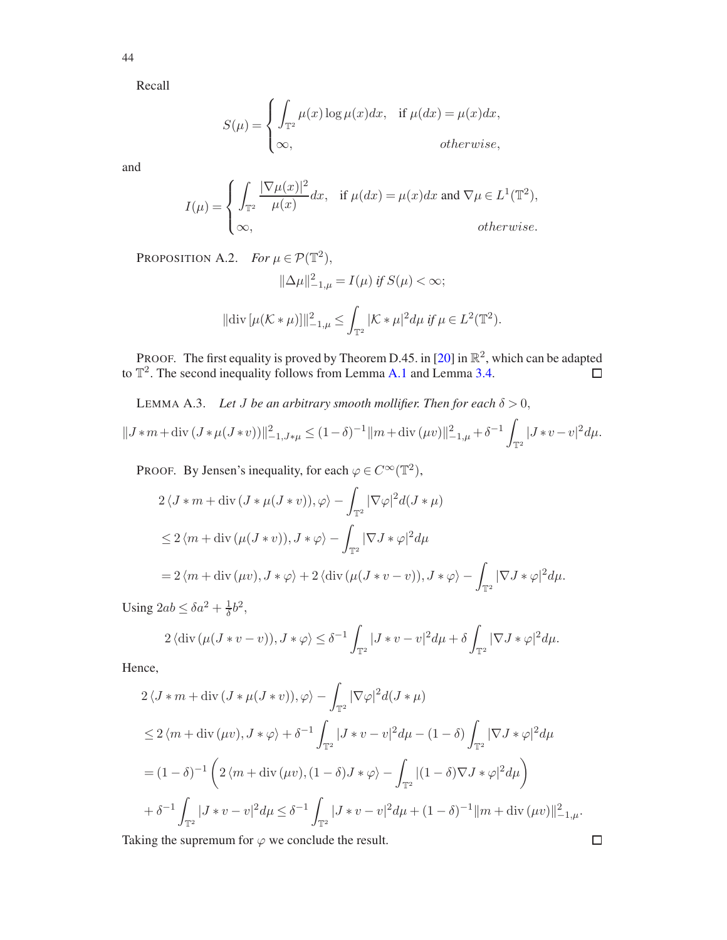44

Recall

$$
S(\mu) = \begin{cases} \int_{\mathbb{T}^2} \mu(x) \log \mu(x) dx, & \text{if } \mu(dx) = \mu(x) dx, \\ \infty, & \text{otherwise,} \end{cases}
$$

and

$$
I(\mu) = \begin{cases} \int_{\mathbb{T}^2} \frac{|\nabla \mu(x)|^2}{\mu(x)} dx, & \text{if } \mu(dx) = \mu(x) dx \text{ and } \nabla \mu \in L^1(\mathbb{T}^2), \\ \infty, & \text{otherwise.} \end{cases}
$$

<span id="page-43-0"></span>PROPOSITION A.2. *For*  $\mu \in \mathcal{P}(\mathbb{T}^2)$ ,

$$
\|\Delta \mu\|_{-1,\mu}^2 = I(\mu) \text{ if } S(\mu) < \infty;
$$

$$
\|\text{div}\,[\mu(\mathcal{K}*\mu)]\|_{-1,\mu}^2 \leq \int_{\mathbb{T}^2} |\mathcal{K}*\mu|^2 d\mu \text{ if } \mu \in L^2(\mathbb{T}^2).
$$

PROOF. The first equality is proved by Theorem D.45. in [\[20\]](#page-47-15) in  $\mathbb{R}^2$ , which can be adapted to  $\mathbb{T}^2$ . The second inequality follows from Lemma [A.1](#page-42-1) and Lemma [3.4.](#page-20-0)  $\Box$ 

<span id="page-43-1"></span>LEMMA A.3. *Let J be an arbitrary smooth mollifier. Then for each*  $\delta > 0$ ,

$$
||J * m + \operatorname{div} (J * \mu (J * \nu))||_{-1,J * \mu}^{2} \le (1 - \delta)^{-1} ||m + \operatorname{div} (\mu \nu)||_{-1,\mu}^{2} + \delta^{-1} \int_{\mathbb{T}^{2}} |J * \nu - \nu|^{2} d\mu.
$$

PROOF. By Jensen's inequality, for each  $\varphi \in C^{\infty}(\mathbb{T}^2)$ ,

$$
2\langle J*m + \operatorname{div}(J*\mu(J*v)), \varphi \rangle - \int_{\mathbb{T}^2} |\nabla \varphi|^2 d(J*\mu)
$$
  
\n
$$
\leq 2\langle m + \operatorname{div}(\mu(J*v)), J*\varphi \rangle - \int_{\mathbb{T}^2} |\nabla J*\varphi|^2 d\mu
$$
  
\n
$$
= 2\langle m + \operatorname{div}(\mu v), J*\varphi \rangle + 2\langle \operatorname{div}(\mu(J*v-v)), J*\varphi \rangle - \int_{\mathbb{T}^2} |\nabla J*\varphi|^2 d\mu.
$$

Using  $2ab \leq \delta a^2 + \frac{1}{\delta}$  $\frac{1}{\delta}b^2$ ,

$$
2 \langle \operatorname{div} (\mu (J * v - v)), J * \varphi \rangle \le \delta^{-1} \int_{\mathbb{T}^2} |J * v - v|^2 d\mu + \delta \int_{\mathbb{T}^2} |\nabla J * \varphi|^2 d\mu.
$$

Hence,

$$
2\langle J*m + \text{div}(J*\mu(J*\nu)), \varphi \rangle - \int_{\mathbb{T}^2} |\nabla \varphi|^2 d(J*\mu)
$$
  
\n
$$
\leq 2\langle m + \text{div}(\mu v), J*\varphi \rangle + \delta^{-1} \int_{\mathbb{T}^2} |J*\nu - v|^2 d\mu - (1 - \delta) \int_{\mathbb{T}^2} |\nabla J*\varphi|^2 d\mu
$$
  
\n
$$
= (1 - \delta)^{-1} \left( 2\langle m + \text{div}(\mu v), (1 - \delta) J*\varphi \rangle - \int_{\mathbb{T}^2} |(1 - \delta) \nabla J*\varphi|^2 d\mu \right)
$$
  
\n
$$
+ \delta^{-1} \int_{\mathbb{T}^2} |J*\nu - v|^2 d\mu \leq \delta^{-1} \int_{\mathbb{T}^2} |J*\nu - v|^2 d\mu + (1 - \delta)^{-1} ||m + \text{div}(\mu v)||_{-1,\mu}^2.
$$

 $\Box$ 

Taking the supremum for  $\varphi$  we conclude the result.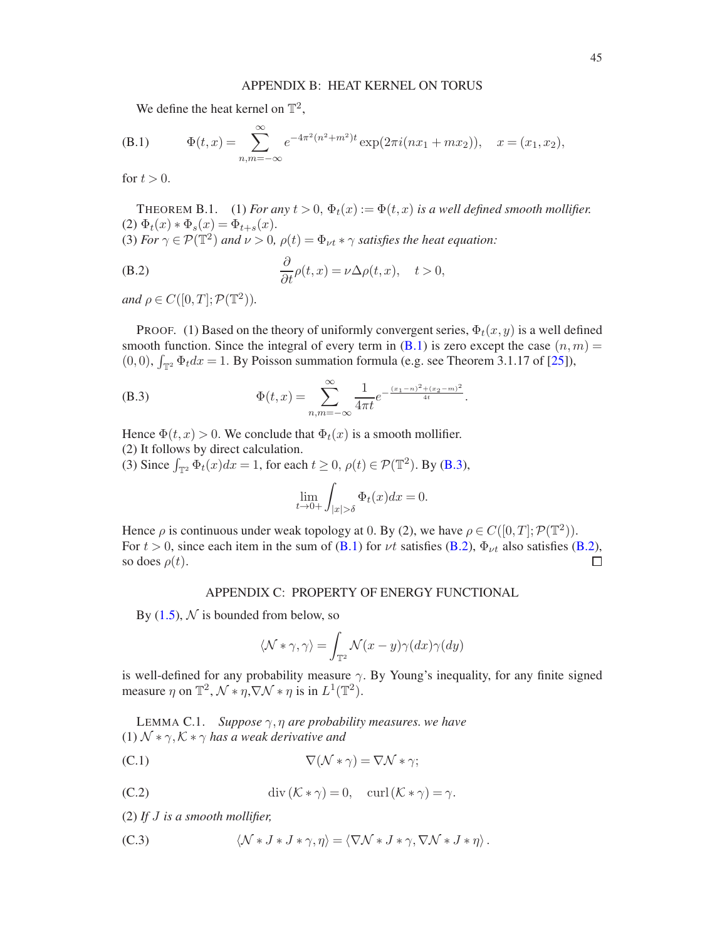## APPENDIX B: HEAT KERNEL ON TORUS

<span id="page-44-4"></span><span id="page-44-0"></span>We define the heat kernel on  $\mathbb{T}^2$ ,

(B.1) 
$$
\Phi(t,x) = \sum_{n,m=-\infty}^{\infty} e^{-4\pi^2(n^2+m^2)t} \exp(2\pi i(nx_1+mx_2)), \quad x = (x_1, x_2),
$$

for  $t > 0$ .

<span id="page-44-2"></span>THEOREM B.1. (1) *For any*  $t > 0$ ,  $\Phi_t(x) := \Phi(t, x)$  *is a well defined smooth mollifier.* (2)  $\Phi_t(x) * \Phi_s(x) = \Phi_{t+s}(x)$ . (3) *For*  $\gamma \in \mathcal{P}(\mathbb{T}^2)$  *and*  $\nu > 0$ ,  $\rho(t) = \Phi_{\nu t} * \gamma$  *satisfies the heat equation:* 

<span id="page-44-5"></span>(B.2) 
$$
\frac{\partial}{\partial t}\rho(t,x) = \nu \Delta \rho(t,x), \quad t > 0,
$$

*and*  $\rho \in C([0, T]; \mathcal{P}(\mathbb{T}^2)).$ 

PROOF. (1) Based on the theory of uniformly convergent series,  $\Phi_t(x, y)$  is a well defined smooth function. Since the integral of every term in  $(B.1)$  is zero except the case  $(n,m)$  =  $(0,0)$ ,  $\int_{\mathbb{T}^2} \Phi_t dx = 1$ . By Poisson summation formula (e.g. see Theorem 3.1.17 of [\[25\]](#page-47-26)),

(B.3) 
$$
\Phi(t,x) = \sum_{n,m=-\infty}^{\infty} \frac{1}{4\pi t} e^{-\frac{(x_1-n)^2 + (x_2-m)^2}{4t}}.
$$

Hence  $\Phi(t, x) > 0$ . We conclude that  $\Phi_t(x)$  is a smooth mollifier. (2) It follows by direct calculation.

(3) Since  $\int_{\mathbb{T}^2} \Phi_t(x) dx = 1$ , for each  $t \ge 0$ ,  $\rho(t) \in \mathcal{P}(\mathbb{T}^2)$ . By [\(B.3\)](#page-44-3),

<span id="page-44-3"></span>
$$
\lim_{t \to 0+} \int_{|x| > \delta} \Phi_t(x) dx = 0.
$$

Hence  $\rho$  is continuous under weak topology at 0. By (2), we have  $\rho \in C([0, T]; \mathcal{P}(\mathbb{T}^2))$ . For  $t > 0$ , since each item in the sum of [\(B.1\)](#page-44-4) for  $\nu t$  satisfies [\(B.2\)](#page-44-5),  $\Phi_{\nu t}$  also satisfies (B.2), so does  $\rho(t)$ .  $\Box$ 

### APPENDIX C: PROPERTY OF ENERGY FUNCTIONAL

<span id="page-44-1"></span>By  $(1.5)$ , N is bounded from below, so

<span id="page-44-6"></span>
$$
\langle \mathcal{N} * \gamma, \gamma \rangle = \int_{\mathbb{T}^2} \mathcal{N}(x - y) \gamma(dx) \gamma(dy)
$$

is well-defined for any probability measure  $\gamma$ . By Young's inequality, for any finite signed measure  $\eta$  on  $\mathbb{T}^2$ ,  $\mathcal{N} * \eta$ ,  $\nabla \mathcal{N} * \eta$  is in  $L^1(\mathbb{T}^2)$ .

LEMMA C.1. *Suppose* γ, η *are probability measures. we have* (1)  $\mathcal{N} * \gamma$ ,  $\mathcal{K} * \gamma$  *has a weak derivative and* 

- (C.1)  $\nabla(\mathcal{N} * \gamma) = \nabla \mathcal{N} * \gamma;$
- <span id="page-44-7"></span>(C.2) div  $(\mathcal{K} * \gamma) = 0$ , curl  $(\mathcal{K} * \gamma) = \gamma$ .

(2) *If* J *is a smooth mollifier,*

<span id="page-44-8"></span>(C.3)  $\langle \mathcal{N} * J * J * \gamma, \eta \rangle = \langle \nabla \mathcal{N} * J * \gamma, \nabla \mathcal{N} * J * \eta \rangle$ .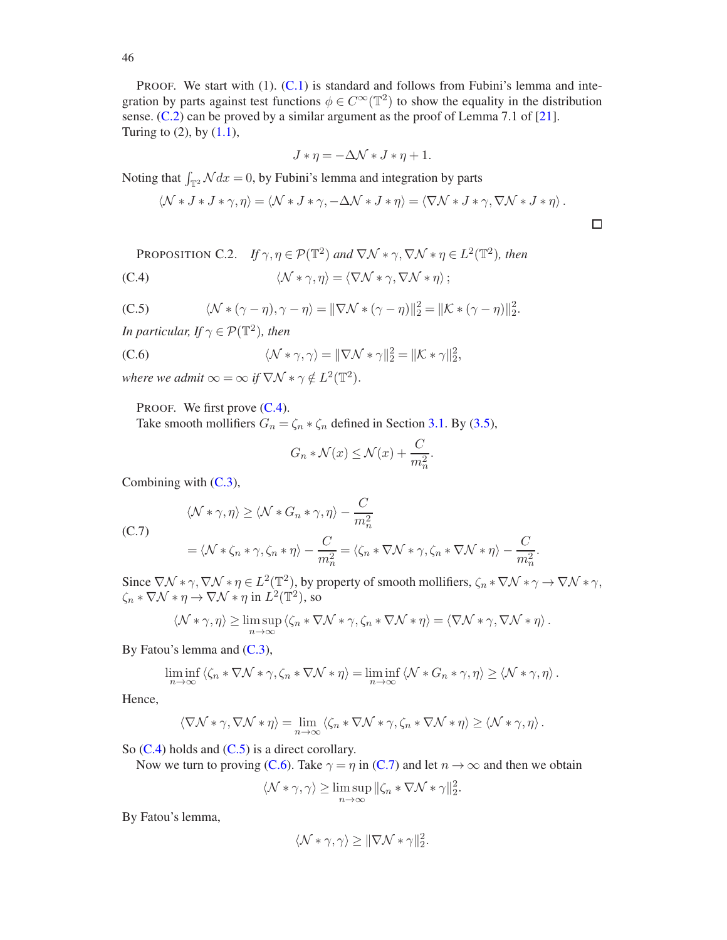PROOF. We start with (1). [\(C.1\)](#page-44-6) is standard and follows from Fubini's lemma and integration by parts against test functions  $\phi \in C^{\infty}(\mathbb{T}^2)$  to show the equality in the distribution sense. [\(C.2\)](#page-44-7) can be proved by a similar argument as the proof of Lemma 7.1 of [\[21](#page-47-17)]. Turing to  $(2)$ , by  $(1.1)$ ,

<span id="page-45-2"></span>
$$
J * \eta = -\Delta \mathcal{N} * J * \eta + 1.
$$

Noting that  $\int_{\mathbb{T}^2} \mathcal{N} dx = 0$ , by Fubini's lemma and integration by parts

$$
\langle \mathcal{N} * J * J * \gamma, \eta \rangle = \langle \mathcal{N} * J * \gamma, -\Delta \mathcal{N} * J * \eta \rangle = \langle \nabla \mathcal{N} * J * \gamma, \nabla \mathcal{N} * J * \eta \rangle.
$$

PROPOSITION C.2. If 
$$
\gamma, \eta \in \mathcal{P}(\mathbb{T}^2)
$$
 and  $\nabla \mathcal{N} * \gamma, \nabla \mathcal{N} * \eta \in L^2(\mathbb{T}^2)$ , then  
\n(C.4)  $\langle \mathcal{N} * \gamma, \eta \rangle = \langle \nabla \mathcal{N} * \gamma, \nabla \mathcal{N} * \eta \rangle$ ;

<span id="page-45-0"></span>(C.5) 
$$
\langle \mathcal{N} * (\gamma - \eta), \gamma - \eta \rangle = ||\nabla \mathcal{N} * (\gamma - \eta)||_2^2 = ||\mathcal{K} * (\gamma - \eta)||_2^2.
$$

*In particular, If*  $\gamma \in \mathcal{P}(\mathbb{T}^2)$ *, then* 

(C.6) 
$$
\langle \mathcal{N} * \gamma, \gamma \rangle = ||\nabla \mathcal{N} * \gamma||_2^2 = ||\mathcal{K} * \gamma||_2^2,
$$

*where we admit*  $\infty = \infty$  *if*  $\nabla \mathcal{N} * \gamma \notin L^2(\mathbb{T}^2)$ .

PROOF. We first prove  $(C.4)$ .

Take smooth mollifiers  $G_n = \zeta_n * \zeta_n$  defined in Section [3.1.](#page-16-1) By [\(3.5\)](#page-17-3),

<span id="page-45-1"></span>
$$
G_n * \mathcal{N}(x) \le \mathcal{N}(x) + \frac{C}{m_n^2}.
$$

Combining with  $(C.3)$ ,

<span id="page-45-3"></span>(C.7)  
\n
$$
\langle \mathcal{N} * \gamma, \eta \rangle \ge \langle \mathcal{N} * G_n * \gamma, \eta \rangle - \frac{C}{m_n^2}
$$
\n
$$
= \langle \mathcal{N} * \zeta_n * \gamma, \zeta_n * \eta \rangle - \frac{C}{m_n^2} = \langle \zeta_n * \nabla \mathcal{N} * \gamma, \zeta_n * \nabla \mathcal{N} * \eta \rangle - \frac{C}{m_n^2}.
$$

Since  $\nabla \mathcal{N} * \gamma$ ,  $\nabla \mathcal{N} * \eta \in L^2(\mathbb{T}^2)$ , by property of smooth mollifiers,  $\zeta_n * \nabla \mathcal{N} * \gamma \to \nabla \mathcal{N} * \gamma$ ,  $\zeta_n * \nabla \mathcal{N} * \eta \to \nabla \mathcal{N} * \eta$  in  $L^2(\mathbb{T}^2)$ , so

$$
\langle \mathcal{N} * \gamma, \eta \rangle \ge \limsup_{n \to \infty} \langle \zeta_n * \nabla \mathcal{N} * \gamma, \zeta_n * \nabla \mathcal{N} * \eta \rangle = \langle \nabla \mathcal{N} * \gamma, \nabla \mathcal{N} * \eta \rangle.
$$

By Fatou's lemma and  $(C.3)$ ,

$$
\liminf_{n\to\infty}\left\langle \zeta_n*\nabla \mathcal{N}*\gamma,\zeta_n*\nabla \mathcal{N}*\eta\right\rangle=\liminf_{n\to\infty}\left\langle \mathcal{N}*G_n*\gamma,\eta\right\rangle\geq \left\langle \mathcal{N}*\gamma,\eta\right\rangle.
$$

Hence,

$$
\langle \nabla \mathcal{N} * \gamma, \nabla \mathcal{N} * \eta \rangle = \lim_{n \to \infty} \langle \zeta_n * \nabla \mathcal{N} * \gamma, \zeta_n * \nabla \mathcal{N} * \eta \rangle \ge \langle \mathcal{N} * \gamma, \eta \rangle.
$$

So  $(C.4)$  holds and  $(C.5)$  is a direct corollary.

Now we turn to proving [\(C.6\)](#page-45-1). Take  $\gamma = \eta$  in [\(C.7\)](#page-45-3) and let  $n \to \infty$  and then we obtain

$$
\langle \mathcal{N} * \gamma, \gamma \rangle \ge \limsup_{n \to \infty} ||\zeta_n * \nabla \mathcal{N} * \gamma||_2^2.
$$

By Fatou's lemma,

$$
\langle \mathcal{N} * \gamma, \gamma \rangle \ge ||\nabla \mathcal{N} * \gamma||_2^2.
$$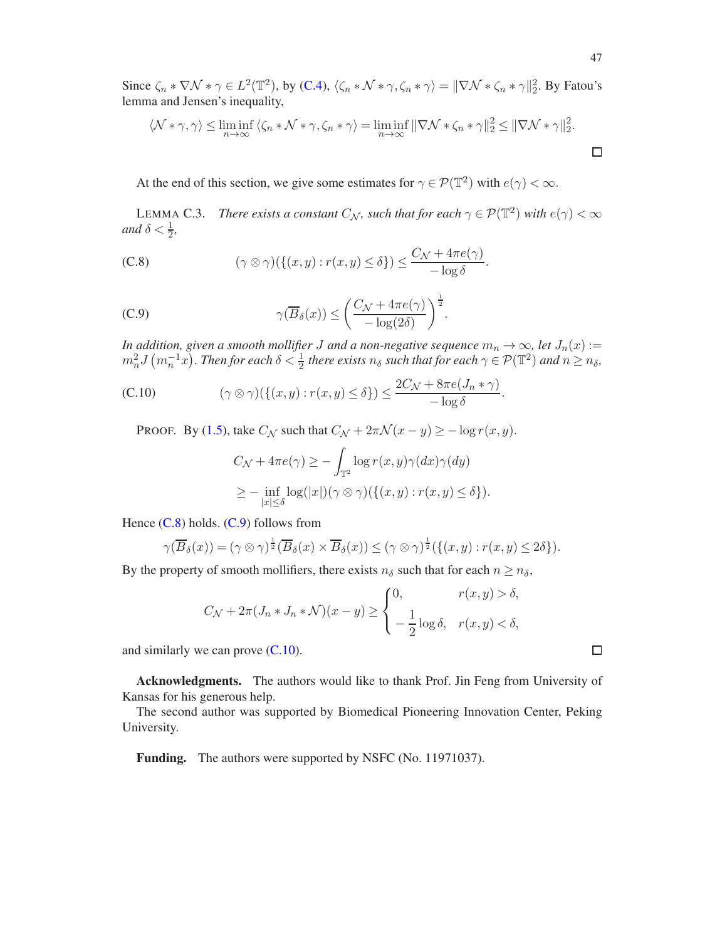Since  $\zeta_n * \nabla \mathcal{N} * \gamma \in L^2(\mathbb{T}^2)$ , by [\(C.4\)](#page-45-2),  $\langle \zeta_n * \mathcal{N} * \gamma, \zeta_n * \gamma \rangle = ||\nabla \mathcal{N} * \zeta_n * \gamma||_2^2$ . By Fatou's lemma and Jensen's inequality,

$$
\langle \mathcal{N} * \gamma, \gamma \rangle \leq \liminf_{n \to \infty} \langle \zeta_n * \mathcal{N} * \gamma, \zeta_n * \gamma \rangle = \liminf_{n \to \infty} ||\nabla \mathcal{N} * \zeta_n * \gamma||_2^2 \leq ||\nabla \mathcal{N} * \gamma||_2^2.
$$

At the end of this section, we give some estimates for  $\gamma \in \mathcal{P}(\mathbb{T}^2)$  with  $e(\gamma) < \infty$ .

<span id="page-46-3"></span>LEMMA C.3. *There exists a constant*  $C_N$ , such that for each  $\gamma \in \mathcal{P}(\mathbb{T}^2)$  with  $e(\gamma) < \infty$ *and*  $\delta < \frac{1}{2}$ ,

<span id="page-46-4"></span>(C.8) 
$$
(\gamma \otimes \gamma)(\{(x,y) : r(x,y) \le \delta\}) \le \frac{C_{\mathcal{N}} + 4\pi e(\gamma)}{-\log \delta}.
$$

(C.9) 
$$
\gamma(\overline{B}_{\delta}(x)) \leq \left(\frac{C_{\mathcal{N}} + 4\pi e(\gamma)}{-\log(2\delta)}\right)^{\frac{1}{2}}.
$$

*In addition, given a smooth mollifier J and a non-negative sequence*  $m_n \to \infty$ *, let*  $J_n(x) :=$  $m_n^2 J\left(m_n^{-1}x\right)$ . Then for each  $\delta < \frac{1}{2}$  there exists  $n_\delta$  such that for each  $\gamma \in \mathcal{P}(\mathbb{T}^2)$  and  $n \geq n_\delta$ ,

.

(C.10) 
$$
(\gamma \otimes \gamma)(\{(x,y) : r(x,y) \le \delta\}) \le \frac{2C_{\mathcal{N}} + 8\pi e(J_n * \gamma)}{-\log \delta}
$$

PROOF. By [\(1.5\)](#page-2-1), take  $C_N$  such that  $C_N + 2\pi \mathcal{N}(x - y) \ge -\log r(x, y)$ .

<span id="page-46-5"></span><span id="page-46-2"></span>
$$
C_{\mathcal{N}} + 4\pi e(\gamma) \ge -\int_{\mathbb{T}^2} \log r(x, y)\gamma(dx)\gamma(dy)
$$
  
 
$$
\ge -\inf_{|x| \le \delta} \log(|x|)(\gamma \otimes \gamma)(\{(x, y) : r(x, y) \le \delta\}).
$$

Hence  $(C.8)$  holds.  $(C.9)$  follows from

$$
\gamma(\overline{B}_{\delta}(x)) = (\gamma \otimes \gamma)^{\frac{1}{2}}(\overline{B}_{\delta}(x) \times \overline{B}_{\delta}(x)) \leq (\gamma \otimes \gamma)^{\frac{1}{2}}(\{(x,y) : r(x,y) \leq 2\delta\}).
$$

By the property of smooth mollifiers, there exists  $n_{\delta}$  such that for each  $n \geq n_{\delta}$ ,

$$
C_{\mathcal{N}} + 2\pi (J_n * J_n * \mathcal{N})(x - y) \ge \begin{cases} 0, & r(x, y) > \delta, \\ -\frac{1}{2} \log \delta, & r(x, y) < \delta, \end{cases}
$$

and similarly we can prove [\(C.10\)](#page-46-5).

<span id="page-46-0"></span>Acknowledgments. The authors would like to thank Prof. Jin Feng from University of Kansas for his generous help.

The second author was supported by Biomedical Pioneering Innovation Center, Peking University.

<span id="page-46-1"></span>Funding. The authors were supported by NSFC (No. 11971037).

 $\Box$ 

 $\Box$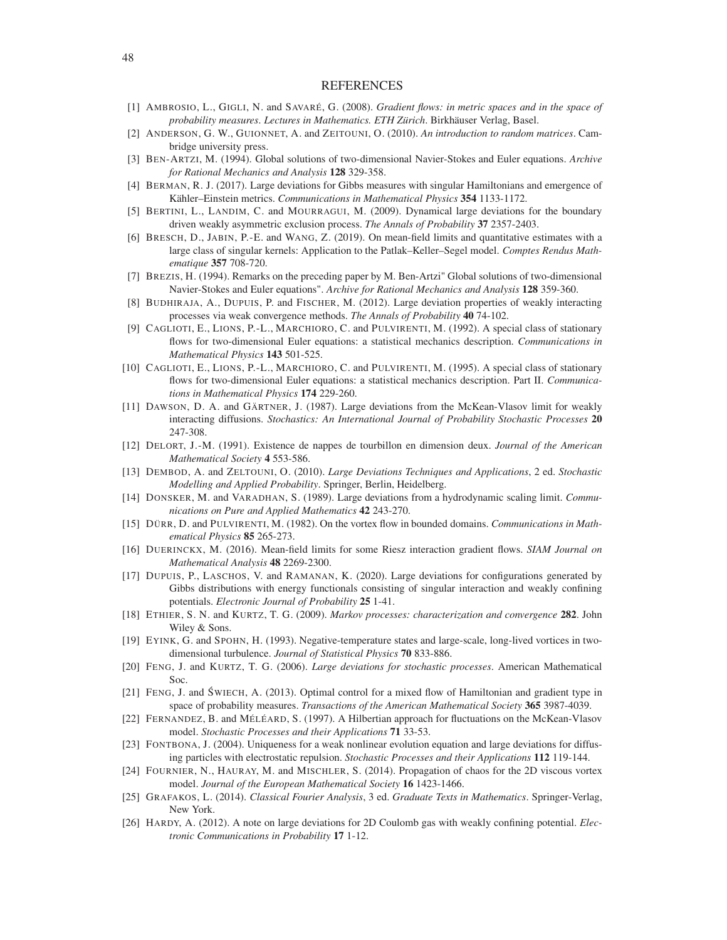#### **REFERENCES**

- <span id="page-47-20"></span><span id="page-47-0"></span>[1] AMBROSIO, L., GIGLI, N. and SAVARÉ, G. (2008). *Gradient flows: in metric spaces and in the space of probability measures*. *Lectures in Mathematics. ETH Zürich*. Birkhäuser Verlag, Basel.
- <span id="page-47-4"></span>[2] ANDERSON, G. W., GUIONNET, A. and ZEITOUNI, O. (2010). *An introduction to random matrices*. Cambridge university press.
- <span id="page-47-24"></span>[3] BEN-ARTZI, M. (1994). Global solutions of two-dimensional Navier-Stokes and Euler equations. *Archive for Rational Mechanics and Analysis* 128 329-358.
- <span id="page-47-6"></span>[4] BERMAN, R. J. (2017). Large deviations for Gibbs measures with singular Hamiltonians and emergence of Kähler–Einstein metrics. *Communications in Mathematical Physics* 354 1133-1172.
- <span id="page-47-19"></span>[5] BERTINI, L., LANDIM, C. and MOURRAGUI, M. (2009). Dynamical large deviations for the boundary driven weakly asymmetric exclusion process. *The Annals of Probability* 37 2357-2403.
- <span id="page-47-11"></span>[6] BRESCH, D., JABIN, P.-E. and WANG, Z. (2019). On mean-field limits and quantitative estimates with a large class of singular kernels: Application to the Patlak–Keller–Segel model. *Comptes Rendus Mathematique* 357 708-720.
- <span id="page-47-25"></span>[7] BREZIS, H. (1994). Remarks on the preceding paper by M. Ben-Artzi" Global solutions of two-dimensional Navier-Stokes and Euler equations". *Archive for Rational Mechanics and Analysis* 128 359-360.
- <span id="page-47-14"></span>[8] BUDHIRAJA, A., DUPUIS, P. and FISCHER, M. (2012). Large deviation properties of weakly interacting processes via weak convergence methods. *The Annals of Probability* 40 74-102.
- <span id="page-47-1"></span>[9] CAGLIOTI, E., LIONS, P.-L., MARCHIORO, C. and PULVIRENTI, M. (1992). A special class of stationary flows for two-dimensional Euler equations: a statistical mechanics description. *Communications in Mathematical Physics* 143 501-525.
- <span id="page-47-2"></span>[10] CAGLIOTI, E., LIONS, P.-L., MARCHIORO, C. and PULVIRENTI, M. (1995). A special class of stationary flows for two-dimensional Euler equations: a statistical mechanics description. Part II. *Communications in Mathematical Physics* 174 229-260.
- <span id="page-47-13"></span>[11] DAWSON, D. A. and GÄRTNER, J. (1987). Large deviations from the McKean-Vlasov limit for weakly interacting diffusions. *Stochastics: An International Journal of Probability Stochastic Processes* 20 247-308.
- <span id="page-47-21"></span>[12] DELORT, J.-M. (1991). Existence de nappes de tourbillon en dimension deux. *Journal of the American Mathematical Society* 4 553-586.
- <span id="page-47-22"></span>[13] DEMBOD, A. and ZELTOUNI, O. (2010). *Large Deviations Techniques and Applications*, 2 ed. *Stochastic Modelling and Applied Probability*. Springer, Berlin, Heidelberg.
- <span id="page-47-18"></span>[14] DONSKER, M. and VARADHAN, S. (1989). Large deviations from a hydrodynamic scaling limit. *Communications on Pure and Applied Mathematics* 42 243-270.
- <span id="page-47-9"></span>[15] DÜRR, D. and PULVIRENTI, M. (1982). On the vortex flow in bounded domains. *Communications in Mathematical Physics* 85 265-273.
- <span id="page-47-10"></span>[16] DUERINCKX, M. (2016). Mean-field limits for some Riesz interaction gradient flows. *SIAM Journal on Mathematical Analysis* 48 2269-2300.
- <span id="page-47-7"></span>[17] DUPUIS, P., LASCHOS, V. and RAMANAN, K. (2020). Large deviations for configurations generated by Gibbs distributions with energy functionals consisting of singular interaction and weakly confining potentials. *Electronic Journal of Probability* 25 1-41.
- <span id="page-47-23"></span>[18] ETHIER, S. N. and KURTZ, T. G. (2009). *Markov processes: characterization and convergence* 282. John Wiley & Sons.
- <span id="page-47-3"></span>[19] EYINK, G. and SPOHN, H. (1993). Negative-temperature states and large-scale, long-lived vortices in twodimensional turbulence. *Journal of Statistical Physics* 70 833-886.
- <span id="page-47-15"></span>[20] FENG, J. and KURTZ, T. G. (2006). *Large deviations for stochastic processes*. American Mathematical Soc.
- <span id="page-47-17"></span>[21] FENG, J. and ŚWIECH, A. (2013). Optimal control for a mixed flow of Hamiltonian and gradient type in space of probability measures. *Transactions of the American Mathematical Society* 365 3987-4039.
- <span id="page-47-12"></span>[22] FERNANDEZ, B. and MÉLÉARD, S. (1997). A Hilbertian approach for fluctuations on the McKean-Vlasov model. *Stochastic Processes and their Applications* 71 33-53.
- <span id="page-47-16"></span>[23] FONTBONA, J. (2004). Uniqueness for a weak nonlinear evolution equation and large deviations for diffusing particles with electrostatic repulsion. *Stochastic Processes and their Applications* 112 119-144.
- <span id="page-47-8"></span>[24] FOURNIER, N., HAURAY, M. and MISCHLER, S. (2014). Propagation of chaos for the 2D viscous vortex model. *Journal of the European Mathematical Society* 16 1423-1466.
- <span id="page-47-26"></span>[25] GRAFAKOS, L. (2014). *Classical Fourier Analysis*, 3 ed. *Graduate Texts in Mathematics*. Springer-Verlag, New York.
- <span id="page-47-5"></span>[26] HARDY, A. (2012). A note on large deviations for 2D Coulomb gas with weakly confining potential. *Electronic Communications in Probability* 17 1-12.